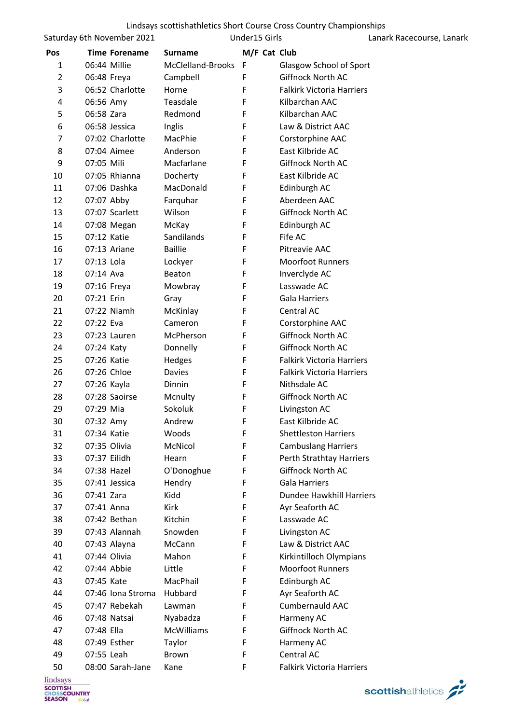| Lindsays scottishathletics Short Course Cross Country Championships |  |  |  |
|---------------------------------------------------------------------|--|--|--|
|---------------------------------------------------------------------|--|--|--|

| Saturday 6th November 2021 |
|----------------------------|
|----------------------------|

Under15 Girls **Lanark Racecourse**, Lanark

| Pos |             | <b>Time Forename</b> | <b>Surname</b>    | M/F Cat Club |                                  |
|-----|-------------|----------------------|-------------------|--------------|----------------------------------|
| 1   |             | 06:44 Millie         | McClelland-Brooks | F            | Glasgow School of Sport          |
| 2   |             | 06:48 Freya          | Campbell          | F            | Giffnock North AC                |
| 3   |             | 06:52 Charlotte      | Horne             | F            | <b>Falkirk Victoria Harriers</b> |
| 4   | 06:56 Amy   |                      | Teasdale          | F            | Kilbarchan AAC                   |
| 5   | 06:58 Zara  |                      | Redmond           | F            | Kilbarchan AAC                   |
| 6   |             | 06:58 Jessica        | Inglis            | F            | Law & District AAC               |
| 7   |             | 07:02 Charlotte      | MacPhie           | F            | Corstorphine AAC                 |
| 8   |             | 07:04 Aimee          | Anderson          | F            | East Kilbride AC                 |
| 9   | 07:05 Mili  |                      | Macfarlane        | F            | Giffnock North AC                |
| 10  |             | 07:05 Rhianna        | Docherty          | F            | East Kilbride AC                 |
| 11  |             | 07:06 Dashka         | MacDonald         | F            | Edinburgh AC                     |
| 12  | 07:07 Abby  |                      | Farquhar          | F            | Aberdeen AAC                     |
| 13  |             | 07:07 Scarlett       | Wilson            | F            | <b>Giffnock North AC</b>         |
| 14  |             | 07:08 Megan          | McKay             | F            | Edinburgh AC                     |
| 15  | 07:12 Katie |                      | Sandilands        | F            | Fife AC                          |
| 16  |             | 07:13 Ariane         | <b>Baillie</b>    | F            | Pitreavie AAC                    |
| 17  | 07:13 Lola  |                      | Lockyer           | F            | <b>Moorfoot Runners</b>          |
| 18  | 07:14 Ava   |                      | Beaton            | F            | Inverclyde AC                    |
| 19  | 07:16 Freya |                      | Mowbray           | F            | Lasswade AC                      |
| 20  | 07:21 Erin  |                      | Gray              | F            | Gala Harriers                    |
| 21  |             | 07:22 Niamh          | McKinlay          | F            | Central AC                       |
| 22  | 07:22 Eva   |                      | Cameron           | F            | Corstorphine AAC                 |
| 23  |             | 07:23 Lauren         | McPherson         | F            | <b>Giffnock North AC</b>         |
| 24  | 07:24 Katy  |                      | Donnelly          | F            | <b>Giffnock North AC</b>         |
| 25  | 07:26 Katie |                      | Hedges            | F            | <b>Falkirk Victoria Harriers</b> |
| 26  |             | 07:26 Chloe          | Davies            | F            | <b>Falkirk Victoria Harriers</b> |
| 27  | 07:26 Kayla |                      | Dinnin            | F            | Nithsdale AC                     |
| 28  |             | 07:28 Saoirse        | Mcnulty           | F            | <b>Giffnock North AC</b>         |
| 29  | 07:29 Mia   |                      | Sokoluk           | F            | Livingston AC                    |
| 30  | 07:32 Amy   |                      | Andrew            | F            | East Kilbride AC                 |
| 31  | 07:34 Katie |                      | Woods             | F            | <b>Shettleston Harriers</b>      |
| 32  |             | 07:35 Olivia         | McNicol           | F            | <b>Cambuslang Harriers</b>       |
| 33  |             | 07:37 Eilidh         | Hearn             | F            | Perth Strathtay Harriers         |
| 34  |             | 07:38 Hazel          | O'Donoghue        | F            | Giffnock North AC                |
| 35  |             | 07:41 Jessica        | Hendry            | F            | <b>Gala Harriers</b>             |
| 36  | 07:41 Zara  |                      | Kidd              | F            | Dundee Hawkhill Harriers         |
| 37  | 07:41 Anna  |                      | <b>Kirk</b>       | F            | Ayr Seaforth AC                  |
| 38  |             | 07:42 Bethan         | Kitchin           | F            | Lasswade AC                      |
| 39  |             | 07:43 Alannah        | Snowden           | F            | Livingston AC                    |
| 40  |             | 07:43 Alayna         | McCann            | F            | Law & District AAC               |
| 41  |             | 07:44 Olivia         | Mahon             | F            | Kirkintilloch Olympians          |
| 42  |             | 07:44 Abbie          | Little            | F            | <b>Moorfoot Runners</b>          |
| 43  | 07:45 Kate  |                      | MacPhail          | F            | Edinburgh AC                     |
| 44  |             | 07:46 Iona Stroma    | Hubbard           | F            | Ayr Seaforth AC                  |
| 45  |             | 07:47 Rebekah        | Lawman            | F            | Cumbernauld AAC                  |
| 46  |             | 07:48 Natsai         | Nyabadza          | F            | Harmeny AC                       |
| 47  | 07:48 Ella  |                      | <b>McWilliams</b> | F            | Giffnock North AC                |
| 48  |             | 07:49 Esther         | Taylor            | F            | Harmeny AC                       |
| 49  | 07:55 Leah  |                      | <b>Brown</b>      | F            | Central AC                       |
| 50  |             | 08:00 Sarah-Jane     | Kane              | F            | Falkirk Victoria Harriers        |

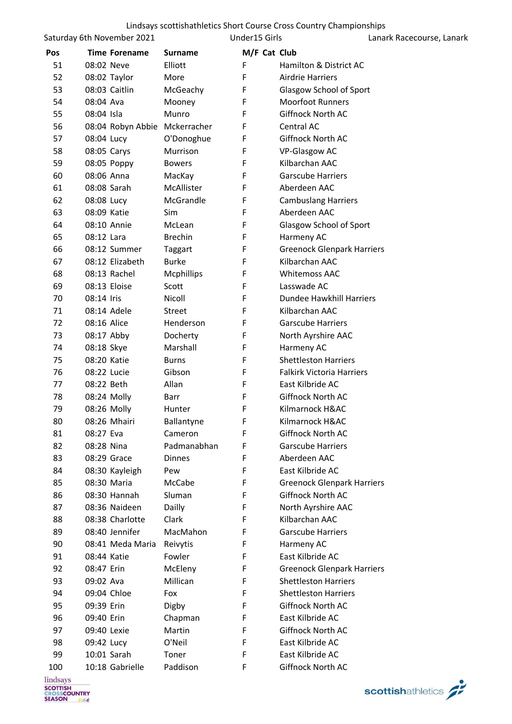Saturday 6th November 2021

Under15 Girls **Lanark Racecourse**, Lanark

| Pos |              | <b>Time Forename</b> | <b>Surname</b>    | M/F Cat Club |                                   |
|-----|--------------|----------------------|-------------------|--------------|-----------------------------------|
| 51  | 08:02 Neve   |                      | Elliott           | F            | Hamilton & District AC            |
| 52  |              | 08:02 Taylor         | More              | F            | <b>Airdrie Harriers</b>           |
| 53  |              | 08:03 Caitlin        | McGeachy          | F            | Glasgow School of Sport           |
| 54  | 08:04 Ava    |                      | Mooney            | F            | <b>Moorfoot Runners</b>           |
| 55  | 08:04 Isla   |                      | Munro             | F            | <b>Giffnock North AC</b>          |
| 56  |              | 08:04 Robyn Abbie    | Mckerracher       | F            | Central AC                        |
| 57  | 08:04 Lucy   |                      | O'Donoghue        | F            | Giffnock North AC                 |
| 58  | 08:05 Carys  |                      | Murrison          | F            | VP-Glasgow AC                     |
| 59  |              | 08:05 Poppy          | <b>Bowers</b>     | F            | Kilbarchan AAC                    |
| 60  | 08:06 Anna   |                      | MacKay            | F            | <b>Garscube Harriers</b>          |
| 61  | 08:08 Sarah  |                      | McAllister        | F            | Aberdeen AAC                      |
| 62  | 08:08 Lucy   |                      | McGrandle         | F            | <b>Cambuslang Harriers</b>        |
| 63  | 08:09 Katie  |                      | Sim               | F            | Aberdeen AAC                      |
| 64  |              | 08:10 Annie          | McLean            | F            | Glasgow School of Sport           |
| 65  | 08:12 Lara   |                      | <b>Brechin</b>    | F            | Harmeny AC                        |
| 66  |              | 08:12 Summer         | Taggart           | F            | <b>Greenock Glenpark Harriers</b> |
| 67  |              | 08:12 Elizabeth      | <b>Burke</b>      | F            | Kilbarchan AAC                    |
| 68  |              | 08:13 Rachel         | <b>Mcphillips</b> | F            | <b>Whitemoss AAC</b>              |
| 69  | 08:13 Eloise |                      | Scott             | F            | Lasswade AC                       |
| 70  | 08:14 Iris   |                      | Nicoll            | F            | Dundee Hawkhill Harriers          |
| 71  | 08:14 Adele  |                      | Street            | F            | Kilbarchan AAC                    |
| 72  | 08:16 Alice  |                      | Henderson         | F            | <b>Garscube Harriers</b>          |
| 73  | 08:17 Abby   |                      | Docherty          | F            | North Ayrshire AAC                |
| 74  | 08:18 Skye   |                      | Marshall          | F            | Harmeny AC                        |
| 75  | 08:20 Katie  |                      | <b>Burns</b>      | F            | <b>Shettleston Harriers</b>       |
| 76  | 08:22 Lucie  |                      | Gibson            | F            | <b>Falkirk Victoria Harriers</b>  |
| 77  | 08:22 Beth   |                      | Allan             | F            | East Kilbride AC                  |
| 78  | 08:24 Molly  |                      | Barr              | F            | Giffnock North AC                 |
| 79  | 08:26 Molly  |                      | Hunter            | F            | Kilmarnock H&AC                   |
| 80  |              | 08:26 Mhairi         | Ballantyne        | F            | Kilmarnock H&AC                   |
| 81  | 08:27 Eva    |                      | Cameron           | F            | Giffnock North AC                 |
| 82  | 08:28 Nina   |                      | Padmanabhan       | F            | <b>Garscube Harriers</b>          |
| 83  |              | 08:29 Grace          | <b>Dinnes</b>     | F            | Aberdeen AAC                      |
| 84  |              | 08:30 Kayleigh       | Pew               | F            | East Kilbride AC                  |
| 85  |              | 08:30 Maria          | McCabe            | F            | <b>Greenock Glenpark Harriers</b> |
| 86  |              | 08:30 Hannah         | Sluman            | F            | Giffnock North AC                 |
| 87  |              | 08:36 Naideen        | Dailly            | F            | North Ayrshire AAC                |
| 88  |              | 08:38 Charlotte      | Clark             | F            | Kilbarchan AAC                    |
| 89  |              | 08:40 Jennifer       | MacMahon          | F            | <b>Garscube Harriers</b>          |
| 90  |              | 08:41 Meda Maria     | Reivytis          | F            | Harmeny AC                        |
| 91  | 08:44 Katie  |                      | Fowler            | F            | East Kilbride AC                  |
| 92  | 08:47 Erin   |                      | McEleny           | F            | <b>Greenock Glenpark Harriers</b> |
| 93  | 09:02 Ava    |                      | Millican          | F            | <b>Shettleston Harriers</b>       |
| 94  | 09:04 Chloe  |                      | Fox               | F            | <b>Shettleston Harriers</b>       |
| 95  | 09:39 Erin   |                      | Digby             | F            | Giffnock North AC                 |
| 96  | 09:40 Erin   |                      | Chapman           | F            | East Kilbride AC                  |
| 97  | 09:40 Lexie  |                      | Martin            | F            | Giffnock North AC                 |
| 98  | 09:42 Lucy   |                      | O'Neil            | F            | East Kilbride AC                  |
| 99  | 10:01 Sarah  |                      | Toner             | F            | East Kilbride AC                  |
| 100 |              | 10:18 Gabrielle      | Paddison          | F            | Giffnock North AC                 |
|     |              |                      |                   |              |                                   |

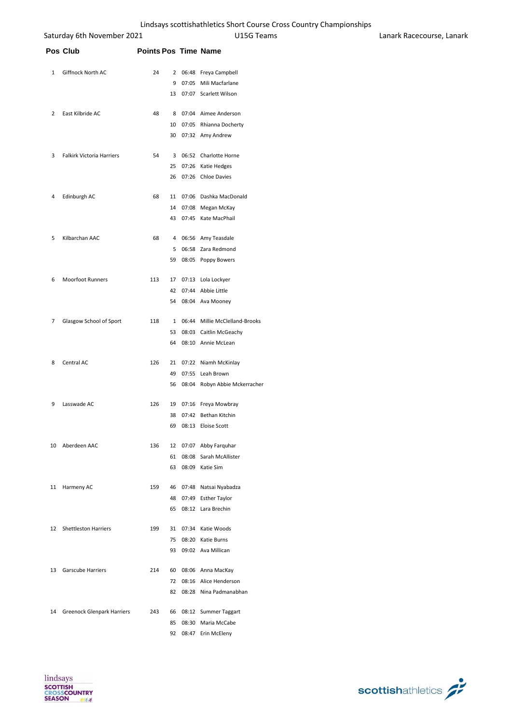|    | Saturday 6th November 2021 |                             |    | Lindsays scottishathletics Short Course Cross Country Championships<br>U15G Teams | Lanark Racecourse |
|----|----------------------------|-----------------------------|----|-----------------------------------------------------------------------------------|-------------------|
|    | Pos Club                   | <b>Points Pos Time Name</b> |    |                                                                                   |                   |
| 1  | Giffnock North AC          | 24                          |    | 2 06:48 Freya Campbell                                                            |                   |
|    |                            |                             | 9  | 07:05 Mili Macfarlane                                                             |                   |
|    |                            |                             | 13 | 07:07 Scarlett Wilson                                                             |                   |
| 2  | East Kilbride AC           | 48                          | 8  | 07:04 Aimee Anderson                                                              |                   |
|    |                            |                             | 10 | 07:05 Rhianna Docherty                                                            |                   |
|    |                            |                             | 30 | 07:32 Amy Andrew                                                                  |                   |
| 3  | Falkirk Victoria Harriers  | 54                          |    | 3 06:52 Charlotte Horne                                                           |                   |
|    |                            |                             | 25 | 07:26 Katie Hedges                                                                |                   |
|    |                            |                             | 26 | 07:26 Chloe Davies                                                                |                   |
| 4  | Edinburgh AC               | 68                          | 11 | 07:06 Dashka MacDonald                                                            |                   |
|    |                            |                             | 14 | 07:08 Megan McKay                                                                 |                   |
|    |                            |                             | 43 | 07:45 Kate MacPhail                                                               |                   |
| 5  | Kilbarchan AAC             | 68                          | 4  | 06:56 Amy Teasdale                                                                |                   |
|    |                            |                             | 5  | 06:58 Zara Redmond                                                                |                   |
|    |                            |                             | 59 | 08:05 Poppy Bowers                                                                |                   |
| 6  | <b>Moorfoot Runners</b>    | 113                         | 17 | 07:13 Lola Lockyer                                                                |                   |
|    |                            |                             | 42 | 07:44 Abbie Little                                                                |                   |
|    |                            |                             | 54 | 08:04 Ava Mooney                                                                  |                   |
| 7  | Glasgow School of Sport    | 118                         |    | 1 06:44 Millie McClelland-Brooks                                                  |                   |
|    |                            |                             | 53 | 08:03 Caitlin McGeachy                                                            |                   |
|    |                            |                             | 64 | 08:10 Annie McLean                                                                |                   |
| 8  | Central AC                 | 126                         |    | 21 07:22 Niamh McKinlay                                                           |                   |
|    |                            |                             | 49 | 07:55 Leah Brown                                                                  |                   |
|    |                            |                             | 56 | 08:04 Robyn Abbie Mckerracher                                                     |                   |
| 9  | Lasswade AC                | 126                         |    | 19 07:16 Freya Mowbray                                                            |                   |
|    |                            |                             |    | 38 07:42 Bethan Kitchin                                                           |                   |
|    |                            |                             |    | 69 08:13 Eloise Scott                                                             |                   |
| 10 | Aberdeen AAC               | 136                         |    | 12 07:07 Abby Farquhar                                                            |                   |
|    |                            |                             | 61 | 08:08 Sarah McAllister                                                            |                   |
|    |                            |                             | 63 | 08:09 Katie Sim                                                                   |                   |
|    | 11 Harmeny AC              | 159                         |    | 46 07:48 Natsai Nyabadza                                                          |                   |
|    |                            |                             | 48 | 07:49 Esther Taylor                                                               |                   |
|    |                            |                             | 65 | 08:12 Lara Brechin                                                                |                   |
|    | 12 Shettleston Harriers    | 199                         |    | 31 07:34 Katie Woods                                                              |                   |
|    |                            |                             | 75 | 08:20 Katie Burns                                                                 |                   |
|    |                            |                             | 93 | 09:02 Ava Millican                                                                |                   |
| 13 | <b>Garscube Harriers</b>   | 214                         | 60 | 08:06 Anna MacKay                                                                 |                   |
|    |                            |                             | 72 | 08:16 Alice Henderson                                                             |                   |
|    |                            |                             | 82 | 08:28 Nina Padmanabhan                                                            |                   |

 Greenock Glenpark Harriers 243 66 08:12 Summer Taggart 08:30 Maria McCabe 08:47 Erin McEleny

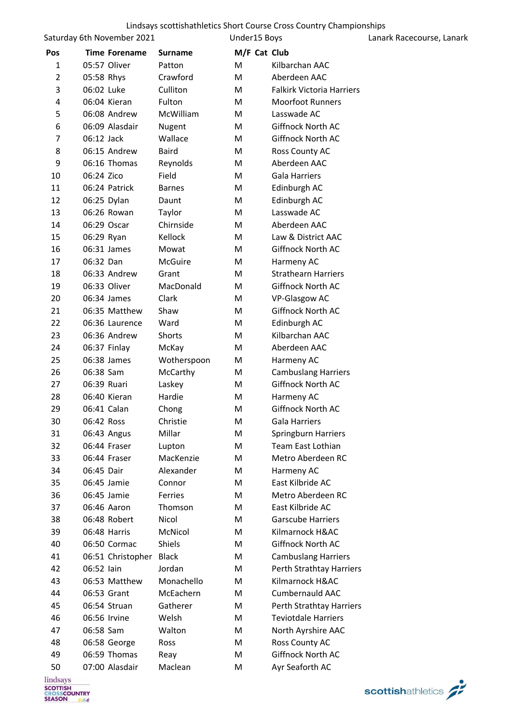Saturday 6th November 2021

Under15 Boys Lanark Racecourse, Lanark

| Pos     | <b>Time Forename</b> | <b>Surname</b> | M/F Cat Club |                                  |
|---------|----------------------|----------------|--------------|----------------------------------|
| 1       | 05:57 Oliver         | Patton         | M            | Kilbarchan AAC                   |
| 2       | 05:58 Rhys           | Crawford       | М            | Aberdeen AAC                     |
| 3       | 06:02 Luke           | Culliton       | М            | <b>Falkirk Victoria Harriers</b> |
| 4       | 06:04 Kieran         | Fulton         | М            | <b>Moorfoot Runners</b>          |
| 5       | 06:08 Andrew         | McWilliam      | М            | Lasswade AC                      |
| 6       | 06:09 Alasdair       | Nugent         | М            | Giffnock North AC                |
| 7       | 06:12 Jack           | Wallace        | М            | Giffnock North AC                |
| 8       | 06:15 Andrew         | <b>Baird</b>   | М            | Ross County AC                   |
| 9       | 06:16 Thomas         | Reynolds       | М            | Aberdeen AAC                     |
| 10      | 06:24 Zico           | Field          | М            | Gala Harriers                    |
| 11      | 06:24 Patrick        | <b>Barnes</b>  | М            | Edinburgh AC                     |
| 12      | 06:25 Dylan          | Daunt          | M            | Edinburgh AC                     |
| 13      | 06:26 Rowan          | Taylor         | М            | Lasswade AC                      |
| 14      | 06:29 Oscar          | Chirnside      | М            | Aberdeen AAC                     |
| 15      | 06:29 Ryan           | Kellock        | М            | Law & District AAC               |
| 16      | 06:31 James          | Mowat          | М            | Giffnock North AC                |
| 17      | 06:32 Dan            | McGuire        | М            | Harmeny AC                       |
| 18      | 06:33 Andrew         | Grant          | М            | <b>Strathearn Harriers</b>       |
| 19      | 06:33 Oliver         | MacDonald      | М            | Giffnock North AC                |
| 20      | 06:34 James          | Clark          | М            | VP-Glasgow AC                    |
| 21      | 06:35 Matthew        | Shaw           | М            | Giffnock North AC                |
| 22      | 06:36 Laurence       | Ward           | M            | Edinburgh AC                     |
| 23      | 06:36 Andrew         | Shorts         | M            | Kilbarchan AAC                   |
| 24      | 06:37 Finlay         | McKay          | М            | Aberdeen AAC                     |
| 25      | 06:38 James          | Wotherspoon    | M            | Harmeny AC                       |
| 26      | 06:38 Sam            | McCarthy       | М            | <b>Cambuslang Harriers</b>       |
| 27      | 06:39 Ruari          | Laskey         | М            | Giffnock North AC                |
| 28      | 06:40 Kieran         | Hardie         | М            | Harmeny AC                       |
| 29      | 06:41 Calan          | Chong          | М            | Giffnock North AC                |
| 30      | 06:42 Ross           | Christie       | М            | <b>Gala Harriers</b>             |
| 31      | 06:43 Angus          | Millar         | M            | Springburn Harriers              |
| 32      | 06:44 Fraser         | Lupton         | M            | Team East Lothian                |
| 33      | 06:44 Fraser         | MacKenzie      | M            | Metro Aberdeen RC                |
| 34      | 06:45 Dair           | Alexander      | M            | Harmeny AC                       |
| 35      | 06:45 Jamie          | Connor         | M            | East Kilbride AC                 |
| 36      | 06:45 Jamie          | Ferries        | M            | Metro Aberdeen RC                |
| 37      | 06:46 Aaron          | Thomson        | М            | East Kilbride AC                 |
| 38      | 06:48 Robert         | Nicol          | м            | <b>Garscube Harriers</b>         |
| 39      | 06:48 Harris         | McNicol        | M            | Kilmarnock H&AC                  |
| 40      | 06:50 Cormac         | Shiels         | М            | Giffnock North AC                |
| 41      | 06:51 Christopher    | <b>Black</b>   | M            | <b>Cambuslang Harriers</b>       |
| 42      | 06:52 lain           | Jordan         | М            | Perth Strathtay Harriers         |
| 43      | 06:53 Matthew        | Monachello     | M            | Kilmarnock H&AC                  |
| 44      | 06:53 Grant          | McEachern      | M            | <b>Cumbernauld AAC</b>           |
| 45      | 06:54 Struan         | Gatherer       | M            | Perth Strathtay Harriers         |
| 46      | 06:56 Irvine         | Welsh          | M            | <b>Teviotdale Harriers</b>       |
| 47      | 06:58 Sam            | Walton         | М            | North Ayrshire AAC               |
| 48      | 06:58 George         | Ross           | М            | Ross County AC                   |
| 49      | 06:59 Thomas         | Reay           | м            | Giffnock North AC                |
| 50      | 07:00 Alasdair       | Maclean        | M            | Ayr Seaforth AC                  |
| indeave |                      |                |              |                                  |

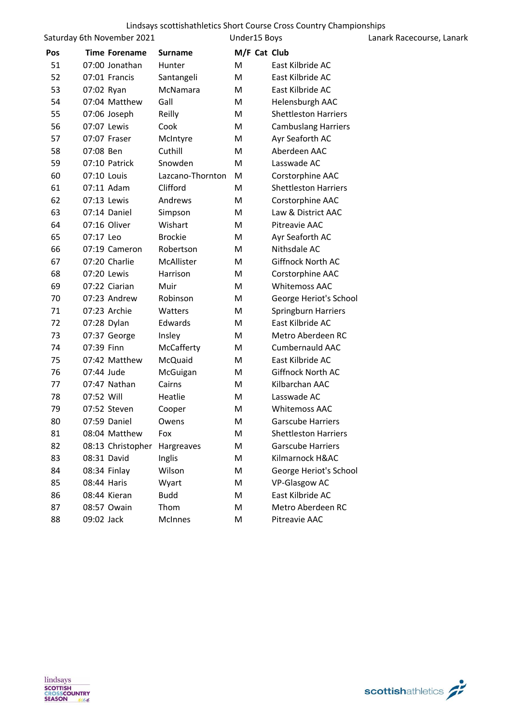Saturday 6th November 2021

Under15 Boys Lanark Racecourse, Lanark

| Pos | <b>Time Forename</b> | <b>Surname</b>   | M/F Cat Club |                             |
|-----|----------------------|------------------|--------------|-----------------------------|
| 51  | 07:00 Jonathan       | Hunter           | M            | East Kilbride AC            |
| 52  | 07:01 Francis        | Santangeli       | M            | East Kilbride AC            |
| 53  | 07:02 Ryan           | McNamara         | M            | East Kilbride AC            |
| 54  | 07:04 Matthew        | Gall             | М            | Helensburgh AAC             |
| 55  | 07:06 Joseph         | Reilly           | Μ            | <b>Shettleston Harriers</b> |
| 56  | 07:07 Lewis          | Cook             | Μ            | <b>Cambuslang Harriers</b>  |
| 57  | 07:07 Fraser         | McIntyre         | Μ            | Ayr Seaforth AC             |
| 58  | 07:08 Ben            | Cuthill          | M            | Aberdeen AAC                |
| 59  | 07:10 Patrick        | Snowden          | м            | Lasswade AC                 |
| 60  | 07:10 Louis          | Lazcano-Thornton | м            | Corstorphine AAC            |
| 61  | 07:11 Adam           | Clifford         | М            | <b>Shettleston Harriers</b> |
| 62  | 07:13 Lewis          | Andrews          | м            | Corstorphine AAC            |
| 63  | 07:14 Daniel         | Simpson          | M            | Law & District AAC          |
| 64  | 07:16 Oliver         | Wishart          | м            | Pitreavie AAC               |
| 65  | 07:17 Leo            | <b>Brockie</b>   | Μ            | Ayr Seaforth AC             |
| 66  | 07:19 Cameron        | Robertson        | M            | Nithsdale AC                |
| 67  | 07:20 Charlie        | McAllister       | M            | Giffnock North AC           |
| 68  | 07:20 Lewis          | Harrison         | Μ            | Corstorphine AAC            |
| 69  | 07:22 Ciarian        | Muir             | М            | <b>Whitemoss AAC</b>        |
| 70  | 07:23 Andrew         | Robinson         | М            | George Heriot's School      |
| 71  | 07:23 Archie         | Watters          | M            | <b>Springburn Harriers</b>  |
| 72  | 07:28 Dylan          | Edwards          | М            | East Kilbride AC            |
| 73  | 07:37 George         | Insley           | M            | Metro Aberdeen RC           |
| 74  | 07:39 Finn           | McCafferty       | M            | <b>Cumbernauld AAC</b>      |
| 75  | 07:42 Matthew        | McQuaid          | М            | East Kilbride AC            |
| 76  | 07:44 Jude           | McGuigan         | M            | Giffnock North AC           |
| 77  | 07:47 Nathan         | Cairns           | M            | Kilbarchan AAC              |
| 78  | 07:52 Will           | Heatlie          | M            | Lasswade AC                 |
| 79  | 07:52 Steven         | Cooper           | М            | <b>Whitemoss AAC</b>        |
| 80  | 07:59 Daniel         | Owens            | M            | <b>Garscube Harriers</b>    |
| 81  | 08:04 Matthew        | Fox              | M            | <b>Shettleston Harriers</b> |
| 82  | 08:13 Christopher    | Hargreaves       | M            | <b>Garscube Harriers</b>    |
| 83  | 08:31 David          | Inglis           | М            | Kilmarnock H&AC             |
| 84  | 08:34 Finlay         | Wilson           | M            | George Heriot's School      |
| 85  | 08:44 Haris          | Wyart            | Μ            | <b>VP-Glasgow AC</b>        |
| 86  | 08:44 Kieran         | <b>Budd</b>      | M            | East Kilbride AC            |
| 87  | 08:57 Owain          | Thom             | M            | Metro Aberdeen RC           |
| 88  | 09:02 Jack           | McInnes          | M            | Pitreavie AAC               |
|     |                      |                  |              |                             |

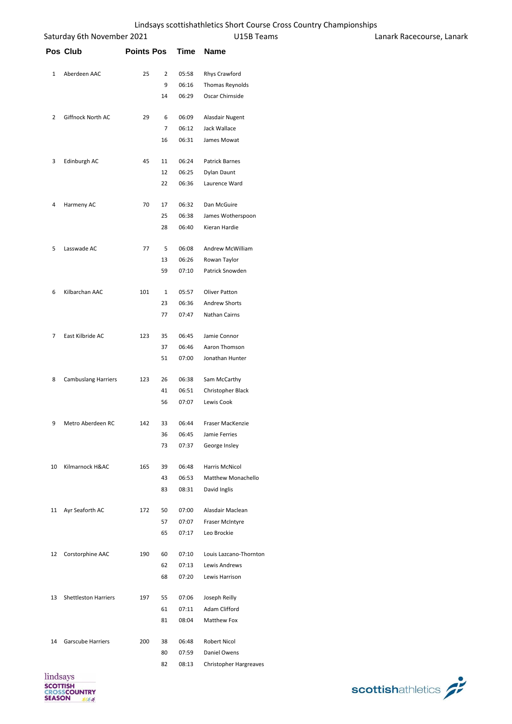|          | Saturday 6th November 2021  |                   |                |             | U15B Teams             | Lanark Racecourse, Lanark |
|----------|-----------------------------|-------------------|----------------|-------------|------------------------|---------------------------|
|          | Pos Club                    | <b>Points Pos</b> |                | <b>Time</b> | Name                   |                           |
| 1        | Aberdeen AAC                | 25                | $\overline{2}$ | 05:58       | Rhys Crawford          |                           |
|          |                             |                   | 9              | 06:16       | Thomas Reynolds        |                           |
|          |                             |                   | 14             | 06:29       | Oscar Chirnside        |                           |
| 2        | Giffnock North AC           | 29                | 6              | 06:09       | Alasdair Nugent        |                           |
|          |                             |                   | $\overline{7}$ | 06:12       | Jack Wallace           |                           |
|          |                             |                   | 16             | 06:31       | James Mowat            |                           |
| 3        | Edinburgh AC                | 45                | 11             | 06:24       | Patrick Barnes         |                           |
|          |                             |                   | 12             | 06:25       | Dylan Daunt            |                           |
|          |                             |                   | 22             | 06:36       | Laurence Ward          |                           |
| 4        | Harmeny AC                  | 70                | 17             | 06:32       | Dan McGuire            |                           |
|          |                             |                   | 25             | 06:38       | James Wotherspoon      |                           |
|          |                             |                   | 28             | 06:40       | Kieran Hardie          |                           |
| 5        | Lasswade AC                 | 77                | 5              | 06:08       | Andrew McWilliam       |                           |
|          |                             |                   | 13             | 06:26       | Rowan Taylor           |                           |
|          |                             |                   | 59             | 07:10       | Patrick Snowden        |                           |
| 6        | Kilbarchan AAC              | 101               | $\mathbf{1}$   | 05:57       | <b>Oliver Patton</b>   |                           |
|          |                             |                   | 23             | 06:36       | <b>Andrew Shorts</b>   |                           |
|          |                             |                   | 77             | 07:47       | Nathan Cairns          |                           |
| 7        | East Kilbride AC            | 123               | 35             | 06:45       | Jamie Connor           |                           |
|          |                             |                   | 37             | 06:46       | Aaron Thomson          |                           |
|          |                             |                   | 51             | 07:00       | Jonathan Hunter        |                           |
| 8        | <b>Cambuslang Harriers</b>  | 123               | 26             | 06:38       | Sam McCarthy           |                           |
|          |                             |                   | 41             | 06:51       | Christopher Black      |                           |
|          |                             |                   | 56             | 07:07       | Lewis Cook             |                           |
| 9        | Metro Aberdeen RC           | 142               | 33             | 06:44       | Fraser MacKenzie       |                           |
|          |                             |                   | 36             | 06:45       | Jamie Ferries          |                           |
|          |                             |                   | 73             | 07:37       | George Insley          |                           |
| 10       | Kilmarnock H&AC             | 165               | 39             | 06:48       | Harris McNicol         |                           |
|          |                             |                   | 43             | 06:53       | Matthew Monachello     |                           |
|          |                             |                   | 83             | 08:31       | David Inglis           |                           |
|          | 11 Ayr Seaforth AC          | 172               | 50             | 07:00       | Alasdair Maclean       |                           |
|          |                             |                   | 57             | 07:07       | Fraser McIntyre        |                           |
|          |                             |                   | 65             | 07:17       | Leo Brockie            |                           |
|          | 12 Corstorphine AAC         | 190               | 60             | 07:10       | Louis Lazcano-Thornton |                           |
|          |                             |                   | 62             | 07:13       | Lewis Andrews          |                           |
|          |                             |                   | 68             | 07:20       | Lewis Harrison         |                           |
| 13       | <b>Shettleston Harriers</b> | 197               | 55             | 07:06       | Joseph Reilly          |                           |
|          |                             |                   | 61             | 07:11       | Adam Clifford          |                           |
|          |                             |                   | 81             | 08:04       | Matthew Fox            |                           |
| 14       | <b>Garscube Harriers</b>    | 200               | 38             | 06:48       | Robert Nicol           |                           |
|          |                             |                   | 80             | 07:59       | Daniel Owens           |                           |
|          |                             |                   | 82             | 08:13       | Christopher Hargreaves |                           |
| lindcove |                             |                   |                |             |                        |                           |

lindsays **SCOTTISH<br>CROSSCOUNTRY**<br>SEASON

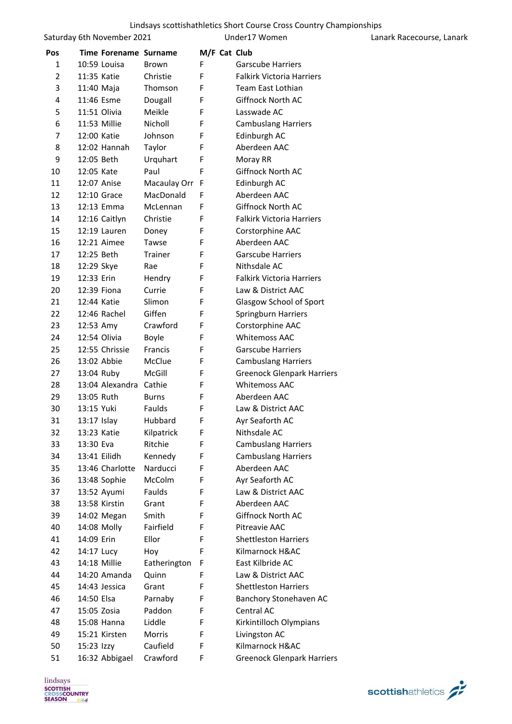|     | Saturday 6th November 2021 |                |   | Under17 Women                     | Lanark Racecourse, Lanark |
|-----|----------------------------|----------------|---|-----------------------------------|---------------------------|
| Pos | Time Forename Surname      |                |   | M/F Cat Club                      |                           |
| 1   | 10:59 Louisa               | <b>Brown</b>   | F | <b>Garscube Harriers</b>          |                           |
| 2   | 11:35 Katie                | Christie       | F | <b>Falkirk Victoria Harriers</b>  |                           |
| 3   | 11:40 Maja                 | Thomson        | F | Team East Lothian                 |                           |
| 4   | 11:46 Esme                 | Dougall        | F | Giffnock North AC                 |                           |
| 5   | 11:51 Olivia               | Meikle         | F | Lasswade AC                       |                           |
| 6   | 11:53 Millie               | Nicholl        | F | <b>Cambuslang Harriers</b>        |                           |
| 7   | 12:00 Katie                | Johnson        | F | Edinburgh AC                      |                           |
| 8   | 12:02 Hannah               | Taylor         | F | Aberdeen AAC                      |                           |
| 9   | 12:05 Beth                 | Urquhart       | F | Moray RR                          |                           |
| 10  | 12:05 Kate                 | Paul           | F | Giffnock North AC                 |                           |
| 11  | 12:07 Anise                | Macaulay Orr F |   | Edinburgh AC                      |                           |
| 12  | 12:10 Grace                | MacDonald      | F | Aberdeen AAC                      |                           |
| 13  | 12:13 Emma                 | McLennan       | F | Giffnock North AC                 |                           |
| 14  | 12:16 Caitlyn              | Christie       | F | <b>Falkirk Victoria Harriers</b>  |                           |
| 15  | 12:19 Lauren               | Doney          | F | Corstorphine AAC                  |                           |
| 16  | 12:21 Aimee                | Tawse          | F | Aberdeen AAC                      |                           |
| 17  | 12:25 Beth                 | Trainer        | F | <b>Garscube Harriers</b>          |                           |
| 18  | 12:29 Skye                 | Rae            | F | Nithsdale AC                      |                           |
| 19  | 12:33 Erin                 | Hendry         | F | <b>Falkirk Victoria Harriers</b>  |                           |
| 20  | 12:39 Fiona                | Currie         | F | Law & District AAC                |                           |
| 21  | 12:44 Katie                | Slimon         | F | Glasgow School of Sport           |                           |
| 22  | 12:46 Rachel               | Giffen         | F | Springburn Harriers               |                           |
| 23  | 12:53 Amy                  | Crawford       | F | Corstorphine AAC                  |                           |
| 24  | 12:54 Olivia               | Boyle          | F | <b>Whitemoss AAC</b>              |                           |
| 25  | 12:55 Chrissie             | Francis        | F | <b>Garscube Harriers</b>          |                           |
| 26  | 13:02 Abbie                | McClue         | F | <b>Cambuslang Harriers</b>        |                           |
| 27  | 13:04 Ruby                 | McGill         | F | <b>Greenock Glenpark Harriers</b> |                           |
| 28  | 13:04 Alexandra            | Cathie         | F | <b>Whitemoss AAC</b>              |                           |
| 29  | 13:05 Ruth                 | <b>Burns</b>   | F | Aberdeen AAC                      |                           |
| 30  | 13:15 Yuki                 | Faulds         | F | Law & District AAC                |                           |
| 31  | 13:17 Islay                | Hubbard        | F | Ayr Seaforth AC                   |                           |
| 32  | 13:23 Katie                | Kilpatrick     | F | Nithsdale AC                      |                           |
| 33  | 13:30 Eva                  | Ritchie        | F | <b>Cambuslang Harriers</b>        |                           |
| 34  | 13:41 Eilidh               | Kennedy        | F | <b>Cambuslang Harriers</b>        |                           |
| 35  | 13:46 Charlotte            | Narducci       | F | Aberdeen AAC                      |                           |
| 36  | 13:48 Sophie               | McColm         | F | Ayr Seaforth AC                   |                           |
| 37  | 13:52 Ayumi                | Faulds         | F | Law & District AAC                |                           |
| 38  | 13:58 Kirstin              | Grant          | F | Aberdeen AAC                      |                           |
| 39  | 14:02 Megan                | Smith          | F | Giffnock North AC                 |                           |
| 40  | 14:08 Molly                | Fairfield      | F | Pitreavie AAC                     |                           |
| 41  | 14:09 Erin                 | Ellor          | F | <b>Shettleston Harriers</b>       |                           |
| 42  | 14:17 Lucy                 | Hoy            | F | Kilmarnock H&AC                   |                           |
| 43  | 14:18 Millie               | Eatherington   | F | East Kilbride AC                  |                           |
| 44  | 14:20 Amanda               | Quinn          | F | Law & District AAC                |                           |
| 45  | 14:43 Jessica              | Grant          | F | <b>Shettleston Harriers</b>       |                           |
| 46  | 14:50 Elsa                 | Parnaby        | F | Banchory Stonehaven AC            |                           |
| 47  | 15:05 Zosia                | Paddon         | F | Central AC                        |                           |
| 48  | 15:08 Hanna                | Liddle         | F | Kirkintilloch Olympians           |                           |
| 49  | 15:21 Kirsten              | Morris         | F | Livingston AC                     |                           |
| 50  | 15:23 Izzy                 | Caufield       | F | Kilmarnock H&AC                   |                           |

16:32 Abbigael Crawford F Greenock Glenpark Harriers

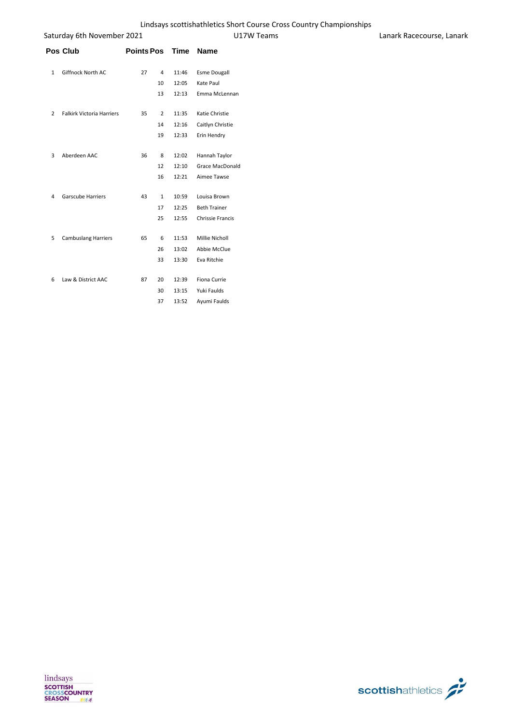| Saturday 6th November 2021<br>Pos Club<br><b>Points Pos</b> |                                  | U17W Teams | Lanark Racecourse, Lanark |       |                     |  |
|-------------------------------------------------------------|----------------------------------|------------|---------------------------|-------|---------------------|--|
|                                                             |                                  |            |                           |       | Time Name           |  |
| 1                                                           | Giffnock North AC                | 27         | 4                         | 11:46 | <b>Esme Dougall</b> |  |
|                                                             |                                  |            | 10                        | 12:05 | Kate Paul           |  |
|                                                             |                                  |            | 13                        | 12:13 | Emma McLennan       |  |
| 2                                                           | <b>Falkirk Victoria Harriers</b> | 35         | 2                         | 11:35 | Katie Christie      |  |
|                                                             |                                  |            | 14                        | 12:16 | Caitlyn Christie    |  |
|                                                             |                                  |            | 19                        | 12:33 | Erin Hendry         |  |
| 3                                                           | Aberdeen AAC                     | 36         | 8                         | 12:02 | Hannah Taylor       |  |
|                                                             |                                  |            | 12                        | 12:10 | Grace MacDonald     |  |
|                                                             |                                  |            | 16                        | 12:21 | Aimee Tawse         |  |
| 4                                                           | Garscube Harriers                | 43         | $\mathbf{1}$              | 10:59 | Louisa Brown        |  |
|                                                             |                                  |            | 17                        | 12:25 | <b>Beth Trainer</b> |  |
|                                                             |                                  |            | 25                        | 12:55 | Chrissie Francis    |  |
| 5                                                           | <b>Cambuslang Harriers</b>       | 65         | 6                         | 11:53 | Millie Nicholl      |  |
|                                                             |                                  |            | 26                        | 13:02 | Abbie McClue        |  |
|                                                             |                                  |            | 33                        | 13:30 | Eva Ritchie         |  |
| 6                                                           | Law & District AAC               | 87         | 20                        | 12:39 | Fiona Currie        |  |
|                                                             |                                  |            | 30                        | 13:15 | Yuki Faulds         |  |
|                                                             |                                  |            | 37                        | 13:52 | Ayumi Faulds        |  |



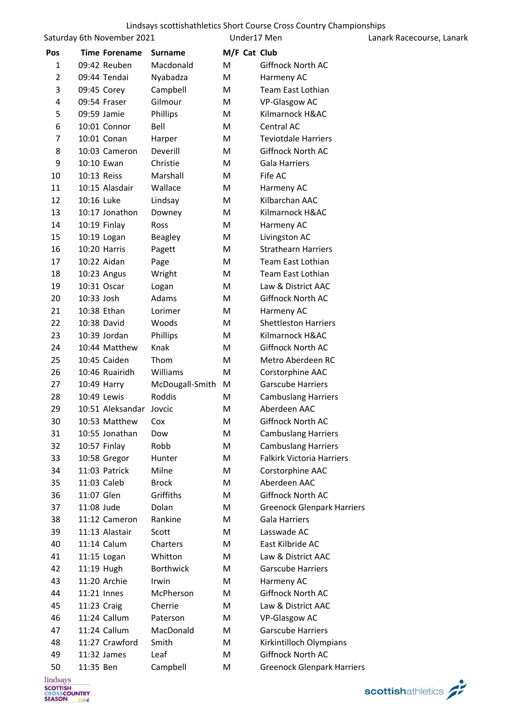|                | Saturday 6th November 2021 |                         |                  |              | Under17 Men                       | Lanark Racecourse, Lanark |
|----------------|----------------------------|-------------------------|------------------|--------------|-----------------------------------|---------------------------|
| Pos            |                            | <b>Time Forename</b>    | <b>Surname</b>   | M/F Cat Club |                                   |                           |
| $\mathbf{1}$   | 09:42 Reuben               |                         | Macdonald        | M            | Giffnock North AC                 |                           |
| $\overline{2}$ | 09:44 Tendai               |                         | Nyabadza         | M            | Harmeny AC                        |                           |
| 3              | 09:45 Corey                |                         | Campbell         | M            | <b>Team East Lothian</b>          |                           |
| 4              | 09:54 Fraser               |                         | Gilmour          | М            | VP-Glasgow AC                     |                           |
| 5              | 09:59 Jamie                |                         | Phillips         | M            | Kilmarnock H&AC                   |                           |
| 6              | 10:01 Connor               |                         | Bell             | М            | Central AC                        |                           |
| 7              | 10:01 Conan                |                         | Harper           | M            | <b>Teviotdale Harriers</b>        |                           |
| 8              | 10:03 Cameron              |                         | Deverill         | м            | Giffnock North AC                 |                           |
| 9              | 10:10 Ewan                 |                         | Christie         | М            | <b>Gala Harriers</b>              |                           |
| 10             | 10:13 Reiss                |                         | Marshall         | M            | Fife AC                           |                           |
| 11             | 10:15 Alasdair             |                         | Wallace          | M            | Harmeny AC                        |                           |
| 12             | 10:16 Luke                 |                         | Lindsay          | M            | Kilbarchan AAC                    |                           |
| 13             | 10:17 Jonathon             |                         | Downey           | M            | Kilmarnock H&AC                   |                           |
| 14             | 10:19 Finlay               |                         | Ross             | M            | Harmeny AC                        |                           |
| 15             | 10:19 Logan                |                         | <b>Beagley</b>   | M            | Livingston AC                     |                           |
| 16             | 10:20 Harris               |                         | Pagett           | M            | <b>Strathearn Harriers</b>        |                           |
| 17             | 10:22 Aidan                |                         | Page             | M            | <b>Team East Lothian</b>          |                           |
| 18             | 10:23 Angus                |                         | Wright           | M            | Team East Lothian                 |                           |
| 19             | 10:31 Oscar                |                         | Logan            | M            | Law & District AAC                |                           |
| 20             | 10:33 Josh                 |                         | Adams            | M            | Giffnock North AC                 |                           |
| 21             | 10:38 Ethan                |                         | Lorimer          | M            | Harmeny AC                        |                           |
| 22             | 10:38 David                |                         | Woods            | M            | <b>Shettleston Harriers</b>       |                           |
| 23             | 10:39 Jordan               |                         | Phillips         | M            | Kilmarnock H&AC                   |                           |
| 24             | 10:44 Matthew              |                         | Knak             | м            | Giffnock North AC                 |                           |
| 25             | 10:45 Caiden               |                         | Thom             | M            | Metro Aberdeen RC                 |                           |
| 26             | 10:46 Ruairidh             |                         | Williams         | M            | Corstorphine AAC                  |                           |
| 27             | 10:49 Harry                |                         | McDougall-Smith  | M            | <b>Garscube Harriers</b>          |                           |
| 28             | 10:49 Lewis                |                         | Roddis           | M            | <b>Cambuslang Harriers</b>        |                           |
| 29             |                            | 10:51 Aleksandar Jovcic |                  | M            | Aberdeen AAC                      |                           |
| 30             | 10:53 Matthew              |                         | Cox              | M            | Giffnock North AC                 |                           |
| 31             | 10:55 Jonathan             |                         | Dow              | M            | <b>Cambuslang Harriers</b>        |                           |
| 32             | 10:57 Finlay               |                         | Robb             | M            | <b>Cambuslang Harriers</b>        |                           |
| 33             | 10:58 Gregor               |                         | Hunter           | M            | <b>Falkirk Victoria Harriers</b>  |                           |
| 34             | 11:03 Patrick              |                         | Milne            | M            | Corstorphine AAC                  |                           |
| 35             | 11:03 Caleb                |                         | <b>Brock</b>     | M            | Aberdeen AAC                      |                           |
| 36             | 11:07 Glen                 |                         | Griffiths        | M            | <b>Giffnock North AC</b>          |                           |
| 37             | 11:08 Jude                 |                         | Dolan            | M            | <b>Greenock Glenpark Harriers</b> |                           |
| 38             | 11:12 Cameron              |                         | Rankine          | M            | <b>Gala Harriers</b>              |                           |
| 39             | 11:13 Alastair             |                         | Scott            | M            | Lasswade AC                       |                           |
| 40             | 11:14 Calum                |                         | Charters         | M            | East Kilbride AC                  |                           |
| 41             | 11:15 Logan                |                         | Whitton          | M            | Law & District AAC                |                           |
| 42             | 11:19 Hugh                 |                         | <b>Borthwick</b> | М            | <b>Garscube Harriers</b>          |                           |
| 43             | 11:20 Archie               |                         | Irwin            | M            | Harmeny AC                        |                           |
| 44             | 11:21 Innes                |                         | McPherson        | M            | Giffnock North AC                 |                           |
| 45             | 11:23 Craig                |                         | Cherrie          | M            | Law & District AAC                |                           |
| 46             | 11:24 Callum               |                         | Paterson         | M            | VP-Glasgow AC                     |                           |
| 47             | 11:24 Callum               |                         | MacDonald        | M            | <b>Garscube Harriers</b>          |                           |
| 48             | 11:27 Crawford             |                         | Smith            | M            | Kirkintilloch Olympians           |                           |
| 49             | 11:32 James                |                         | Leaf             | M            | Giffnock North AC                 |                           |
| 50             | 11:35 Ben                  |                         | Campbell         | Μ            | <b>Greenock Glenpark Harriers</b> |                           |

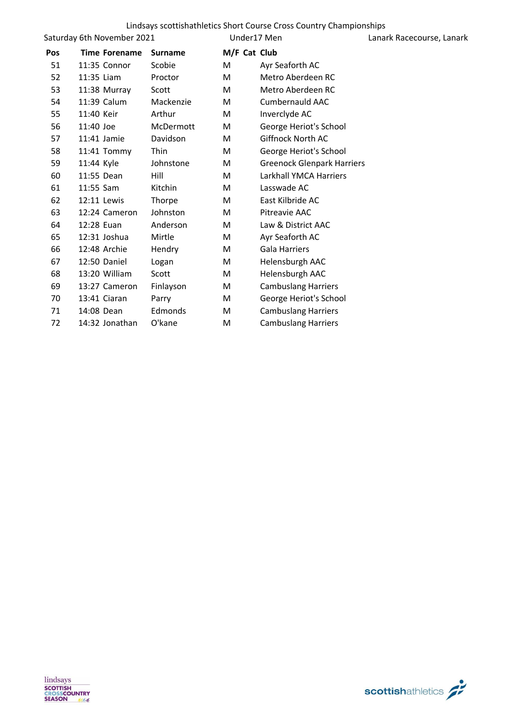|     | Saturday 6th November 2021 |                  | Under17 Men  |                                   | Lanark Racecourse, Lanark |
|-----|----------------------------|------------------|--------------|-----------------------------------|---------------------------|
| Pos | <b>Time Forename</b>       | <b>Surname</b>   | M/F Cat Club |                                   |                           |
| 51  | 11:35 Connor               | Scobie           | M            | Ayr Seaforth AC                   |                           |
| 52  | 11:35 Liam                 | Proctor          | M            | Metro Aberdeen RC                 |                           |
| 53  | 11:38 Murray               | Scott            | M            | Metro Aberdeen RC                 |                           |
| 54  | 11:39 Calum                | Mackenzie        | M            | <b>Cumbernauld AAC</b>            |                           |
| 55  | 11:40 Keir                 | Arthur           | M            | Inverclyde AC                     |                           |
| 56  | 11:40 Joe                  | <b>McDermott</b> | M            | George Heriot's School            |                           |
| 57  | 11:41 Jamie                | Davidson         | M            | Giffnock North AC                 |                           |
| 58  | 11:41 Tommy                | Thin             | M            | George Heriot's School            |                           |
| 59  | 11:44 Kyle                 | Johnstone        | M            | <b>Greenock Glenpark Harriers</b> |                           |
| 60  | 11:55 Dean                 | Hill             | M            | Larkhall YMCA Harriers            |                           |
| 61  | 11:55 Sam                  | Kitchin          | M            | Lasswade AC                       |                           |
| 62  | 12:11 Lewis                | Thorpe           | M            | East Kilbride AC                  |                           |
| 63  | 12:24 Cameron              | Johnston         | M            | Pitreavie AAC                     |                           |
| 64  | 12:28 Euan                 | Anderson         | M            | Law & District AAC                |                           |
| 65  | 12:31 Joshua               | Mirtle           | M            | Ayr Seaforth AC                   |                           |
| 66  | 12:48 Archie               | Hendry           | M            | <b>Gala Harriers</b>              |                           |
| 67  | 12:50 Daniel               | Logan            | M            | Helensburgh AAC                   |                           |
| 68  | 13:20 William              | Scott            | M            | Helensburgh AAC                   |                           |
| 69  | 13:27 Cameron              | Finlayson        | M            | <b>Cambuslang Harriers</b>        |                           |
| 70  | 13:41 Ciaran               | Parry            | M            | George Heriot's School            |                           |
| 71  | 14:08 Dean                 | Edmonds          | M            | <b>Cambuslang Harriers</b>        |                           |
| 72  | 14:32 Jonathan             | O'kane           | M            | <b>Cambuslang Harriers</b>        |                           |

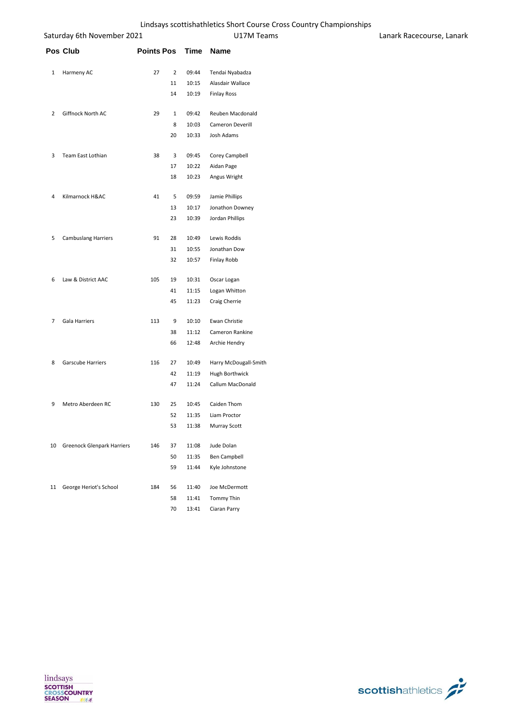|   | Saturday 6th November 2021    |                      |             | U17M Teams            | Lanark Racecourse, Lanark |
|---|-------------------------------|----------------------|-------------|-----------------------|---------------------------|
|   | Pos Club                      | <b>Points Pos</b>    | <b>Time</b> | <b>Name</b>           |                           |
| 1 | Harmeny AC                    | 27<br>$\overline{2}$ | 09:44       | Tendai Nyabadza       |                           |
|   |                               | 11                   | 10:15       | Alasdair Wallace      |                           |
|   |                               | 14                   | 10:19       | <b>Finlay Ross</b>    |                           |
| 2 | Giffnock North AC             | 29<br>$\mathbf{1}$   | 09:42       | Reuben Macdonald      |                           |
|   |                               | 8                    | 10:03       | Cameron Deverill      |                           |
|   |                               | 20                   | 10:33       | Josh Adams            |                           |
| 3 | Team East Lothian             | 38<br>3              | 09:45       | Corey Campbell        |                           |
|   |                               | 17                   | 10:22       | Aidan Page            |                           |
|   |                               | 18                   | 10:23       | Angus Wright          |                           |
| 4 | Kilmarnock H&AC               | 41<br>5              | 09:59       | Jamie Phillips        |                           |
|   |                               | 13                   | 10:17       | Jonathon Downey       |                           |
|   |                               | 23                   | 10:39       | Jordan Phillips       |                           |
| 5 | <b>Cambuslang Harriers</b>    | 91<br>28             | 10:49       | Lewis Roddis          |                           |
|   |                               | 31                   | 10:55       | Jonathan Dow          |                           |
|   |                               | 32                   | 10:57       | Finlay Robb           |                           |
| 6 | Law & District AAC            | 105<br>19            | 10:31       | Oscar Logan           |                           |
|   |                               | 41                   | 11:15       | Logan Whitton         |                           |
|   |                               | 45                   | 11:23       | Craig Cherrie         |                           |
| 7 | Gala Harriers                 | 113<br>9             | 10:10       | Ewan Christie         |                           |
|   |                               | 38                   | 11:12       | Cameron Rankine       |                           |
|   |                               | 66                   | 12:48       | Archie Hendry         |                           |
| 8 | Garscube Harriers             | 116<br>27            | 10:49       | Harry McDougall-Smith |                           |
|   |                               | 42                   | 11:19       | Hugh Borthwick        |                           |
|   |                               | 47                   | 11:24       | Callum MacDonald      |                           |
| 9 | Metro Aberdeen RC             | 130<br>25            | 10:45       | Caiden Thom           |                           |
|   |                               | 52                   | 11:35       | Liam Proctor          |                           |
|   |                               | 53                   | 11:38       | <b>Murray Scott</b>   |                           |
|   | 10 Greenock Glenpark Harriers | 146<br>37            | 11:08       | Jude Dolan            |                           |
|   |                               | 50                   | 11:35       | Ben Campbell          |                           |
|   |                               | 59                   | 11:44       | Kyle Johnstone        |                           |
|   | 11 George Heriot's School     | 184<br>56            | 11:40       | Joe McDermott         |                           |
|   |                               | 58                   | 11:41       | Tommy Thin            |                           |
|   |                               | 70                   | 13:41       | Ciaran Parry          |                           |



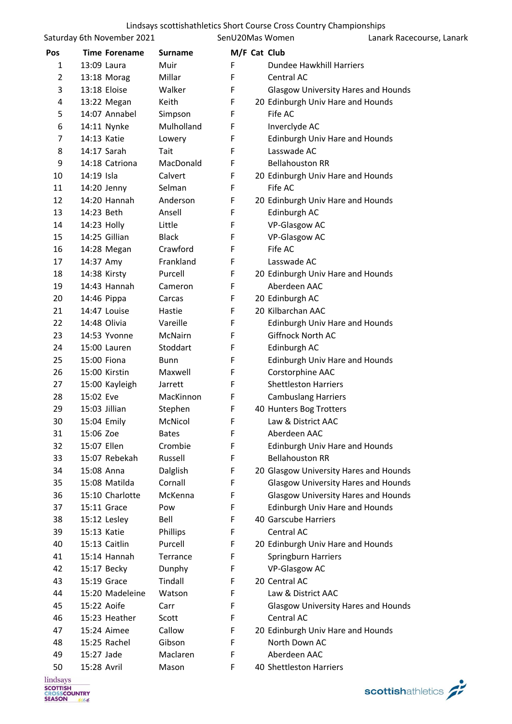|          | Saturday 6th November 2021     |                 | SenU20Mas Women | Lanark Racecourse, Lanark                          |
|----------|--------------------------------|-----------------|-----------------|----------------------------------------------------|
| Pos      | <b>Time Forename</b>           | <b>Surname</b>  | M/F Cat Club    |                                                    |
| 1        | 13:09 Laura                    | Muir            | F               | Dundee Hawkhill Harriers                           |
| 2        | 13:18 Morag                    | Millar          | F               | Central AC                                         |
| 3        | 13:18 Eloise                   | Walker          | F               | <b>Glasgow University Hares and Hounds</b>         |
| 4        | 13:22 Megan                    | Keith           | F               | 20 Edinburgh Univ Hare and Hounds                  |
| 5        | 14:07 Annabel                  | Simpson         | F               | Fife AC                                            |
| 6        | 14:11 Nynke                    | Mulholland      | F               | Inverclyde AC                                      |
| 7        | 14:13 Katie                    | Lowery          | F               | Edinburgh Univ Hare and Hounds                     |
| 8        | 14:17 Sarah                    | Tait            | F               | Lasswade AC                                        |
| 9        | 14:18 Catriona                 | MacDonald       | F               | <b>Bellahouston RR</b>                             |
| 10       | 14:19 Isla                     | Calvert         | F               | 20 Edinburgh Univ Hare and Hounds                  |
| 11       | 14:20 Jenny                    | Selman          | F               | Fife AC                                            |
| 12       | 14:20 Hannah                   | Anderson        | F               | 20 Edinburgh Univ Hare and Hounds                  |
| 13       | 14:23 Beth                     | Ansell          | F               | Edinburgh AC                                       |
| 14       | 14:23 Holly                    | Little          | F               | VP-Glasgow AC                                      |
| 15       | 14:25 Gillian                  | <b>Black</b>    | F               | VP-Glasgow AC                                      |
| 16       | 14:28 Megan                    | Crawford        | F               | Fife AC                                            |
| 17       | 14:37 Amy                      | Frankland       | F               | Lasswade AC                                        |
| 18       | 14:38 Kirsty                   | Purcell         | F               | 20 Edinburgh Univ Hare and Hounds                  |
| 19       | 14:43 Hannah                   | Cameron         | F               | Aberdeen AAC                                       |
| 20       | 14:46 Pippa                    | Carcas          | F               | 20 Edinburgh AC                                    |
| 21       | 14:47 Louise                   | Hastie          | F               | 20 Kilbarchan AAC                                  |
| 22       | 14:48 Olivia                   | Vareille        | F               | Edinburgh Univ Hare and Hounds                     |
| 23       | 14:53 Yvonne                   | McNairn         | F               | Giffnock North AC                                  |
| 24       | 15:00 Lauren                   | Stoddart        | F               | Edinburgh AC                                       |
| 25       | 15:00 Fiona                    | Bunn            | F               | Edinburgh Univ Hare and Hounds                     |
| 26       | 15:00 Kirstin                  | Maxwell         | F               | Corstorphine AAC                                   |
| 27       | 15:00 Kayleigh                 | Jarrett         | F               | <b>Shettleston Harriers</b>                        |
| 28       | 15:02 Eve                      | MacKinnon       | F               | <b>Cambuslang Harriers</b>                         |
| 29       | 15:03 Jillian                  | Stephen         | F               | 40 Hunters Bog Trotters                            |
| 30       | 15:04 Emily                    | McNicol         | F               | Law & District AAC                                 |
| 31       | 15:06 Zoe                      | <b>Bates</b>    | F               | Aberdeen AAC                                       |
| 32       | 15:07 Ellen                    | Crombie         | F               | Edinburgh Univ Hare and Hounds                     |
| 33       | 15:07 Rebekah                  | Russell         | F               | <b>Bellahouston RR</b>                             |
| 34       | 15:08 Anna                     | Dalglish        | F               | 20 Glasgow University Hares and Hounds             |
| 35       | 15:08 Matilda                  | Cornall         | F               | <b>Glasgow University Hares and Hounds</b>         |
| 36       | 15:10 Charlotte                | McKenna         | F               | <b>Glasgow University Hares and Hounds</b>         |
| 37       | 15:11 Grace                    | Pow             | F               | <b>Edinburgh Univ Hare and Hounds</b>              |
| 38       | 15:12 Lesley                   | Bell            | F               | 40 Garscube Harriers                               |
| 39       | 15:13 Katie                    | Phillips        | F               | Central AC                                         |
| 40       | 15:13 Caitlin                  | Purcell         | F               | 20 Edinburgh Univ Hare and Hounds                  |
| 41       | 15:14 Hannah                   | Terrance        | F               | Springburn Harriers                                |
| 42       | 15:17 Becky                    | Dunphy          | F               | VP-Glasgow AC                                      |
| 43       | 15:19 Grace                    | Tindall         | F               | 20 Central AC                                      |
| 44       | 15:20 Madeleine<br>15:22 Aoife | Watson          | F               | Law & District AAC                                 |
| 45       |                                | Carr            | F               | <b>Glasgow University Hares and Hounds</b>         |
| 46       | 15:23 Heather<br>15:24 Aimee   | Scott<br>Callow | F<br>F          | Central AC                                         |
| 47<br>48 | 15:25 Rachel                   | Gibson          | F               | 20 Edinburgh Univ Hare and Hounds<br>North Down AC |
| 49       | 15:27 Jade                     | Maclaren        | F               | Aberdeen AAC                                       |
| 50       | 15:28 Avril                    | Mason           | F,              | 40 Shettleston Harriers                            |
|          |                                |                 |                 |                                                    |

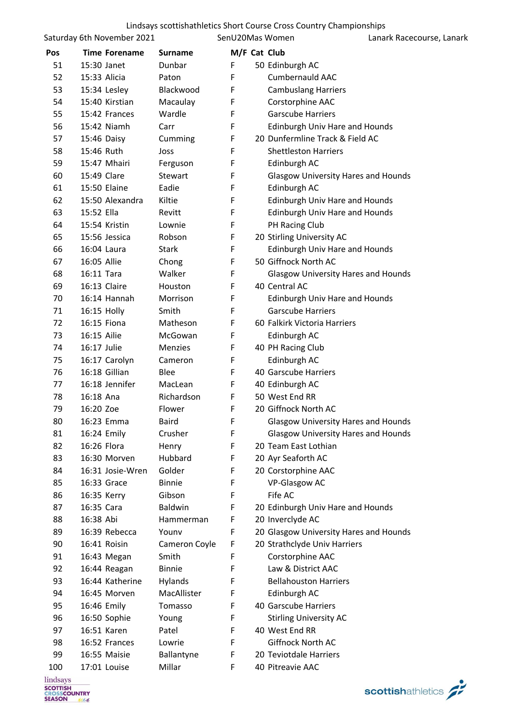|     | Saturday 6th November 2021 |                | SenU20Mas Women |                                            | Lanark Racecourse, Lanark |
|-----|----------------------------|----------------|-----------------|--------------------------------------------|---------------------------|
| Pos | <b>Time Forename</b>       | <b>Surname</b> | M/F Cat Club    |                                            |                           |
| 51  | 15:30 Janet                | Dunbar         | F               | 50 Edinburgh AC                            |                           |
| 52  | 15:33 Alicia               | Paton          | F               | Cumbernauld AAC                            |                           |
| 53  | 15:34 Lesley               | Blackwood      | F               | <b>Cambuslang Harriers</b>                 |                           |
| 54  | 15:40 Kirstian             | Macaulay       | F               | Corstorphine AAC                           |                           |
| 55  | 15:42 Frances              | Wardle         | F               | <b>Garscube Harriers</b>                   |                           |
| 56  | 15:42 Niamh                | Carr           | F               | Edinburgh Univ Hare and Hounds             |                           |
| 57  | 15:46 Daisy                | Cumming        | F               | 20 Dunfermline Track & Field AC            |                           |
| 58  | 15:46 Ruth                 | Joss           | F               | <b>Shettleston Harriers</b>                |                           |
| 59  | 15:47 Mhairi               | Ferguson       | F               | Edinburgh AC                               |                           |
| 60  | 15:49 Clare                | Stewart        | F               | <b>Glasgow University Hares and Hounds</b> |                           |
| 61  | 15:50 Elaine               | Eadie          | F               | Edinburgh AC                               |                           |
| 62  | 15:50 Alexandra            | Kiltie         | F               | <b>Edinburgh Univ Hare and Hounds</b>      |                           |
| 63  | 15:52 Ella                 | Revitt         | F               | <b>Edinburgh Univ Hare and Hounds</b>      |                           |
| 64  | 15:54 Kristin              | Lownie         | F               | PH Racing Club                             |                           |
| 65  | 15:56 Jessica              | Robson         | F               | 20 Stirling University AC                  |                           |
| 66  | 16:04 Laura                | <b>Stark</b>   | F               | <b>Edinburgh Univ Hare and Hounds</b>      |                           |
| 67  | 16:05 Allie                | Chong          | F               | 50 Giffnock North AC                       |                           |
| 68  | 16:11 Tara                 | Walker         | F               | <b>Glasgow University Hares and Hounds</b> |                           |
| 69  | 16:13 Claire               | Houston        | F               | 40 Central AC                              |                           |
| 70  | 16:14 Hannah               | Morrison       | F               | <b>Edinburgh Univ Hare and Hounds</b>      |                           |
| 71  | 16:15 Holly                | Smith          | F               | <b>Garscube Harriers</b>                   |                           |
| 72  | 16:15 Fiona                | Matheson       | F               | 60 Falkirk Victoria Harriers               |                           |
| 73  | 16:15 Ailie                | McGowan        | F               | Edinburgh AC                               |                           |
| 74  | 16:17 Julie                | Menzies        | F               | 40 PH Racing Club                          |                           |
| 75  | 16:17 Carolyn              | Cameron        | F               | Edinburgh AC                               |                           |
| 76  | 16:18 Gillian              | Blee           | F               | 40 Garscube Harriers                       |                           |
| 77  | 16:18 Jennifer             | MacLean        | F               | 40 Edinburgh AC                            |                           |
| 78  | 16:18 Ana                  | Richardson     | F               | 50 West End RR                             |                           |
| 79  | 16:20 Zoe                  | Flower         | F               | 20 Giffnock North AC                       |                           |
| 80  | 16:23 Emma                 | Baird          | F               | <b>Glasgow University Hares and Hounds</b> |                           |
| 81  | 16:24 Emily                | Crusher        | F               | <b>Glasgow University Hares and Hounds</b> |                           |
| 82  | 16:26 Flora                | Henry          | F               | 20 Team East Lothian                       |                           |
| 83  | 16:30 Morven               | Hubbard        | F               | 20 Ayr Seaforth AC                         |                           |
| 84  | 16:31 Josie-Wren           | Golder         | F               | 20 Corstorphine AAC                        |                           |
| 85  | 16:33 Grace                | <b>Binnie</b>  | F               | <b>VP-Glasgow AC</b>                       |                           |
| 86  | 16:35 Kerry                | Gibson         | F               | Fife AC                                    |                           |
| 87  | 16:35 Cara                 | <b>Baldwin</b> | F               | 20 Edinburgh Univ Hare and Hounds          |                           |
| 88  | 16:38 Abi                  | Hammerman      | F               | 20 Inverclyde AC                           |                           |
| 89  | 16:39 Rebecca              | Younv          | F               | 20 Glasgow University Hares and Hounds     |                           |
| 90  | 16:41 Roisin               | Cameron Coyle  | F               | 20 Strathclyde Univ Harriers               |                           |
| 91  | 16:43 Megan                | Smith          | F               | Corstorphine AAC                           |                           |
| 92  | 16:44 Reagan               | <b>Binnie</b>  | F               | Law & District AAC                         |                           |
| 93  | 16:44 Katherine            | Hylands        | F               | <b>Bellahouston Harriers</b>               |                           |
| 94  | 16:45 Morven               | MacAllister    | F               | Edinburgh AC                               |                           |
| 95  | 16:46 Emily                | Tomasso        | F               | 40 Garscube Harriers                       |                           |
| 96  | 16:50 Sophie               | Young          | F               | <b>Stirling University AC</b>              |                           |
| 97  | 16:51 Karen                | Patel          | F               | 40 West End RR                             |                           |
| 98  | 16:52 Frances              | Lowrie         | F               | Giffnock North AC                          |                           |
| 99  | 16:55 Maisie               | Ballantyne     | F               | 20 Teviotdale Harriers                     |                           |
| 100 | 17:01 Louise               | Millar         | F               | 40 Pitreavie AAC                           |                           |

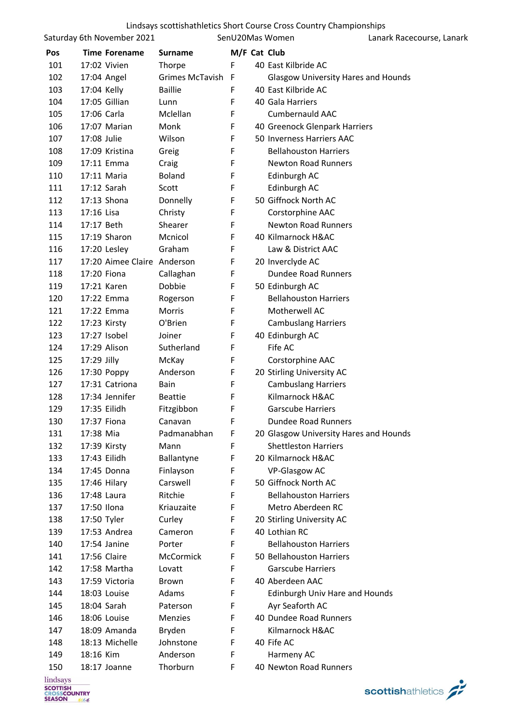| Lindsays scottishathletics Short Course Cross Country Championships |  |  |  |  |
|---------------------------------------------------------------------|--|--|--|--|
|---------------------------------------------------------------------|--|--|--|--|

| M/F Cat Club<br>Pos<br><b>Time Forename</b><br><b>Surname</b><br>F<br>101<br>17:02 Vivien<br>40 East Kilbride AC<br>Thorpe<br>102<br>17:04 Angel<br>Grimes McTavish<br>-F<br><b>Glasgow University Hares and Hounds</b><br>103<br><b>Baillie</b><br>40 East Kilbride AC<br>17:04 Kelly<br>F<br>104<br>17:05 Gillian<br>F<br>40 Gala Harriers<br>Lunn<br>Mclellan<br>F<br>105<br>17:06 Carla<br><b>Cumbernauld AAC</b><br>106<br>F<br>17:07 Marian<br>Monk<br>40 Greenock Glenpark Harriers<br>107<br>17:08 Julie<br>Wilson<br>F<br>50 Inverness Harriers AAC<br>108<br>F<br><b>Bellahouston Harriers</b><br>17:09 Kristina<br>Greig<br>109<br>F<br><b>Newton Road Runners</b><br>17:11 Emma<br>Craig<br>110<br><b>Boland</b><br>F<br>Edinburgh AC<br>17:11 Maria<br>F<br>111<br>17:12 Sarah<br>Edinburgh AC<br>Scott<br>50 Giffnock North AC<br>112<br>17:13 Shona<br>F<br>Donnelly<br>17:16 Lisa<br>F<br>Corstorphine AAC<br>113<br>Christy<br>F<br>114<br>17:17 Beth<br>Shearer<br><b>Newton Road Runners</b><br>F<br>115<br>17:19 Sharon<br>Mcnicol<br>40 Kilmarnock H&AC<br>116<br>17:20 Lesley<br>Graham<br>F<br>Law & District AAC<br>F<br>117<br>17:20 Aimee Claire Anderson<br>20 Inverclyde AC<br><b>Dundee Road Runners</b><br>118<br>17:20 Fiona<br>Callaghan<br>F<br>119<br>Dobbie<br>F<br>50 Edinburgh AC<br>17:21 Karen<br>F<br>120<br><b>Bellahouston Harriers</b><br>17:22 Emma<br>Rogerson<br>121<br>17:22 Emma<br>Morris<br>F<br>Motherwell AC<br>122<br>O'Brien<br>F<br>17:23 Kirsty<br><b>Cambuslang Harriers</b><br>17:27 Isobel<br>Joiner<br>F<br>40 Edinburgh AC<br>123<br>124<br>17:29 Alison<br>Sutherland<br>F<br>Fife AC<br>125<br>17:29 Jilly<br>F<br>Corstorphine AAC<br>McKay<br>126<br>17:30 Poppy<br>Anderson<br>F<br>20 Stirling University AC<br>F<br>127<br>17:31 Catriona<br><b>Cambuslang Harriers</b><br>Bain<br>Kilmarnock H&AC<br>128<br>17:34 Jennifer<br>F<br><b>Beattie</b><br>129<br>17:35 Eilidh<br>F<br><b>Garscube Harriers</b><br>Fitzgibbon<br>F<br>130<br>Dundee Road Runners<br>17:37 Fiona<br>Canavan<br>131<br>17:38 Mia<br>Padmanabhan<br>F<br>20 Glasgow University Hares and Hounds<br>132<br>F<br><b>Shettleston Harriers</b><br>17:39 Kirsty<br>Mann<br>133<br>17:43 Eilidh<br>F<br>20 Kilmarnock H&AC<br>Ballantyne<br>134<br>F<br>VP-Glasgow AC<br>17:45 Donna<br>Finlayson<br>Carswell<br>50 Giffnock North AC<br>135<br>F<br>17:46 Hilary<br>F<br>136<br>17:48 Laura<br>Ritchie<br><b>Bellahouston Harriers</b><br>137<br>17:50 Ilona<br>Kriauzaite<br>F<br>Metro Aberdeen RC<br>138<br>F<br>20 Stirling University AC<br>17:50 Tyler<br>Curley<br>139<br>17:53 Andrea<br>Cameron<br>F<br>40 Lothian RC<br>140<br>17:54 Janine<br>Porter<br>F<br><b>Bellahouston Harriers</b><br>17:56 Claire<br>F<br>50 Bellahouston Harriers<br>141<br>McCormick<br>142<br>17:58 Martha<br><b>Garscube Harriers</b><br>Lovatt<br>F<br>F<br>143<br>17:59 Victoria<br>40 Aberdeen AAC<br><b>Brown</b><br>18:03 Louise<br>Adams<br>F<br>Edinburgh Univ Hare and Hounds<br>144<br>145<br>18:04 Sarah<br>F<br>Ayr Seaforth AC<br>Paterson<br>40 Dundee Road Runners<br>146<br>18:06 Louise<br>F<br><b>Menzies</b><br>18:09 Amanda<br>Bryden<br>Kilmarnock H&AC<br>147<br>F<br>18:13 Michelle<br>148<br>Johnstone<br>F<br>40 Fife AC<br>F<br>18:16 Kim<br>Anderson<br>149<br>Harmeny AC<br>150<br>Thorburn<br>F<br>40 Newton Road Runners<br>18:17 Joanne |          | Saturday 6th November 2021 |  | SenU20Mas Women | Lanark Racecourse, Lanark |
|-----------------------------------------------------------------------------------------------------------------------------------------------------------------------------------------------------------------------------------------------------------------------------------------------------------------------------------------------------------------------------------------------------------------------------------------------------------------------------------------------------------------------------------------------------------------------------------------------------------------------------------------------------------------------------------------------------------------------------------------------------------------------------------------------------------------------------------------------------------------------------------------------------------------------------------------------------------------------------------------------------------------------------------------------------------------------------------------------------------------------------------------------------------------------------------------------------------------------------------------------------------------------------------------------------------------------------------------------------------------------------------------------------------------------------------------------------------------------------------------------------------------------------------------------------------------------------------------------------------------------------------------------------------------------------------------------------------------------------------------------------------------------------------------------------------------------------------------------------------------------------------------------------------------------------------------------------------------------------------------------------------------------------------------------------------------------------------------------------------------------------------------------------------------------------------------------------------------------------------------------------------------------------------------------------------------------------------------------------------------------------------------------------------------------------------------------------------------------------------------------------------------------------------------------------------------------------------------------------------------------------------------------------------------------------------------------------------------------------------------------------------------------------------------------------------------------------------------------------------------------------------------------------------------------------------------------------------------------------------------------------------------------------------------------------------------------------------------------------------------------------------------------------------------------------------------------------------------------------------------------------------------------------------------------------------------------------------------------------------------------------------------------------|----------|----------------------------|--|-----------------|---------------------------|
|                                                                                                                                                                                                                                                                                                                                                                                                                                                                                                                                                                                                                                                                                                                                                                                                                                                                                                                                                                                                                                                                                                                                                                                                                                                                                                                                                                                                                                                                                                                                                                                                                                                                                                                                                                                                                                                                                                                                                                                                                                                                                                                                                                                                                                                                                                                                                                                                                                                                                                                                                                                                                                                                                                                                                                                                                                                                                                                                                                                                                                                                                                                                                                                                                                                                                                                                                                                                     |          |                            |  |                 |                           |
|                                                                                                                                                                                                                                                                                                                                                                                                                                                                                                                                                                                                                                                                                                                                                                                                                                                                                                                                                                                                                                                                                                                                                                                                                                                                                                                                                                                                                                                                                                                                                                                                                                                                                                                                                                                                                                                                                                                                                                                                                                                                                                                                                                                                                                                                                                                                                                                                                                                                                                                                                                                                                                                                                                                                                                                                                                                                                                                                                                                                                                                                                                                                                                                                                                                                                                                                                                                                     |          |                            |  |                 |                           |
|                                                                                                                                                                                                                                                                                                                                                                                                                                                                                                                                                                                                                                                                                                                                                                                                                                                                                                                                                                                                                                                                                                                                                                                                                                                                                                                                                                                                                                                                                                                                                                                                                                                                                                                                                                                                                                                                                                                                                                                                                                                                                                                                                                                                                                                                                                                                                                                                                                                                                                                                                                                                                                                                                                                                                                                                                                                                                                                                                                                                                                                                                                                                                                                                                                                                                                                                                                                                     |          |                            |  |                 |                           |
|                                                                                                                                                                                                                                                                                                                                                                                                                                                                                                                                                                                                                                                                                                                                                                                                                                                                                                                                                                                                                                                                                                                                                                                                                                                                                                                                                                                                                                                                                                                                                                                                                                                                                                                                                                                                                                                                                                                                                                                                                                                                                                                                                                                                                                                                                                                                                                                                                                                                                                                                                                                                                                                                                                                                                                                                                                                                                                                                                                                                                                                                                                                                                                                                                                                                                                                                                                                                     |          |                            |  |                 |                           |
|                                                                                                                                                                                                                                                                                                                                                                                                                                                                                                                                                                                                                                                                                                                                                                                                                                                                                                                                                                                                                                                                                                                                                                                                                                                                                                                                                                                                                                                                                                                                                                                                                                                                                                                                                                                                                                                                                                                                                                                                                                                                                                                                                                                                                                                                                                                                                                                                                                                                                                                                                                                                                                                                                                                                                                                                                                                                                                                                                                                                                                                                                                                                                                                                                                                                                                                                                                                                     |          |                            |  |                 |                           |
|                                                                                                                                                                                                                                                                                                                                                                                                                                                                                                                                                                                                                                                                                                                                                                                                                                                                                                                                                                                                                                                                                                                                                                                                                                                                                                                                                                                                                                                                                                                                                                                                                                                                                                                                                                                                                                                                                                                                                                                                                                                                                                                                                                                                                                                                                                                                                                                                                                                                                                                                                                                                                                                                                                                                                                                                                                                                                                                                                                                                                                                                                                                                                                                                                                                                                                                                                                                                     |          |                            |  |                 |                           |
|                                                                                                                                                                                                                                                                                                                                                                                                                                                                                                                                                                                                                                                                                                                                                                                                                                                                                                                                                                                                                                                                                                                                                                                                                                                                                                                                                                                                                                                                                                                                                                                                                                                                                                                                                                                                                                                                                                                                                                                                                                                                                                                                                                                                                                                                                                                                                                                                                                                                                                                                                                                                                                                                                                                                                                                                                                                                                                                                                                                                                                                                                                                                                                                                                                                                                                                                                                                                     |          |                            |  |                 |                           |
|                                                                                                                                                                                                                                                                                                                                                                                                                                                                                                                                                                                                                                                                                                                                                                                                                                                                                                                                                                                                                                                                                                                                                                                                                                                                                                                                                                                                                                                                                                                                                                                                                                                                                                                                                                                                                                                                                                                                                                                                                                                                                                                                                                                                                                                                                                                                                                                                                                                                                                                                                                                                                                                                                                                                                                                                                                                                                                                                                                                                                                                                                                                                                                                                                                                                                                                                                                                                     |          |                            |  |                 |                           |
|                                                                                                                                                                                                                                                                                                                                                                                                                                                                                                                                                                                                                                                                                                                                                                                                                                                                                                                                                                                                                                                                                                                                                                                                                                                                                                                                                                                                                                                                                                                                                                                                                                                                                                                                                                                                                                                                                                                                                                                                                                                                                                                                                                                                                                                                                                                                                                                                                                                                                                                                                                                                                                                                                                                                                                                                                                                                                                                                                                                                                                                                                                                                                                                                                                                                                                                                                                                                     |          |                            |  |                 |                           |
|                                                                                                                                                                                                                                                                                                                                                                                                                                                                                                                                                                                                                                                                                                                                                                                                                                                                                                                                                                                                                                                                                                                                                                                                                                                                                                                                                                                                                                                                                                                                                                                                                                                                                                                                                                                                                                                                                                                                                                                                                                                                                                                                                                                                                                                                                                                                                                                                                                                                                                                                                                                                                                                                                                                                                                                                                                                                                                                                                                                                                                                                                                                                                                                                                                                                                                                                                                                                     |          |                            |  |                 |                           |
|                                                                                                                                                                                                                                                                                                                                                                                                                                                                                                                                                                                                                                                                                                                                                                                                                                                                                                                                                                                                                                                                                                                                                                                                                                                                                                                                                                                                                                                                                                                                                                                                                                                                                                                                                                                                                                                                                                                                                                                                                                                                                                                                                                                                                                                                                                                                                                                                                                                                                                                                                                                                                                                                                                                                                                                                                                                                                                                                                                                                                                                                                                                                                                                                                                                                                                                                                                                                     |          |                            |  |                 |                           |
|                                                                                                                                                                                                                                                                                                                                                                                                                                                                                                                                                                                                                                                                                                                                                                                                                                                                                                                                                                                                                                                                                                                                                                                                                                                                                                                                                                                                                                                                                                                                                                                                                                                                                                                                                                                                                                                                                                                                                                                                                                                                                                                                                                                                                                                                                                                                                                                                                                                                                                                                                                                                                                                                                                                                                                                                                                                                                                                                                                                                                                                                                                                                                                                                                                                                                                                                                                                                     |          |                            |  |                 |                           |
|                                                                                                                                                                                                                                                                                                                                                                                                                                                                                                                                                                                                                                                                                                                                                                                                                                                                                                                                                                                                                                                                                                                                                                                                                                                                                                                                                                                                                                                                                                                                                                                                                                                                                                                                                                                                                                                                                                                                                                                                                                                                                                                                                                                                                                                                                                                                                                                                                                                                                                                                                                                                                                                                                                                                                                                                                                                                                                                                                                                                                                                                                                                                                                                                                                                                                                                                                                                                     |          |                            |  |                 |                           |
|                                                                                                                                                                                                                                                                                                                                                                                                                                                                                                                                                                                                                                                                                                                                                                                                                                                                                                                                                                                                                                                                                                                                                                                                                                                                                                                                                                                                                                                                                                                                                                                                                                                                                                                                                                                                                                                                                                                                                                                                                                                                                                                                                                                                                                                                                                                                                                                                                                                                                                                                                                                                                                                                                                                                                                                                                                                                                                                                                                                                                                                                                                                                                                                                                                                                                                                                                                                                     |          |                            |  |                 |                           |
|                                                                                                                                                                                                                                                                                                                                                                                                                                                                                                                                                                                                                                                                                                                                                                                                                                                                                                                                                                                                                                                                                                                                                                                                                                                                                                                                                                                                                                                                                                                                                                                                                                                                                                                                                                                                                                                                                                                                                                                                                                                                                                                                                                                                                                                                                                                                                                                                                                                                                                                                                                                                                                                                                                                                                                                                                                                                                                                                                                                                                                                                                                                                                                                                                                                                                                                                                                                                     |          |                            |  |                 |                           |
|                                                                                                                                                                                                                                                                                                                                                                                                                                                                                                                                                                                                                                                                                                                                                                                                                                                                                                                                                                                                                                                                                                                                                                                                                                                                                                                                                                                                                                                                                                                                                                                                                                                                                                                                                                                                                                                                                                                                                                                                                                                                                                                                                                                                                                                                                                                                                                                                                                                                                                                                                                                                                                                                                                                                                                                                                                                                                                                                                                                                                                                                                                                                                                                                                                                                                                                                                                                                     |          |                            |  |                 |                           |
|                                                                                                                                                                                                                                                                                                                                                                                                                                                                                                                                                                                                                                                                                                                                                                                                                                                                                                                                                                                                                                                                                                                                                                                                                                                                                                                                                                                                                                                                                                                                                                                                                                                                                                                                                                                                                                                                                                                                                                                                                                                                                                                                                                                                                                                                                                                                                                                                                                                                                                                                                                                                                                                                                                                                                                                                                                                                                                                                                                                                                                                                                                                                                                                                                                                                                                                                                                                                     |          |                            |  |                 |                           |
|                                                                                                                                                                                                                                                                                                                                                                                                                                                                                                                                                                                                                                                                                                                                                                                                                                                                                                                                                                                                                                                                                                                                                                                                                                                                                                                                                                                                                                                                                                                                                                                                                                                                                                                                                                                                                                                                                                                                                                                                                                                                                                                                                                                                                                                                                                                                                                                                                                                                                                                                                                                                                                                                                                                                                                                                                                                                                                                                                                                                                                                                                                                                                                                                                                                                                                                                                                                                     |          |                            |  |                 |                           |
|                                                                                                                                                                                                                                                                                                                                                                                                                                                                                                                                                                                                                                                                                                                                                                                                                                                                                                                                                                                                                                                                                                                                                                                                                                                                                                                                                                                                                                                                                                                                                                                                                                                                                                                                                                                                                                                                                                                                                                                                                                                                                                                                                                                                                                                                                                                                                                                                                                                                                                                                                                                                                                                                                                                                                                                                                                                                                                                                                                                                                                                                                                                                                                                                                                                                                                                                                                                                     |          |                            |  |                 |                           |
|                                                                                                                                                                                                                                                                                                                                                                                                                                                                                                                                                                                                                                                                                                                                                                                                                                                                                                                                                                                                                                                                                                                                                                                                                                                                                                                                                                                                                                                                                                                                                                                                                                                                                                                                                                                                                                                                                                                                                                                                                                                                                                                                                                                                                                                                                                                                                                                                                                                                                                                                                                                                                                                                                                                                                                                                                                                                                                                                                                                                                                                                                                                                                                                                                                                                                                                                                                                                     |          |                            |  |                 |                           |
|                                                                                                                                                                                                                                                                                                                                                                                                                                                                                                                                                                                                                                                                                                                                                                                                                                                                                                                                                                                                                                                                                                                                                                                                                                                                                                                                                                                                                                                                                                                                                                                                                                                                                                                                                                                                                                                                                                                                                                                                                                                                                                                                                                                                                                                                                                                                                                                                                                                                                                                                                                                                                                                                                                                                                                                                                                                                                                                                                                                                                                                                                                                                                                                                                                                                                                                                                                                                     |          |                            |  |                 |                           |
|                                                                                                                                                                                                                                                                                                                                                                                                                                                                                                                                                                                                                                                                                                                                                                                                                                                                                                                                                                                                                                                                                                                                                                                                                                                                                                                                                                                                                                                                                                                                                                                                                                                                                                                                                                                                                                                                                                                                                                                                                                                                                                                                                                                                                                                                                                                                                                                                                                                                                                                                                                                                                                                                                                                                                                                                                                                                                                                                                                                                                                                                                                                                                                                                                                                                                                                                                                                                     |          |                            |  |                 |                           |
|                                                                                                                                                                                                                                                                                                                                                                                                                                                                                                                                                                                                                                                                                                                                                                                                                                                                                                                                                                                                                                                                                                                                                                                                                                                                                                                                                                                                                                                                                                                                                                                                                                                                                                                                                                                                                                                                                                                                                                                                                                                                                                                                                                                                                                                                                                                                                                                                                                                                                                                                                                                                                                                                                                                                                                                                                                                                                                                                                                                                                                                                                                                                                                                                                                                                                                                                                                                                     |          |                            |  |                 |                           |
|                                                                                                                                                                                                                                                                                                                                                                                                                                                                                                                                                                                                                                                                                                                                                                                                                                                                                                                                                                                                                                                                                                                                                                                                                                                                                                                                                                                                                                                                                                                                                                                                                                                                                                                                                                                                                                                                                                                                                                                                                                                                                                                                                                                                                                                                                                                                                                                                                                                                                                                                                                                                                                                                                                                                                                                                                                                                                                                                                                                                                                                                                                                                                                                                                                                                                                                                                                                                     |          |                            |  |                 |                           |
|                                                                                                                                                                                                                                                                                                                                                                                                                                                                                                                                                                                                                                                                                                                                                                                                                                                                                                                                                                                                                                                                                                                                                                                                                                                                                                                                                                                                                                                                                                                                                                                                                                                                                                                                                                                                                                                                                                                                                                                                                                                                                                                                                                                                                                                                                                                                                                                                                                                                                                                                                                                                                                                                                                                                                                                                                                                                                                                                                                                                                                                                                                                                                                                                                                                                                                                                                                                                     |          |                            |  |                 |                           |
|                                                                                                                                                                                                                                                                                                                                                                                                                                                                                                                                                                                                                                                                                                                                                                                                                                                                                                                                                                                                                                                                                                                                                                                                                                                                                                                                                                                                                                                                                                                                                                                                                                                                                                                                                                                                                                                                                                                                                                                                                                                                                                                                                                                                                                                                                                                                                                                                                                                                                                                                                                                                                                                                                                                                                                                                                                                                                                                                                                                                                                                                                                                                                                                                                                                                                                                                                                                                     |          |                            |  |                 |                           |
|                                                                                                                                                                                                                                                                                                                                                                                                                                                                                                                                                                                                                                                                                                                                                                                                                                                                                                                                                                                                                                                                                                                                                                                                                                                                                                                                                                                                                                                                                                                                                                                                                                                                                                                                                                                                                                                                                                                                                                                                                                                                                                                                                                                                                                                                                                                                                                                                                                                                                                                                                                                                                                                                                                                                                                                                                                                                                                                                                                                                                                                                                                                                                                                                                                                                                                                                                                                                     |          |                            |  |                 |                           |
|                                                                                                                                                                                                                                                                                                                                                                                                                                                                                                                                                                                                                                                                                                                                                                                                                                                                                                                                                                                                                                                                                                                                                                                                                                                                                                                                                                                                                                                                                                                                                                                                                                                                                                                                                                                                                                                                                                                                                                                                                                                                                                                                                                                                                                                                                                                                                                                                                                                                                                                                                                                                                                                                                                                                                                                                                                                                                                                                                                                                                                                                                                                                                                                                                                                                                                                                                                                                     |          |                            |  |                 |                           |
|                                                                                                                                                                                                                                                                                                                                                                                                                                                                                                                                                                                                                                                                                                                                                                                                                                                                                                                                                                                                                                                                                                                                                                                                                                                                                                                                                                                                                                                                                                                                                                                                                                                                                                                                                                                                                                                                                                                                                                                                                                                                                                                                                                                                                                                                                                                                                                                                                                                                                                                                                                                                                                                                                                                                                                                                                                                                                                                                                                                                                                                                                                                                                                                                                                                                                                                                                                                                     |          |                            |  |                 |                           |
|                                                                                                                                                                                                                                                                                                                                                                                                                                                                                                                                                                                                                                                                                                                                                                                                                                                                                                                                                                                                                                                                                                                                                                                                                                                                                                                                                                                                                                                                                                                                                                                                                                                                                                                                                                                                                                                                                                                                                                                                                                                                                                                                                                                                                                                                                                                                                                                                                                                                                                                                                                                                                                                                                                                                                                                                                                                                                                                                                                                                                                                                                                                                                                                                                                                                                                                                                                                                     |          |                            |  |                 |                           |
|                                                                                                                                                                                                                                                                                                                                                                                                                                                                                                                                                                                                                                                                                                                                                                                                                                                                                                                                                                                                                                                                                                                                                                                                                                                                                                                                                                                                                                                                                                                                                                                                                                                                                                                                                                                                                                                                                                                                                                                                                                                                                                                                                                                                                                                                                                                                                                                                                                                                                                                                                                                                                                                                                                                                                                                                                                                                                                                                                                                                                                                                                                                                                                                                                                                                                                                                                                                                     |          |                            |  |                 |                           |
|                                                                                                                                                                                                                                                                                                                                                                                                                                                                                                                                                                                                                                                                                                                                                                                                                                                                                                                                                                                                                                                                                                                                                                                                                                                                                                                                                                                                                                                                                                                                                                                                                                                                                                                                                                                                                                                                                                                                                                                                                                                                                                                                                                                                                                                                                                                                                                                                                                                                                                                                                                                                                                                                                                                                                                                                                                                                                                                                                                                                                                                                                                                                                                                                                                                                                                                                                                                                     |          |                            |  |                 |                           |
|                                                                                                                                                                                                                                                                                                                                                                                                                                                                                                                                                                                                                                                                                                                                                                                                                                                                                                                                                                                                                                                                                                                                                                                                                                                                                                                                                                                                                                                                                                                                                                                                                                                                                                                                                                                                                                                                                                                                                                                                                                                                                                                                                                                                                                                                                                                                                                                                                                                                                                                                                                                                                                                                                                                                                                                                                                                                                                                                                                                                                                                                                                                                                                                                                                                                                                                                                                                                     |          |                            |  |                 |                           |
|                                                                                                                                                                                                                                                                                                                                                                                                                                                                                                                                                                                                                                                                                                                                                                                                                                                                                                                                                                                                                                                                                                                                                                                                                                                                                                                                                                                                                                                                                                                                                                                                                                                                                                                                                                                                                                                                                                                                                                                                                                                                                                                                                                                                                                                                                                                                                                                                                                                                                                                                                                                                                                                                                                                                                                                                                                                                                                                                                                                                                                                                                                                                                                                                                                                                                                                                                                                                     |          |                            |  |                 |                           |
|                                                                                                                                                                                                                                                                                                                                                                                                                                                                                                                                                                                                                                                                                                                                                                                                                                                                                                                                                                                                                                                                                                                                                                                                                                                                                                                                                                                                                                                                                                                                                                                                                                                                                                                                                                                                                                                                                                                                                                                                                                                                                                                                                                                                                                                                                                                                                                                                                                                                                                                                                                                                                                                                                                                                                                                                                                                                                                                                                                                                                                                                                                                                                                                                                                                                                                                                                                                                     |          |                            |  |                 |                           |
|                                                                                                                                                                                                                                                                                                                                                                                                                                                                                                                                                                                                                                                                                                                                                                                                                                                                                                                                                                                                                                                                                                                                                                                                                                                                                                                                                                                                                                                                                                                                                                                                                                                                                                                                                                                                                                                                                                                                                                                                                                                                                                                                                                                                                                                                                                                                                                                                                                                                                                                                                                                                                                                                                                                                                                                                                                                                                                                                                                                                                                                                                                                                                                                                                                                                                                                                                                                                     |          |                            |  |                 |                           |
|                                                                                                                                                                                                                                                                                                                                                                                                                                                                                                                                                                                                                                                                                                                                                                                                                                                                                                                                                                                                                                                                                                                                                                                                                                                                                                                                                                                                                                                                                                                                                                                                                                                                                                                                                                                                                                                                                                                                                                                                                                                                                                                                                                                                                                                                                                                                                                                                                                                                                                                                                                                                                                                                                                                                                                                                                                                                                                                                                                                                                                                                                                                                                                                                                                                                                                                                                                                                     |          |                            |  |                 |                           |
|                                                                                                                                                                                                                                                                                                                                                                                                                                                                                                                                                                                                                                                                                                                                                                                                                                                                                                                                                                                                                                                                                                                                                                                                                                                                                                                                                                                                                                                                                                                                                                                                                                                                                                                                                                                                                                                                                                                                                                                                                                                                                                                                                                                                                                                                                                                                                                                                                                                                                                                                                                                                                                                                                                                                                                                                                                                                                                                                                                                                                                                                                                                                                                                                                                                                                                                                                                                                     |          |                            |  |                 |                           |
|                                                                                                                                                                                                                                                                                                                                                                                                                                                                                                                                                                                                                                                                                                                                                                                                                                                                                                                                                                                                                                                                                                                                                                                                                                                                                                                                                                                                                                                                                                                                                                                                                                                                                                                                                                                                                                                                                                                                                                                                                                                                                                                                                                                                                                                                                                                                                                                                                                                                                                                                                                                                                                                                                                                                                                                                                                                                                                                                                                                                                                                                                                                                                                                                                                                                                                                                                                                                     |          |                            |  |                 |                           |
|                                                                                                                                                                                                                                                                                                                                                                                                                                                                                                                                                                                                                                                                                                                                                                                                                                                                                                                                                                                                                                                                                                                                                                                                                                                                                                                                                                                                                                                                                                                                                                                                                                                                                                                                                                                                                                                                                                                                                                                                                                                                                                                                                                                                                                                                                                                                                                                                                                                                                                                                                                                                                                                                                                                                                                                                                                                                                                                                                                                                                                                                                                                                                                                                                                                                                                                                                                                                     |          |                            |  |                 |                           |
|                                                                                                                                                                                                                                                                                                                                                                                                                                                                                                                                                                                                                                                                                                                                                                                                                                                                                                                                                                                                                                                                                                                                                                                                                                                                                                                                                                                                                                                                                                                                                                                                                                                                                                                                                                                                                                                                                                                                                                                                                                                                                                                                                                                                                                                                                                                                                                                                                                                                                                                                                                                                                                                                                                                                                                                                                                                                                                                                                                                                                                                                                                                                                                                                                                                                                                                                                                                                     |          |                            |  |                 |                           |
|                                                                                                                                                                                                                                                                                                                                                                                                                                                                                                                                                                                                                                                                                                                                                                                                                                                                                                                                                                                                                                                                                                                                                                                                                                                                                                                                                                                                                                                                                                                                                                                                                                                                                                                                                                                                                                                                                                                                                                                                                                                                                                                                                                                                                                                                                                                                                                                                                                                                                                                                                                                                                                                                                                                                                                                                                                                                                                                                                                                                                                                                                                                                                                                                                                                                                                                                                                                                     |          |                            |  |                 |                           |
|                                                                                                                                                                                                                                                                                                                                                                                                                                                                                                                                                                                                                                                                                                                                                                                                                                                                                                                                                                                                                                                                                                                                                                                                                                                                                                                                                                                                                                                                                                                                                                                                                                                                                                                                                                                                                                                                                                                                                                                                                                                                                                                                                                                                                                                                                                                                                                                                                                                                                                                                                                                                                                                                                                                                                                                                                                                                                                                                                                                                                                                                                                                                                                                                                                                                                                                                                                                                     |          |                            |  |                 |                           |
|                                                                                                                                                                                                                                                                                                                                                                                                                                                                                                                                                                                                                                                                                                                                                                                                                                                                                                                                                                                                                                                                                                                                                                                                                                                                                                                                                                                                                                                                                                                                                                                                                                                                                                                                                                                                                                                                                                                                                                                                                                                                                                                                                                                                                                                                                                                                                                                                                                                                                                                                                                                                                                                                                                                                                                                                                                                                                                                                                                                                                                                                                                                                                                                                                                                                                                                                                                                                     |          |                            |  |                 |                           |
|                                                                                                                                                                                                                                                                                                                                                                                                                                                                                                                                                                                                                                                                                                                                                                                                                                                                                                                                                                                                                                                                                                                                                                                                                                                                                                                                                                                                                                                                                                                                                                                                                                                                                                                                                                                                                                                                                                                                                                                                                                                                                                                                                                                                                                                                                                                                                                                                                                                                                                                                                                                                                                                                                                                                                                                                                                                                                                                                                                                                                                                                                                                                                                                                                                                                                                                                                                                                     |          |                            |  |                 |                           |
|                                                                                                                                                                                                                                                                                                                                                                                                                                                                                                                                                                                                                                                                                                                                                                                                                                                                                                                                                                                                                                                                                                                                                                                                                                                                                                                                                                                                                                                                                                                                                                                                                                                                                                                                                                                                                                                                                                                                                                                                                                                                                                                                                                                                                                                                                                                                                                                                                                                                                                                                                                                                                                                                                                                                                                                                                                                                                                                                                                                                                                                                                                                                                                                                                                                                                                                                                                                                     |          |                            |  |                 |                           |
|                                                                                                                                                                                                                                                                                                                                                                                                                                                                                                                                                                                                                                                                                                                                                                                                                                                                                                                                                                                                                                                                                                                                                                                                                                                                                                                                                                                                                                                                                                                                                                                                                                                                                                                                                                                                                                                                                                                                                                                                                                                                                                                                                                                                                                                                                                                                                                                                                                                                                                                                                                                                                                                                                                                                                                                                                                                                                                                                                                                                                                                                                                                                                                                                                                                                                                                                                                                                     |          |                            |  |                 |                           |
|                                                                                                                                                                                                                                                                                                                                                                                                                                                                                                                                                                                                                                                                                                                                                                                                                                                                                                                                                                                                                                                                                                                                                                                                                                                                                                                                                                                                                                                                                                                                                                                                                                                                                                                                                                                                                                                                                                                                                                                                                                                                                                                                                                                                                                                                                                                                                                                                                                                                                                                                                                                                                                                                                                                                                                                                                                                                                                                                                                                                                                                                                                                                                                                                                                                                                                                                                                                                     |          |                            |  |                 |                           |
|                                                                                                                                                                                                                                                                                                                                                                                                                                                                                                                                                                                                                                                                                                                                                                                                                                                                                                                                                                                                                                                                                                                                                                                                                                                                                                                                                                                                                                                                                                                                                                                                                                                                                                                                                                                                                                                                                                                                                                                                                                                                                                                                                                                                                                                                                                                                                                                                                                                                                                                                                                                                                                                                                                                                                                                                                                                                                                                                                                                                                                                                                                                                                                                                                                                                                                                                                                                                     |          |                            |  |                 |                           |
|                                                                                                                                                                                                                                                                                                                                                                                                                                                                                                                                                                                                                                                                                                                                                                                                                                                                                                                                                                                                                                                                                                                                                                                                                                                                                                                                                                                                                                                                                                                                                                                                                                                                                                                                                                                                                                                                                                                                                                                                                                                                                                                                                                                                                                                                                                                                                                                                                                                                                                                                                                                                                                                                                                                                                                                                                                                                                                                                                                                                                                                                                                                                                                                                                                                                                                                                                                                                     |          |                            |  |                 |                           |
|                                                                                                                                                                                                                                                                                                                                                                                                                                                                                                                                                                                                                                                                                                                                                                                                                                                                                                                                                                                                                                                                                                                                                                                                                                                                                                                                                                                                                                                                                                                                                                                                                                                                                                                                                                                                                                                                                                                                                                                                                                                                                                                                                                                                                                                                                                                                                                                                                                                                                                                                                                                                                                                                                                                                                                                                                                                                                                                                                                                                                                                                                                                                                                                                                                                                                                                                                                                                     |          |                            |  |                 |                           |
|                                                                                                                                                                                                                                                                                                                                                                                                                                                                                                                                                                                                                                                                                                                                                                                                                                                                                                                                                                                                                                                                                                                                                                                                                                                                                                                                                                                                                                                                                                                                                                                                                                                                                                                                                                                                                                                                                                                                                                                                                                                                                                                                                                                                                                                                                                                                                                                                                                                                                                                                                                                                                                                                                                                                                                                                                                                                                                                                                                                                                                                                                                                                                                                                                                                                                                                                                                                                     | lindsays |                            |  |                 |                           |

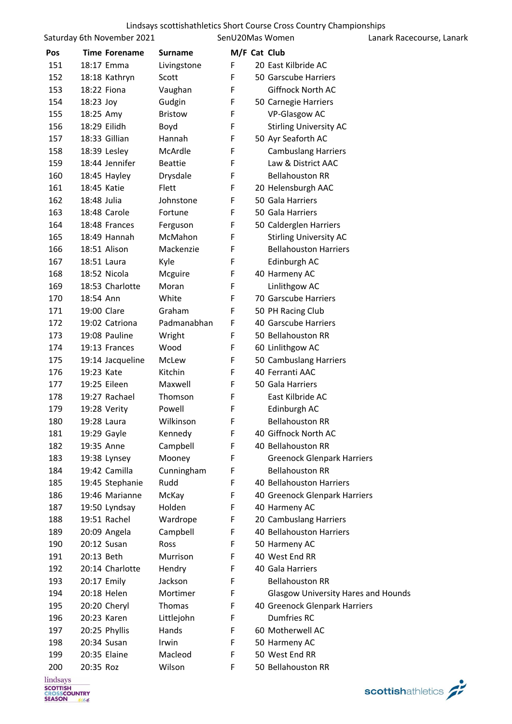|     | Saturday 6th November 2021 |                | SenU20Mas Women |                                            | Lanark Racecourse, Lanark |
|-----|----------------------------|----------------|-----------------|--------------------------------------------|---------------------------|
| Pos | <b>Time Forename</b>       | <b>Surname</b> | M/F Cat Club    |                                            |                           |
| 151 | 18:17 Emma                 | Livingstone    | F               | 20 East Kilbride AC                        |                           |
| 152 | 18:18 Kathryn              | Scott          | F               | 50 Garscube Harriers                       |                           |
| 153 | 18:22 Fiona                | Vaughan        | F               | Giffnock North AC                          |                           |
| 154 | 18:23 Joy                  | Gudgin         | F               | 50 Carnegie Harriers                       |                           |
| 155 | 18:25 Amy                  | <b>Bristow</b> | F               | <b>VP-Glasgow AC</b>                       |                           |
| 156 | 18:29 Eilidh               | Boyd           | F               | <b>Stirling University AC</b>              |                           |
| 157 | 18:33 Gillian              | Hannah         | F               | 50 Ayr Seaforth AC                         |                           |
| 158 | 18:39 Lesley               | McArdle        | F               | <b>Cambuslang Harriers</b>                 |                           |
| 159 | 18:44 Jennifer             | <b>Beattie</b> | F               | Law & District AAC                         |                           |
| 160 | 18:45 Hayley               | Drysdale       | F               | <b>Bellahouston RR</b>                     |                           |
| 161 | 18:45 Katie                | Flett          | F               | 20 Helensburgh AAC                         |                           |
| 162 | 18:48 Julia                | Johnstone      | F               | 50 Gala Harriers                           |                           |
| 163 | 18:48 Carole               | Fortune        | F               | 50 Gala Harriers                           |                           |
| 164 | 18:48 Frances              | Ferguson       | F               | 50 Calderglen Harriers                     |                           |
| 165 | 18:49 Hannah               | McMahon        | F               | <b>Stirling University AC</b>              |                           |
| 166 | 18:51 Alison               | Mackenzie      | F               | <b>Bellahouston Harriers</b>               |                           |
| 167 | 18:51 Laura                | Kyle           | F               | Edinburgh AC                               |                           |
| 168 | 18:52 Nicola               | Mcguire        | F               | 40 Harmeny AC                              |                           |
| 169 | 18:53 Charlotte            | Moran          | F               | Linlithgow AC                              |                           |
| 170 | 18:54 Ann                  | White          | F               | 70 Garscube Harriers                       |                           |
| 171 | 19:00 Clare                | Graham         | F               | 50 PH Racing Club                          |                           |
| 172 | 19:02 Catriona             | Padmanabhan    | F               | 40 Garscube Harriers                       |                           |
| 173 | 19:08 Pauline              | Wright         | F               | 50 Bellahouston RR                         |                           |
| 174 | 19:13 Frances              | Wood           | F               | 60 Linlithgow AC                           |                           |
| 175 | 19:14 Jacqueline           | McLew          | F               | 50 Cambuslang Harriers                     |                           |
| 176 | 19:23 Kate                 | Kitchin        | F               | 40 Ferranti AAC                            |                           |
| 177 | 19:25 Eileen               | Maxwell        | F               | 50 Gala Harriers                           |                           |
| 178 | 19:27 Rachael              | Thomson        | F               | East Kilbride AC                           |                           |
| 179 | 19:28 Verity               | Powell         | F               | Edinburgh AC                               |                           |
| 180 | 19:28 Laura                | Wilkinson      | F               | <b>Bellahouston RR</b>                     |                           |
| 181 | 19:29 Gayle                | Kennedy        | F               | 40 Giffnock North AC                       |                           |
| 182 | 19:35 Anne                 | Campbell       | F               | 40 Bellahouston RR                         |                           |
| 183 | 19:38 Lynsey               | Mooney         | F               | <b>Greenock Glenpark Harriers</b>          |                           |
| 184 | 19:42 Camilla              | Cunningham     | F               | <b>Bellahouston RR</b>                     |                           |
| 185 | 19:45 Stephanie            | Rudd           | F               | 40 Bellahouston Harriers                   |                           |
| 186 | 19:46 Marianne             | McKay          | F               | 40 Greenock Glenpark Harriers              |                           |
| 187 | 19:50 Lyndsay              | Holden         | F               | 40 Harmeny AC                              |                           |
| 188 | 19:51 Rachel               | Wardrope       | F               | 20 Cambuslang Harriers                     |                           |
| 189 | 20:09 Angela               | Campbell       | F               | 40 Bellahouston Harriers                   |                           |
| 190 | 20:12 Susan                | Ross           | F               | 50 Harmeny AC                              |                           |
| 191 | 20:13 Beth                 | Murrison       | F               | 40 West End RR                             |                           |
| 192 | 20:14 Charlotte            | Hendry         | F               | 40 Gala Harriers                           |                           |
| 193 | 20:17 Emily                | Jackson        | F               | <b>Bellahouston RR</b>                     |                           |
| 194 | 20:18 Helen                | Mortimer       | F               | <b>Glasgow University Hares and Hounds</b> |                           |
| 195 | 20:20 Cheryl               | Thomas         | F               | 40 Greenock Glenpark Harriers              |                           |
| 196 | 20:23 Karen                | Littlejohn     | F               | <b>Dumfries RC</b>                         |                           |
| 197 | 20:25 Phyllis              | Hands          | F               | 60 Motherwell AC                           |                           |
| 198 | 20:34 Susan                | Irwin          | F               | 50 Harmeny AC                              |                           |
| 199 | 20:35 Elaine               | Macleod        | F               | 50 West End RR                             |                           |
| 200 | 20:35 Roz                  | Wilson         | F               | 50 Bellahouston RR                         |                           |
|     |                            |                |                 |                                            |                           |

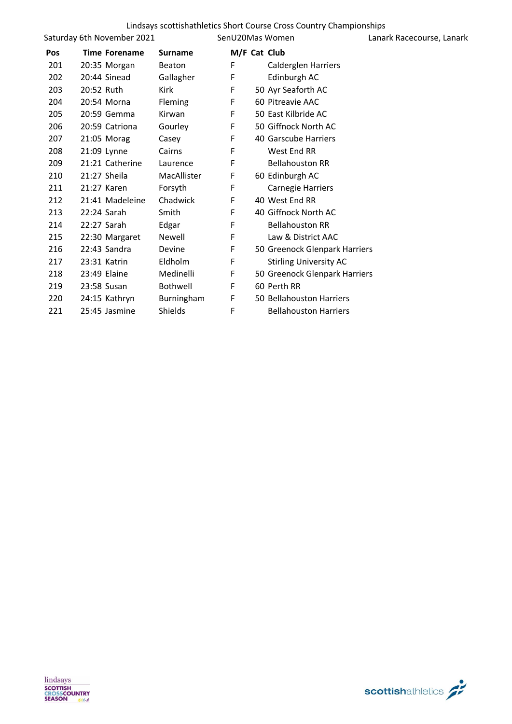|            |                            |                 |              | Lindsays scottishathletics Short Course Cross Country Championships |                           |
|------------|----------------------------|-----------------|--------------|---------------------------------------------------------------------|---------------------------|
|            | Saturday 6th November 2021 |                 |              | SenU20Mas Women                                                     | Lanark Racecourse, Lanark |
| <b>Pos</b> | Time Forename              | <b>Surname</b>  | M/F Cat Club |                                                                     |                           |
| 201        | 20:35 Morgan               | Beaton          | F            | <b>Calderglen Harriers</b>                                          |                           |
| 202        | 20:44 Sinead               | Gallagher       | F            | Edinburgh AC                                                        |                           |
| 203        | 20:52 Ruth                 | Kirk            | F            | 50 Ayr Seaforth AC                                                  |                           |
| 204        | 20:54 Morna                | Fleming         | F            | 60 Pitreavie AAC                                                    |                           |
| 205        | 20:59 Gemma                | Kirwan          | F            | 50 East Kilbride AC                                                 |                           |
| 206        | 20:59 Catriona             | Gourley         | F            | 50 Giffnock North AC                                                |                           |
| 207        | 21:05 Morag                | Casey           | F            | 40 Garscube Harriers                                                |                           |
| 208        | 21:09 Lynne                | Cairns          | F            | West End RR                                                         |                           |
| 209        | 21:21 Catherine            | Laurence        | F            | <b>Bellahouston RR</b>                                              |                           |
| 210        | 21:27 Sheila               | MacAllister     | F            | 60 Edinburgh AC                                                     |                           |
| 211        | 21:27 Karen                | Forsyth         | F            | <b>Carnegie Harriers</b>                                            |                           |
| 212        | 21:41 Madeleine            | Chadwick        | F            | 40 West End RR                                                      |                           |
| 213        | 22:24 Sarah                | Smith           | F            | 40 Giffnock North AC                                                |                           |
| 214        | 22:27 Sarah                | Edgar           | F            | <b>Bellahouston RR</b>                                              |                           |
| 215        | 22:30 Margaret             | Newell          | F            | Law & District AAC                                                  |                           |
| 216        | 22:43 Sandra               | Devine          | F            | 50 Greenock Glenpark Harriers                                       |                           |
| 217        | 23:31 Katrin               | Eldholm         | F            | <b>Stirling University AC</b>                                       |                           |
| 218        | 23:49 Elaine               | Medinelli       | F            | 50 Greenock Glenpark Harriers                                       |                           |
| 219        | 23:58 Susan                | <b>Bothwell</b> | F            | 60 Perth RR                                                         |                           |
| 220        | 24:15 Kathryn              | Burningham      | F            | 50 Bellahouston Harriers                                            |                           |
| 221        | 25:45 Jasmine              | Shields         | F            | <b>Bellahouston Harriers</b>                                        |                           |
|            |                            |                 |              |                                                                     |                           |

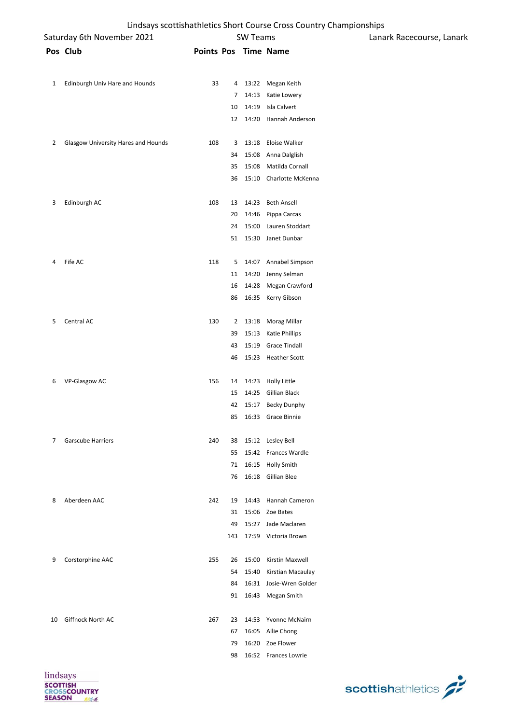|    |                                     |     |    |                 | Lindsays scottishathletics Short Course Cross Country Championships |                           |
|----|-------------------------------------|-----|----|-----------------|---------------------------------------------------------------------|---------------------------|
|    | Saturday 6th November 2021          |     |    | <b>SW Teams</b> |                                                                     | Lanark Racecourse, Lanark |
|    | Pos Club                            |     |    |                 | Points Pos Time Name                                                |                           |
| 1  | Edinburgh Univ Hare and Hounds      | 33  |    |                 | 4 13:22 Megan Keith                                                 |                           |
|    |                                     |     | 7  |                 | 14:13 Katie Lowery                                                  |                           |
|    |                                     |     | 10 |                 | 14:19 Isla Calvert                                                  |                           |
|    |                                     |     | 12 |                 | 14:20 Hannah Anderson                                               |                           |
| 2  | Glasgow University Hares and Hounds | 108 | 3  |                 | 13:18 Eloise Walker                                                 |                           |
|    |                                     |     | 34 |                 | 15:08 Anna Dalglish                                                 |                           |
|    |                                     |     | 35 |                 | 15:08 Matilda Cornall                                               |                           |
|    |                                     |     | 36 |                 | 15:10 Charlotte McKenna                                             |                           |
| 3  | Edinburgh AC                        | 108 | 13 |                 | 14:23 Beth Ansell                                                   |                           |
|    |                                     |     | 20 |                 | 14:46 Pippa Carcas                                                  |                           |
|    |                                     |     | 24 |                 | 15:00 Lauren Stoddart                                               |                           |
|    |                                     |     |    |                 | 51 15:30 Janet Dunbar                                               |                           |
| 4  | Fife AC                             | 118 | 5  |                 | 14:07 Annabel Simpson                                               |                           |
|    |                                     |     | 11 |                 | 14:20 Jenny Selman                                                  |                           |
|    |                                     |     | 16 |                 | 14:28 Megan Crawford                                                |                           |
|    |                                     |     | 86 |                 | 16:35 Kerry Gibson                                                  |                           |
| 5  | Central AC                          | 130 |    |                 | 2 13:18 Morag Millar                                                |                           |
|    |                                     |     | 39 |                 | 15:13 Katie Phillips                                                |                           |
|    |                                     |     | 43 | 15:19           | <b>Grace Tindall</b>                                                |                           |
|    |                                     |     | 46 |                 | 15:23 Heather Scott                                                 |                           |
| 6  | VP-Glasgow AC                       | 156 | 14 |                 | 14:23 Holly Little                                                  |                           |
|    |                                     |     | 15 |                 | 14:25 Gillian Black                                                 |                           |
|    |                                     |     |    |                 | 42 15:17 Becky Dunphy                                               |                           |
|    |                                     |     |    |                 | 85 16:33 Grace Binnie                                               |                           |
| 7  | <b>Garscube Harriers</b>            | 240 | 38 |                 | 15:12 Lesley Bell                                                   |                           |
|    |                                     |     | 55 |                 | 15:42 Frances Wardle                                                |                           |
|    |                                     |     | 71 |                 | 16:15 Holly Smith                                                   |                           |
|    |                                     |     | 76 |                 | 16:18 Gillian Blee                                                  |                           |
| 8  | Aberdeen AAC                        | 242 | 19 |                 | 14:43 Hannah Cameron                                                |                           |
|    |                                     |     |    |                 | 31 15:06 Zoe Bates                                                  |                           |
|    |                                     |     | 49 |                 | 15:27 Jade Maclaren                                                 |                           |
|    |                                     |     |    |                 | 143 17:59 Victoria Brown                                            |                           |
| 9  | Corstorphine AAC                    | 255 | 26 |                 | 15:00 Kirstin Maxwell                                               |                           |
|    |                                     |     | 54 |                 | 15:40 Kirstian Macaulay                                             |                           |
|    |                                     |     | 84 |                 | 16:31 Josie-Wren Golder                                             |                           |
|    |                                     |     |    |                 | 91 16:43 Megan Smith                                                |                           |
| 10 | Giffnock North AC                   | 267 | 23 |                 | 14:53 Yvonne McNairn                                                |                           |
|    |                                     |     | 67 |                 | 16:05 Allie Chong                                                   |                           |
|    |                                     |     | 79 |                 | 16:20 Zoe Flower                                                    |                           |
|    |                                     |     | 98 |                 | 16:52 Frances Lowrie                                                |                           |



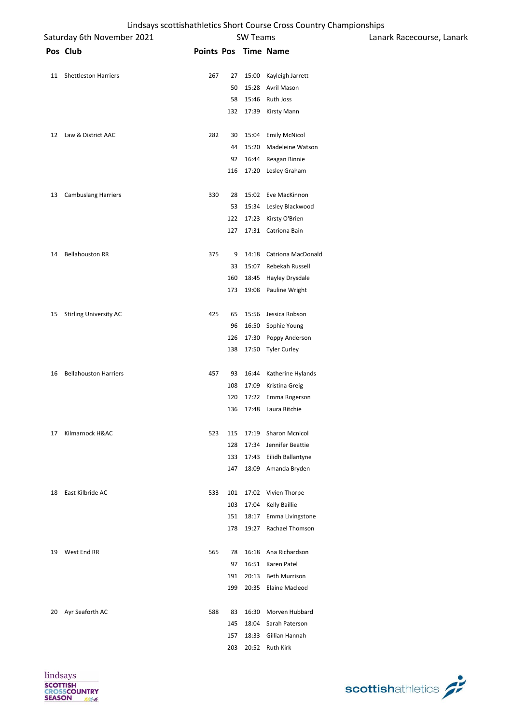|    | Saturday 6th November 2021    |                      |     | <b>SW Teams</b> |                          | Lanark Racecourse, Lanark |  |
|----|-------------------------------|----------------------|-----|-----------------|--------------------------|---------------------------|--|
|    | Pos Club                      | Points Pos Time Name |     |                 |                          |                           |  |
| 11 | <b>Shettleston Harriers</b>   | 267                  | 27  | 15:00           | Kayleigh Jarrett         |                           |  |
|    |                               |                      | 50  | 15:28           | Avril Mason              |                           |  |
|    |                               |                      | 58  | 15:46           | Ruth Joss                |                           |  |
|    |                               |                      | 132 |                 | 17:39 Kirsty Mann        |                           |  |
| 12 | Law & District AAC            | 282                  | 30  | 15:04           | <b>Emily McNicol</b>     |                           |  |
|    |                               |                      | 44  | 15:20           | Madeleine Watson         |                           |  |
|    |                               |                      | 92  | 16:44           | Reagan Binnie            |                           |  |
|    |                               |                      | 116 | 17:20           | Lesley Graham            |                           |  |
| 13 | <b>Cambuslang Harriers</b>    | 330                  | 28  | 15:02           | Eve MacKinnon            |                           |  |
|    |                               |                      | 53  |                 | 15:34 Lesley Blackwood   |                           |  |
|    |                               |                      | 122 | 17:23           | Kirsty O'Brien           |                           |  |
|    |                               |                      | 127 |                 | 17:31 Catriona Bain      |                           |  |
| 14 | <b>Bellahouston RR</b>        | 375                  | 9   |                 | 14:18 Catriona MacDonald |                           |  |
|    |                               |                      | 33  | 15:07           | Rebekah Russell          |                           |  |
|    |                               |                      | 160 | 18:45           | Hayley Drysdale          |                           |  |
|    |                               |                      | 173 | 19:08           | Pauline Wright           |                           |  |
| 15 | <b>Stirling University AC</b> | 425                  | 65  | 15:56           | Jessica Robson           |                           |  |
|    |                               |                      | 96  | 16:50           | Sophie Young             |                           |  |
|    |                               |                      | 126 | 17:30           | Poppy Anderson           |                           |  |
|    |                               |                      | 138 |                 | 17:50 Tyler Curley       |                           |  |
| 16 | <b>Bellahouston Harriers</b>  | 457                  | 93  | 16:44           | Katherine Hylands        |                           |  |
|    |                               |                      | 108 | 17:09           | Kristina Greig           |                           |  |
|    |                               |                      | 120 | 17:22           | Emma Rogerson            |                           |  |
|    |                               |                      | 136 | 17:48           | Laura Ritchie            |                           |  |
| 17 | Kilmarnock H&AC               | 523                  | 115 |                 | 17:19 Sharon Mcnicol     |                           |  |
|    |                               |                      | 128 | 17:34           | Jennifer Beattie         |                           |  |
|    |                               |                      | 133 | 17:43           | Eilidh Ballantyne        |                           |  |
|    |                               |                      | 147 | 18:09           | Amanda Bryden            |                           |  |
| 18 | East Kilbride AC              | 533                  | 101 | 17:02           | Vivien Thorpe            |                           |  |
|    |                               |                      | 103 | 17:04           | <b>Kelly Baillie</b>     |                           |  |
|    |                               |                      | 151 | 18:17           | Emma Livingstone         |                           |  |
|    |                               |                      | 178 | 19:27           | Rachael Thomson          |                           |  |
| 19 | West End RR                   | 565                  | 78  | 16:18           | Ana Richardson           |                           |  |
|    |                               |                      | 97  | 16:51           | Karen Patel              |                           |  |
|    |                               |                      | 191 | 20:13           | <b>Beth Murrison</b>     |                           |  |
|    |                               |                      | 199 | 20:35           | Elaine Macleod           |                           |  |
| 20 | Ayr Seaforth AC               | 588                  | 83  | 16:30           | Morven Hubbard           |                           |  |
|    |                               |                      | 145 | 18:04           | Sarah Paterson           |                           |  |
|    |                               |                      | 157 | 18:33           | Gillian Hannah           |                           |  |
|    |                               |                      | 203 |                 | 20:52 Ruth Kirk          |                           |  |



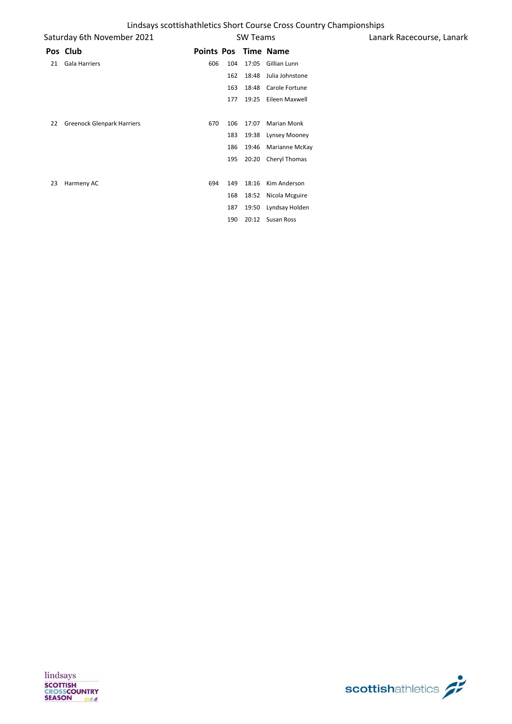|    | Saturday 6th November 2021        | <b>SW Teams</b>      |     |       |                   |
|----|-----------------------------------|----------------------|-----|-------|-------------------|
|    | Pos Club                          | Points Pos Time Name |     |       |                   |
| 21 | <b>Gala Harriers</b>              | 606                  | 104 | 17:05 | Gillian Lunn      |
|    |                                   |                      | 162 | 18:48 | Julia Johnstone   |
|    |                                   |                      | 163 | 18:48 | Carole Fortune    |
|    |                                   |                      | 177 | 19:25 | Eileen Maxwell    |
| 22 | <b>Greenock Glenpark Harriers</b> | 670                  | 106 | 17:07 | Marian Monk       |
|    |                                   |                      | 183 | 19:38 | Lynsey Mooney     |
|    |                                   |                      | 186 | 19:46 | Marianne McKay    |
|    |                                   |                      | 195 | 20:20 | Cheryl Thomas     |
|    |                                   |                      |     |       |                   |
| 23 | Harmeny AC                        | 694                  | 149 | 18:16 | Kim Anderson      |
|    |                                   |                      | 168 | 18:52 | Nicola Mcguire    |
|    |                                   |                      | 187 | 19:50 | Lyndsay Holden    |
|    |                                   |                      | 190 | 20:12 | <b>Susan Ross</b> |



Lanark Racecourse, Lanark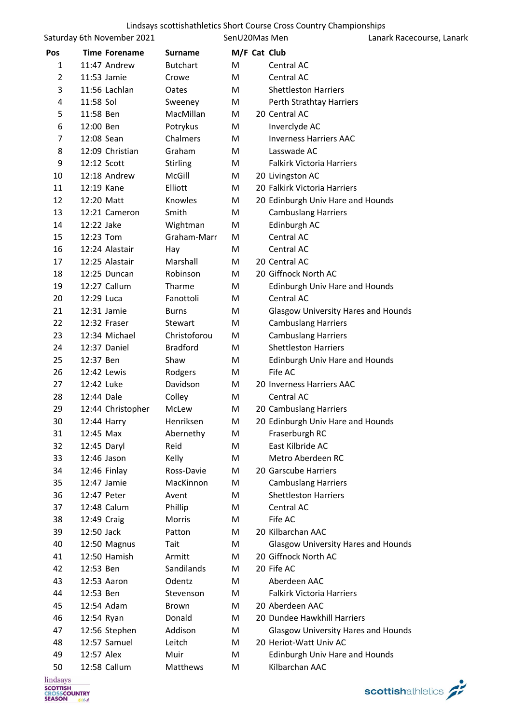|                | Saturday 6th November 2021 |                 | SenU20Mas Men |                                            | Lanark Racecourse, Lanark |
|----------------|----------------------------|-----------------|---------------|--------------------------------------------|---------------------------|
| Pos            | <b>Time Forename</b>       | <b>Surname</b>  | M/F Cat Club  |                                            |                           |
| 1              | 11:47 Andrew               | <b>Butchart</b> | M             | Central AC                                 |                           |
| $\overline{2}$ | 11:53 Jamie                | Crowe           | M             | Central AC                                 |                           |
| 3              | 11:56 Lachlan              | Oates           | M             | <b>Shettleston Harriers</b>                |                           |
| 4              | 11:58 Sol                  | Sweeney         | M             | Perth Strathtay Harriers                   |                           |
| 5              | 11:58 Ben                  | MacMillan       | М             | 20 Central AC                              |                           |
| 6              | 12:00 Ben                  | Potrykus        | M             | Inverclyde AC                              |                           |
| 7              | 12:08 Sean                 | Chalmers        | M             | <b>Inverness Harriers AAC</b>              |                           |
| 8              | 12:09 Christian            | Graham          | M             | Lasswade AC                                |                           |
| 9              | 12:12 Scott                | <b>Stirling</b> | M             | <b>Falkirk Victoria Harriers</b>           |                           |
| 10             | 12:18 Andrew               | McGill          | M             | 20 Livingston AC                           |                           |
| 11             | 12:19 Kane                 | Elliott         | M             | 20 Falkirk Victoria Harriers               |                           |
| 12             | 12:20 Matt                 | Knowles         | M             | 20 Edinburgh Univ Hare and Hounds          |                           |
| 13             | 12:21 Cameron              | Smith           | M             | <b>Cambuslang Harriers</b>                 |                           |
| 14             | 12:22 Jake                 | Wightman        | M             | Edinburgh AC                               |                           |
| 15             | 12:23 Tom                  | Graham-Marr     | М             | Central AC                                 |                           |
| 16             | 12:24 Alastair             | Hay             | M             | Central AC                                 |                           |
| 17             | 12:25 Alastair             | Marshall        | M             | 20 Central AC                              |                           |
| 18             | 12:25 Duncan               | Robinson        | M             | 20 Giffnock North AC                       |                           |
| 19             | 12:27 Callum               | Tharme          | M             | Edinburgh Univ Hare and Hounds             |                           |
| 20             | 12:29 Luca                 | Fanottoli       | М             | Central AC                                 |                           |
| 21             | 12:31 Jamie                | <b>Burns</b>    | M             | <b>Glasgow University Hares and Hounds</b> |                           |
| 22             | 12:32 Fraser               | Stewart         | M             | <b>Cambuslang Harriers</b>                 |                           |
| 23             | 12:34 Michael              | Christoforou    | M             | <b>Cambuslang Harriers</b>                 |                           |
| 24             | 12:37 Daniel               | <b>Bradford</b> | M             | <b>Shettleston Harriers</b>                |                           |
| 25             | 12:37 Ben                  | Shaw            | М             | Edinburgh Univ Hare and Hounds             |                           |
| 26             | 12:42 Lewis                | Rodgers         | M             | Fife AC                                    |                           |
| 27             | 12:42 Luke                 | Davidson        | M             | 20 Inverness Harriers AAC                  |                           |
| 28             | 12:44 Dale                 | Colley          | M             | Central AC                                 |                           |
| 29             | 12:44 Christopher          | McLew           | M             | 20 Cambuslang Harriers                     |                           |
| 30             | 12:44 Harry                | Henriksen       | M             | 20 Edinburgh Univ Hare and Hounds          |                           |
| 31             | 12:45 Max                  | Abernethy       | M             | Fraserburgh RC                             |                           |
| 32             | 12:45 Daryl                | Reid            | M             | East Kilbride AC                           |                           |
| 33             | 12:46 Jason                | Kelly           | M             | Metro Aberdeen RC                          |                           |
| 34             | 12:46 Finlay               | Ross-Davie      | M             | 20 Garscube Harriers                       |                           |
| 35             | 12:47 Jamie                | MacKinnon       | M             | <b>Cambuslang Harriers</b>                 |                           |
| 36             | 12:47 Peter                | Avent           | M             | <b>Shettleston Harriers</b>                |                           |
| 37             | 12:48 Calum                | Phillip         | M             | Central AC                                 |                           |
| 38             | 12:49 Craig                | Morris          | M             | Fife AC                                    |                           |
| 39             | 12:50 Jack                 | Patton          | М             | 20 Kilbarchan AAC                          |                           |
| 40             | 12:50 Magnus               | Tait            | M             | <b>Glasgow University Hares and Hounds</b> |                           |
| 41             | 12:50 Hamish               | Armitt          | М             | 20 Giffnock North AC                       |                           |
| 42             | 12:53 Ben                  | Sandilands      | M             | 20 Fife AC                                 |                           |
| 43             | 12:53 Aaron                | Odentz          | M             | Aberdeen AAC                               |                           |
| 44             | 12:53 Ben                  | Stevenson       | M             | <b>Falkirk Victoria Harriers</b>           |                           |
| 45             | 12:54 Adam                 | Brown           | M             | 20 Aberdeen AAC                            |                           |
| 46             | 12:54 Ryan                 | Donald          | M             | 20 Dundee Hawkhill Harriers                |                           |
| 47             | 12:56 Stephen              | Addison         | M             | <b>Glasgow University Hares and Hounds</b> |                           |
| 48             | 12:57 Samuel               | Leitch          | М             | 20 Heriot-Watt Univ AC                     |                           |
| 49             | 12:57 Alex                 | Muir            | M             | <b>Edinburgh Univ Hare and Hounds</b>      |                           |
| 50             | 12:58 Callum               | Matthews        | M             | Kilbarchan AAC                             |                           |

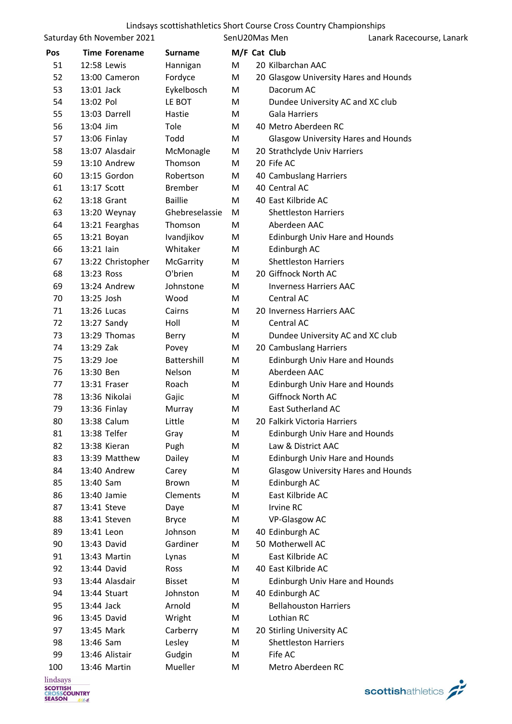|     | Saturday 6th November 2021 |                | SenU20Mas Men |                                            | Lanark Racecourse, Lanark |
|-----|----------------------------|----------------|---------------|--------------------------------------------|---------------------------|
| Pos | <b>Time Forename</b>       | <b>Surname</b> |               | M/F Cat Club                               |                           |
| 51  | 12:58 Lewis                | Hannigan       | M             | 20 Kilbarchan AAC                          |                           |
| 52  | 13:00 Cameron              | Fordyce        | M             | 20 Glasgow University Hares and Hounds     |                           |
| 53  | 13:01 Jack                 | Eykelbosch     | M             | Dacorum AC                                 |                           |
| 54  | 13:02 Pol                  | LE BOT         | M             | Dundee University AC and XC club           |                           |
| 55  | 13:03 Darrell              | Hastie         | M             | <b>Gala Harriers</b>                       |                           |
| 56  | 13:04 Jim                  | Tole           | M             | 40 Metro Aberdeen RC                       |                           |
| 57  | 13:06 Finlay               | Todd           | M             | <b>Glasgow University Hares and Hounds</b> |                           |
| 58  | 13:07 Alasdair             | McMonagle      | M             | 20 Strathclyde Univ Harriers               |                           |
| 59  | 13:10 Andrew               | Thomson        | M             | 20 Fife AC                                 |                           |
| 60  | 13:15 Gordon               | Robertson      | M             | 40 Cambuslang Harriers                     |                           |
| 61  | 13:17 Scott                | <b>Brember</b> | M             | 40 Central AC                              |                           |
| 62  | 13:18 Grant                | <b>Baillie</b> | M             | 40 East Kilbride AC                        |                           |
| 63  | 13:20 Weynay               | Ghebreselassie | M             | <b>Shettleston Harriers</b>                |                           |
| 64  | 13:21 Fearghas             | Thomson        | M             | Aberdeen AAC                               |                           |
| 65  | 13:21 Boyan                | Ivandjikov     | M             | Edinburgh Univ Hare and Hounds             |                           |
| 66  | 13:21 lain                 | Whitaker       | M             | Edinburgh AC                               |                           |
| 67  | 13:22 Christopher          | McGarrity      | M             | <b>Shettleston Harriers</b>                |                           |
| 68  | 13:23 Ross                 | O'brien        | M             | 20 Giffnock North AC                       |                           |
| 69  | 13:24 Andrew               | Johnstone      | М             | <b>Inverness Harriers AAC</b>              |                           |
| 70  | 13:25 Josh                 | Wood           | M             | Central AC                                 |                           |
| 71  | 13:26 Lucas                | Cairns         | M             | 20 Inverness Harriers AAC                  |                           |
| 72  | 13:27 Sandy                | Holl           | M             | Central AC                                 |                           |
| 73  | 13:29 Thomas               | Berry          | M             | Dundee University AC and XC club           |                           |
| 74  | 13:29 Zak                  | Povey          | M             | 20 Cambuslang Harriers                     |                           |
| 75  | 13:29 Joe                  | Battershill    | M             | <b>Edinburgh Univ Hare and Hounds</b>      |                           |
| 76  | 13:30 Ben                  | Nelson         | M             | Aberdeen AAC                               |                           |
| 77  | 13:31 Fraser               | Roach          | M             | <b>Edinburgh Univ Hare and Hounds</b>      |                           |
| 78  | 13:36 Nikolai              | Gajic          | M             | <b>Giffnock North AC</b>                   |                           |
| 79  | 13:36 Finlay               | Murray         | M             | <b>East Sutherland AC</b>                  |                           |
| 80  | 13:38 Calum                | Little         | M             | 20 Falkirk Victoria Harriers               |                           |
| 81  | 13:38 Telfer               | Gray           | M             | <b>Edinburgh Univ Hare and Hounds</b>      |                           |
| 82  | 13:38 Kieran               | Pugh           | M             | Law & District AAC                         |                           |
| 83  | 13:39 Matthew              | Dailey         | M             | <b>Edinburgh Univ Hare and Hounds</b>      |                           |
| 84  | 13:40 Andrew               | Carey          | M             | <b>Glasgow University Hares and Hounds</b> |                           |
| 85  | 13:40 Sam                  | Brown          | M             | Edinburgh AC                               |                           |
| 86  | 13:40 Jamie                | Clements       | M             | East Kilbride AC                           |                           |
| 87  | 13:41 Steve                | Daye           | M             | <b>Irvine RC</b>                           |                           |
| 88  | 13:41 Steven               | <b>Bryce</b>   | M             | <b>VP-Glasgow AC</b>                       |                           |
| 89  | 13:41 Leon                 | Johnson        | M             | 40 Edinburgh AC                            |                           |
| 90  | 13:43 David                | Gardiner       | M             | 50 Motherwell AC                           |                           |
| 91  | 13:43 Martin               | Lynas          | M             | East Kilbride AC                           |                           |
| 92  | 13:44 David                | Ross           | М             | 40 East Kilbride AC                        |                           |
| 93  | 13:44 Alasdair             | <b>Bisset</b>  | M             | <b>Edinburgh Univ Hare and Hounds</b>      |                           |
| 94  | 13:44 Stuart               | Johnston       | M             | 40 Edinburgh AC                            |                           |
| 95  | 13:44 Jack                 | Arnold         | M             | <b>Bellahouston Harriers</b>               |                           |
| 96  | 13:45 David                | Wright         | M             | Lothian RC                                 |                           |
| 97  | 13:45 Mark                 | Carberry       | M             | 20 Stirling University AC                  |                           |
| 98  | 13:46 Sam                  | Lesley         | M             | <b>Shettleston Harriers</b>                |                           |
| 99  | 13:46 Alistair             | Gudgin         | M             | Fife AC                                    |                           |
| 100 | 13:46 Martin               | Mueller        | M             | Metro Aberdeen RC                          |                           |

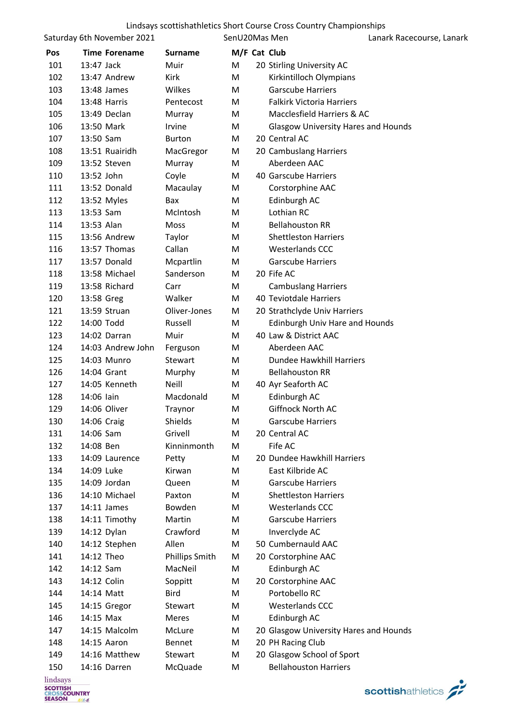|          | Saturday 6th November 2021 |                       | SenU20Mas Men |                                            | Lanark Racecourse, Lanark |
|----------|----------------------------|-----------------------|---------------|--------------------------------------------|---------------------------|
| Pos      | <b>Time Forename</b>       | <b>Surname</b>        | M/F Cat Club  |                                            |                           |
| 101      | 13:47 Jack                 | Muir                  | M             | 20 Stirling University AC                  |                           |
| 102      | 13:47 Andrew               | Kirk                  | M             | Kirkintilloch Olympians                    |                           |
| 103      | 13:48 James                | Wilkes                | М             | <b>Garscube Harriers</b>                   |                           |
| 104      | 13:48 Harris               | Pentecost             | М             | <b>Falkirk Victoria Harriers</b>           |                           |
| 105      | 13:49 Declan               | Murray                | M             | Macclesfield Harriers & AC                 |                           |
| 106      | 13:50 Mark                 | Irvine                | М             | <b>Glasgow University Hares and Hounds</b> |                           |
| 107      | 13:50 Sam                  | <b>Burton</b>         | М             | 20 Central AC                              |                           |
| 108      | 13:51 Ruairidh             | MacGregor             | M             | 20 Cambuslang Harriers                     |                           |
| 109      | 13:52 Steven               | Murray                | M             | Aberdeen AAC                               |                           |
| 110      | 13:52 John                 | Coyle                 | M             | 40 Garscube Harriers                       |                           |
| 111      | 13:52 Donald               | Macaulay              | M             | Corstorphine AAC                           |                           |
| 112      | 13:52 Myles                | Bax                   | М             | Edinburgh AC                               |                           |
| 113      | 13:53 Sam                  | McIntosh              | М             | Lothian RC                                 |                           |
| 114      | 13:53 Alan                 | Moss                  | M             | <b>Bellahouston RR</b>                     |                           |
| 115      | 13:56 Andrew               | Taylor                | М             | <b>Shettleston Harriers</b>                |                           |
| 116      | 13:57 Thomas               | Callan                | M             | <b>Westerlands CCC</b>                     |                           |
| 117      | 13:57 Donald               | Mcpartlin             | М             | <b>Garscube Harriers</b>                   |                           |
| 118      | 13:58 Michael              | Sanderson             | М             | 20 Fife AC                                 |                           |
| 119      | 13:58 Richard              | Carr                  | M             | <b>Cambuslang Harriers</b>                 |                           |
| 120      | 13:58 Greg                 | Walker                | M             | 40 Teviotdale Harriers                     |                           |
| 121      | 13:59 Struan               | Oliver-Jones          | M             | 20 Strathclyde Univ Harriers               |                           |
| 122      | 14:00 Todd                 | Russell               | M             | Edinburgh Univ Hare and Hounds             |                           |
| 123      | 14:02 Darran               | Muir                  | М             | 40 Law & District AAC                      |                           |
| 124      | 14:03 Andrew John          | Ferguson              | M             | Aberdeen AAC                               |                           |
| 125      | 14:03 Munro                | Stewart               | M             | Dundee Hawkhill Harriers                   |                           |
| 126      | 14:04 Grant                | Murphy                | M             | <b>Bellahouston RR</b>                     |                           |
| 127      | 14:05 Kenneth              | Neill                 | М             | 40 Ayr Seaforth AC                         |                           |
| 128      | 14:06 lain                 | Macdonald             | М             | Edinburgh AC                               |                           |
| 129      | 14:06 Oliver               | Traynor               | Μ             | Giffnock North AC                          |                           |
| 130      | 14:06 Craig                | Shields               | М             | <b>Garscube Harriers</b>                   |                           |
| 131      | 14:06 Sam                  | Grivell               | М             | 20 Central AC                              |                           |
| 132      | 14:08 Ben                  | Kinninmonth           | M             | Fife AC                                    |                           |
| 133      | 14:09 Laurence             | Petty                 | M             | 20 Dundee Hawkhill Harriers                |                           |
| 134      | 14:09 Luke                 | Kirwan                | М             | East Kilbride AC                           |                           |
| 135      | 14:09 Jordan               | Queen                 | М             | <b>Garscube Harriers</b>                   |                           |
| 136      | 14:10 Michael              | Paxton                | М             | <b>Shettleston Harriers</b>                |                           |
| 137      | 14:11 James                | Bowden                | М             | <b>Westerlands CCC</b>                     |                           |
| 138      | 14:11 Timothy              | Martin                | М             | <b>Garscube Harriers</b>                   |                           |
| 139      | 14:12 Dylan                | Crawford              | M             | Inverclyde AC                              |                           |
| 140      | 14:12 Stephen              | Allen                 | M             | 50 Cumbernauld AAC                         |                           |
| 141      | 14:12 Theo                 | <b>Phillips Smith</b> | M             | 20 Corstorphine AAC                        |                           |
| 142      | 14:12 Sam                  | MacNeil               | M             | Edinburgh AC                               |                           |
| 143      | 14:12 Colin                | Soppitt               | M             | 20 Corstorphine AAC                        |                           |
| 144      | 14:14 Matt                 | <b>Bird</b>           | М             | Portobello RC                              |                           |
| 145      | 14:15 Gregor               | Stewart               | M             | <b>Westerlands CCC</b>                     |                           |
| 146      | 14:15 Max                  | Meres                 | М             | Edinburgh AC                               |                           |
| 147      | 14:15 Malcolm              | McLure                | M             | 20 Glasgow University Hares and Hounds     |                           |
| 148      | 14:15 Aaron                | Bennet                | M             | 20 PH Racing Club                          |                           |
| 149      | 14:16 Matthew              | Stewart               | M             | 20 Glasgow School of Sport                 |                           |
| 150      | 14:16 Darren               | McQuade               | M             | <b>Bellahouston Harriers</b>               |                           |
| lindooyo |                            |                       |               |                                            |                           |

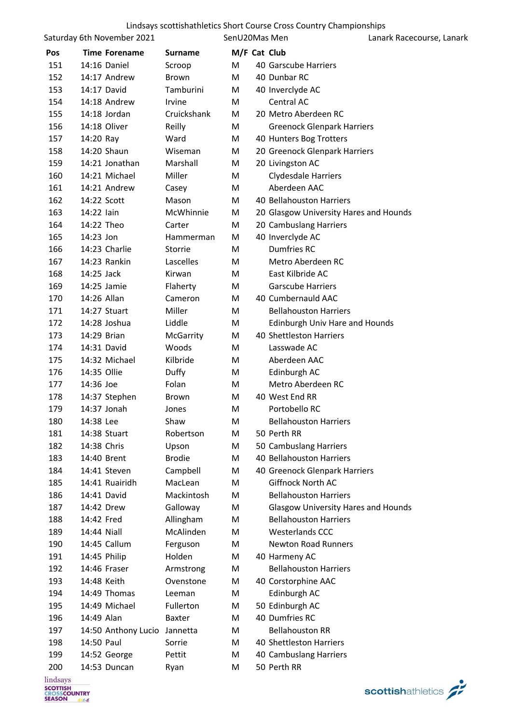|     | Saturday 6th November 2021        |                     | SenU20Mas Men |                                            | Lanark Racecourse, Lanark |
|-----|-----------------------------------|---------------------|---------------|--------------------------------------------|---------------------------|
| Pos | <b>Time Forename</b>              | Surname             | M/F Cat Club  |                                            |                           |
| 151 | 14:16 Daniel                      | Scroop              | M             | 40 Garscube Harriers                       |                           |
| 152 | 14:17 Andrew                      | <b>Brown</b>        | М             | 40 Dunbar RC                               |                           |
| 153 | 14:17 David                       | Tamburini           | M             | 40 Inverclyde AC                           |                           |
| 154 | 14:18 Andrew                      | Irvine              | M             | Central AC                                 |                           |
| 155 | 14:18 Jordan                      | Cruickshank         | M             | 20 Metro Aberdeen RC                       |                           |
| 156 | 14:18 Oliver                      | Reilly              | M             | <b>Greenock Glenpark Harriers</b>          |                           |
| 157 | 14:20 Ray                         | Ward                | M             | 40 Hunters Bog Trotters                    |                           |
| 158 | 14:20 Shaun                       | Wiseman             | M             | 20 Greenock Glenpark Harriers              |                           |
| 159 | 14:21 Jonathan                    | Marshall            | M             | 20 Livingston AC                           |                           |
| 160 | 14:21 Michael                     | Miller              | M             | Clydesdale Harriers                        |                           |
| 161 | 14:21 Andrew                      | Casey               | M             | Aberdeen AAC                               |                           |
| 162 | 14:22 Scott                       | Mason               | M             | 40 Bellahouston Harriers                   |                           |
| 163 | 14:22 lain                        | McWhinnie           | М             | 20 Glasgow University Hares and Hounds     |                           |
| 164 | 14:22 Theo                        | Carter              | M             | 20 Cambuslang Harriers                     |                           |
| 165 | 14:23 Jon                         | Hammerman           | M             | 40 Inverclyde AC                           |                           |
| 166 | 14:23 Charlie                     | Storrie             | M             | Dumfries RC                                |                           |
| 167 | 14:23 Rankin                      | Lascelles           | M             | Metro Aberdeen RC                          |                           |
| 168 | 14:25 Jack                        | Kirwan              | M             | East Kilbride AC                           |                           |
| 169 | 14:25 Jamie                       | Flaherty            | M             | <b>Garscube Harriers</b>                   |                           |
| 170 | 14:26 Allan                       | Cameron             | M             | 40 Cumbernauld AAC                         |                           |
| 171 | 14:27 Stuart                      | Miller              | M             | <b>Bellahouston Harriers</b>               |                           |
| 172 | 14:28 Joshua                      | Liddle              | M             | <b>Edinburgh Univ Hare and Hounds</b>      |                           |
| 173 | 14:29 Brian                       | McGarrity           | M             | 40 Shettleston Harriers                    |                           |
| 174 | 14:31 David                       | Woods               | M             | Lasswade AC                                |                           |
| 175 | 14:32 Michael                     | Kilbride            | M             | Aberdeen AAC                               |                           |
| 176 | 14:35 Ollie                       | Duffy               | M             | Edinburgh AC                               |                           |
| 177 | 14:36 Joe                         | Folan               | M             | Metro Aberdeen RC                          |                           |
| 178 | 14:37 Stephen                     | <b>Brown</b>        | M             | 40 West End RR                             |                           |
| 179 | 14:37 Jonah                       | Jones               | M             | Portobello RC                              |                           |
| 180 | 14:38 Lee                         | Shaw                | M             | <b>Bellahouston Harriers</b>               |                           |
| 181 | 14:38 Stuart                      | Robertson           | M             | 50 Perth RR                                |                           |
| 182 | 14:38 Chris                       | Upson               | M             | 50 Cambuslang Harriers                     |                           |
| 183 | 14:40 Brent                       | <b>Brodie</b>       | M             | 40 Bellahouston Harriers                   |                           |
| 184 | 14:41 Steven                      | Campbell            | M             | 40 Greenock Glenpark Harriers              |                           |
| 185 | 14:41 Ruairidh                    | MacLean             | M             | Giffnock North AC                          |                           |
| 186 | 14:41 David                       | Mackintosh          | M             | <b>Bellahouston Harriers</b>               |                           |
| 187 | 14:42 Drew                        | Galloway            | M             | <b>Glasgow University Hares and Hounds</b> |                           |
| 188 | 14:42 Fred                        | Allingham           | M             | <b>Bellahouston Harriers</b>               |                           |
| 189 | 14:44 Niall                       | McAlinden           | M             | Westerlands CCC                            |                           |
| 190 | 14:45 Callum                      | Ferguson            | M             | <b>Newton Road Runners</b>                 |                           |
| 191 | 14:45 Philip                      | Holden              | M             | 40 Harmeny AC                              |                           |
| 192 | 14:46 Fraser                      | Armstrong           | M             | <b>Bellahouston Harriers</b>               |                           |
| 193 | 14:48 Keith                       | Ovenstone           | M             | 40 Corstorphine AAC                        |                           |
| 194 | 14:49 Thomas<br>14:49 Michael     | Leeman<br>Fullerton | M             | Edinburgh AC                               |                           |
| 195 |                                   |                     | M             | 50 Edinburgh AC                            |                           |
| 196 | 14:49 Alan                        | <b>Baxter</b>       | M             | 40 Dumfries RC<br><b>Bellahouston RR</b>   |                           |
| 197 | 14:50 Anthony Lucio<br>14:50 Paul | Jannetta            | M             | 40 Shettleston Harriers                    |                           |
| 198 |                                   | Sorrie              | M             |                                            |                           |
| 199 | 14:52 George                      | Pettit              | M             | 40 Cambuslang Harriers                     |                           |
| 200 | 14:53 Duncan                      | Ryan                | M             | 50 Perth RR                                |                           |

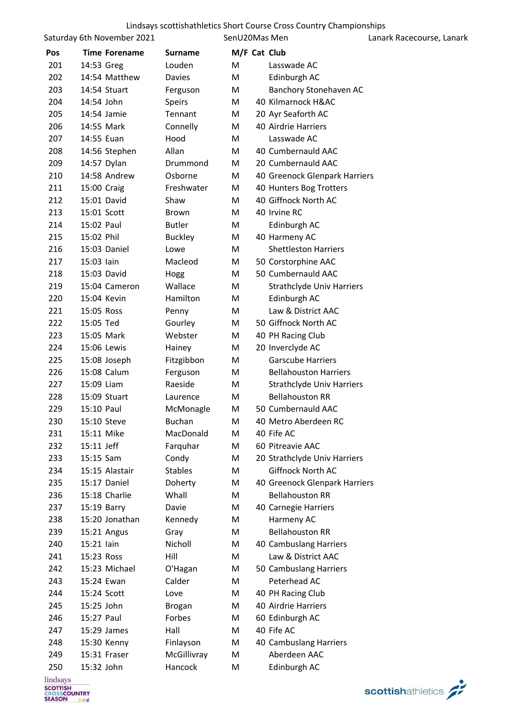|     | Saturday 6th November 2021 |                | SenU20Mas Men |                                  | Lanark Racecourse, Lanark |
|-----|----------------------------|----------------|---------------|----------------------------------|---------------------------|
| Pos | <b>Time Forename</b>       | <b>Surname</b> | M/F Cat Club  |                                  |                           |
| 201 | 14:53 Greg                 | Louden         | M             | Lasswade AC                      |                           |
| 202 | 14:54 Matthew              | Davies         | M             | Edinburgh AC                     |                           |
| 203 | 14:54 Stuart               | Ferguson       | M             | Banchory Stonehaven AC           |                           |
| 204 | 14:54 John                 | <b>Speirs</b>  | M             | 40 Kilmarnock H&AC               |                           |
| 205 | 14:54 Jamie                | Tennant        | M             | 20 Ayr Seaforth AC               |                           |
| 206 | 14:55 Mark                 | Connelly       | M             | 40 Airdrie Harriers              |                           |
| 207 | 14:55 Euan                 | Hood           | M             | Lasswade AC                      |                           |
| 208 | 14:56 Stephen              | Allan          | M             | 40 Cumbernauld AAC               |                           |
| 209 | 14:57 Dylan                | Drummond       | M             | 20 Cumbernauld AAC               |                           |
| 210 | 14:58 Andrew               | Osborne        | M             | 40 Greenock Glenpark Harriers    |                           |
| 211 | 15:00 Craig                | Freshwater     | M             | 40 Hunters Bog Trotters          |                           |
| 212 | 15:01 David                | Shaw           | M             | 40 Giffnock North AC             |                           |
| 213 | 15:01 Scott                | Brown          | M             | 40 Irvine RC                     |                           |
| 214 | 15:02 Paul                 | <b>Butler</b>  | M             | Edinburgh AC                     |                           |
| 215 | 15:02 Phil                 | <b>Buckley</b> | M             | 40 Harmeny AC                    |                           |
| 216 | 15:03 Daniel               | Lowe           | M             | <b>Shettleston Harriers</b>      |                           |
| 217 | 15:03 lain                 | Macleod        | M             | 50 Corstorphine AAC              |                           |
| 218 | 15:03 David                | Hogg           | M             | 50 Cumbernauld AAC               |                           |
| 219 | 15:04 Cameron              | Wallace        | M             | <b>Strathclyde Univ Harriers</b> |                           |
| 220 | 15:04 Kevin                | Hamilton       | M             | Edinburgh AC                     |                           |
| 221 | 15:05 Ross                 | Penny          | M             | Law & District AAC               |                           |
| 222 | 15:05 Ted                  | Gourley        | M             | 50 Giffnock North AC             |                           |
| 223 | 15:05 Mark                 | Webster        | M             | 40 PH Racing Club                |                           |
| 224 | 15:06 Lewis                | Hainey         | M             | 20 Inverclyde AC                 |                           |
| 225 | 15:08 Joseph               | Fitzgibbon     | M             | <b>Garscube Harriers</b>         |                           |
| 226 | 15:08 Calum                | Ferguson       | M             | <b>Bellahouston Harriers</b>     |                           |
| 227 | 15:09 Liam                 | Raeside        | M             | <b>Strathclyde Univ Harriers</b> |                           |
| 228 | 15:09 Stuart               | Laurence       | M             | <b>Bellahouston RR</b>           |                           |
| 229 | 15:10 Paul                 | McMonagle      | M             | 50 Cumbernauld AAC               |                           |
| 230 | 15:10 Steve                | <b>Buchan</b>  | M             | 40 Metro Aberdeen RC             |                           |
| 231 | 15:11 Mike                 | MacDonald      | M             | 40 Fife AC                       |                           |
| 232 | 15:11 Jeff                 | Farquhar       | M             | 60 Pitreavie AAC                 |                           |
| 233 | 15:15 Sam                  | Condy          | M             | 20 Strathclyde Univ Harriers     |                           |
| 234 | 15:15 Alastair             | <b>Stables</b> | M             | <b>Giffnock North AC</b>         |                           |
| 235 | 15:17 Daniel               | Doherty        | Μ             | 40 Greenock Glenpark Harriers    |                           |
| 236 | 15:18 Charlie              | Whall          | M             | <b>Bellahouston RR</b>           |                           |
| 237 | 15:19 Barry                | Davie          | M             | 40 Carnegie Harriers             |                           |
| 238 | 15:20 Jonathan             | Kennedy        | M             | Harmeny AC                       |                           |
| 239 | 15:21 Angus                | Gray           | M             | <b>Bellahouston RR</b>           |                           |
| 240 | 15:21 lain                 | Nicholl        | M             | 40 Cambuslang Harriers           |                           |
| 241 | 15:23 Ross                 | Hill           | M             | Law & District AAC               |                           |
| 242 | 15:23 Michael              | O'Hagan        | M             | 50 Cambuslang Harriers           |                           |
| 243 | 15:24 Ewan                 | Calder         | М             | Peterhead AC                     |                           |
| 244 | 15:24 Scott                | Love           | M             | 40 PH Racing Club                |                           |
| 245 | 15:25 John                 | <b>Brogan</b>  | M             | 40 Airdrie Harriers              |                           |
| 246 | 15:27 Paul                 | Forbes         | M             | 60 Edinburgh AC                  |                           |
| 247 | 15:29 James                | Hall           | M             | 40 Fife AC                       |                           |
| 248 | 15:30 Kenny                | Finlayson      | M             | 40 Cambuslang Harriers           |                           |
| 249 | 15:31 Fraser               | McGillivray    | M             | Aberdeen AAC                     |                           |
| 250 | 15:32 John                 | Hancock        | M             | Edinburgh AC                     |                           |

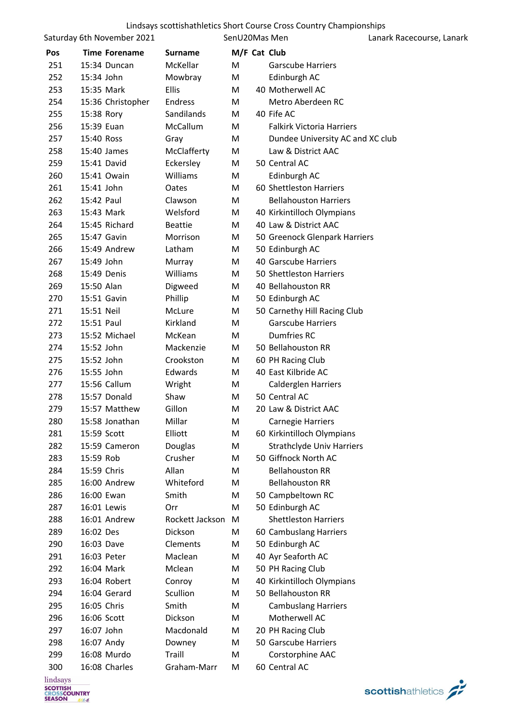|     |             | Saturday 6th November 2021 |                 | SenU20Mas Men |                                  | Lanark Racecourse, Lanark |
|-----|-------------|----------------------------|-----------------|---------------|----------------------------------|---------------------------|
| Pos |             | <b>Time Forename</b>       | <b>Surname</b>  |               | M/F Cat Club                     |                           |
| 251 |             | 15:34 Duncan               | McKellar        | M             | <b>Garscube Harriers</b>         |                           |
| 252 | 15:34 John  |                            | Mowbray         | M             | Edinburgh AC                     |                           |
| 253 | 15:35 Mark  |                            | Ellis           | M             | 40 Motherwell AC                 |                           |
| 254 |             | 15:36 Christopher          | Endress         | M             | Metro Aberdeen RC                |                           |
| 255 | 15:38 Rory  |                            | Sandilands      | M             | 40 Fife AC                       |                           |
| 256 | 15:39 Euan  |                            | McCallum        | M             | <b>Falkirk Victoria Harriers</b> |                           |
| 257 | 15:40 Ross  |                            | Gray            | M             | Dundee University AC and XC club |                           |
| 258 |             | 15:40 James                | McClafferty     | M             | Law & District AAC               |                           |
| 259 | 15:41 David |                            | Eckersley       | M             | 50 Central AC                    |                           |
| 260 |             | 15:41 Owain                | Williams        | M             | Edinburgh AC                     |                           |
| 261 | 15:41 John  |                            | Oates           | M             | 60 Shettleston Harriers          |                           |
| 262 | 15:42 Paul  |                            | Clawson         | М             | <b>Bellahouston Harriers</b>     |                           |
| 263 | 15:43 Mark  |                            | Welsford        | M             | 40 Kirkintilloch Olympians       |                           |
| 264 |             | 15:45 Richard              | <b>Beattie</b>  | М             | 40 Law & District AAC            |                           |
| 265 | 15:47 Gavin |                            | Morrison        | M             | 50 Greenock Glenpark Harriers    |                           |
| 266 |             | 15:49 Andrew               | Latham          | M             | 50 Edinburgh AC                  |                           |
| 267 | 15:49 John  |                            | Murray          | M             | 40 Garscube Harriers             |                           |
| 268 | 15:49 Denis |                            | Williams        | M             | 50 Shettleston Harriers          |                           |
| 269 | 15:50 Alan  |                            | Digweed         | M             | 40 Bellahouston RR               |                           |
| 270 |             | 15:51 Gavin                | Phillip         | М             | 50 Edinburgh AC                  |                           |
| 271 | 15:51 Neil  |                            | McLure          | M             | 50 Carnethy Hill Racing Club     |                           |
| 272 | 15:51 Paul  |                            | Kirkland        | M             | <b>Garscube Harriers</b>         |                           |
| 273 |             | 15:52 Michael              | McKean          | M             | <b>Dumfries RC</b>               |                           |
| 274 | 15:52 John  |                            | Mackenzie       | M             | 50 Bellahouston RR               |                           |
| 275 | 15:52 John  |                            | Crookston       | M             | 60 PH Racing Club                |                           |
| 276 | 15:55 John  |                            | Edwards         | M             | 40 East Kilbride AC              |                           |
| 277 |             | 15:56 Callum               | Wright          | M             | Calderglen Harriers              |                           |
| 278 |             | 15:57 Donald               | Shaw            | M             | 50 Central AC                    |                           |
| 279 |             | 15:57 Matthew              | Gillon          | M             | 20 Law & District AAC            |                           |
| 280 |             | 15:58 Jonathan             | Millar          | M             | Carnegie Harriers                |                           |
| 281 | 15:59 Scott |                            | Elliott         | M             | 60 Kirkintilloch Olympians       |                           |
| 282 |             | 15:59 Cameron              | Douglas         | M             | <b>Strathclyde Univ Harriers</b> |                           |
| 283 | 15:59 Rob   |                            | Crusher         | M             | 50 Giffnock North AC             |                           |
| 284 | 15:59 Chris |                            | Allan           | M             | <b>Bellahouston RR</b>           |                           |
| 285 |             | 16:00 Andrew               | Whiteford       | M             | <b>Bellahouston RR</b>           |                           |
| 286 | 16:00 Ewan  |                            | Smith           | M             | 50 Campbeltown RC                |                           |
| 287 | 16:01 Lewis |                            | Orr             | M             | 50 Edinburgh AC                  |                           |
| 288 |             | 16:01 Andrew               | Rockett Jackson | M             | <b>Shettleston Harriers</b>      |                           |
| 289 | 16:02 Des   |                            | Dickson         | М             | 60 Cambuslang Harriers           |                           |
| 290 | 16:03 Dave  |                            | Clements        | M             | 50 Edinburgh AC                  |                           |
| 291 | 16:03 Peter |                            | Maclean         | M             | 40 Ayr Seaforth AC               |                           |
| 292 | 16:04 Mark  |                            | Mclean          | M             | 50 PH Racing Club                |                           |
| 293 |             | 16:04 Robert               | Conroy          | M             | 40 Kirkintilloch Olympians       |                           |
| 294 |             | 16:04 Gerard               | Scullion        | М             | 50 Bellahouston RR               |                           |
| 295 | 16:05 Chris |                            | Smith           | M             | <b>Cambuslang Harriers</b>       |                           |
| 296 | 16:06 Scott |                            | Dickson         | M             | Motherwell AC                    |                           |
| 297 | 16:07 John  |                            | Macdonald       | M             | 20 PH Racing Club                |                           |
| 298 | 16:07 Andy  |                            | Downey          | M             | 50 Garscube Harriers             |                           |
| 299 |             | 16:08 Murdo                | Traill          | M             | Corstorphine AAC                 |                           |
| 300 |             | 16:08 Charles              | Graham-Marr     | M             | 60 Central AC                    |                           |
|     |             |                            |                 |               |                                  |                           |

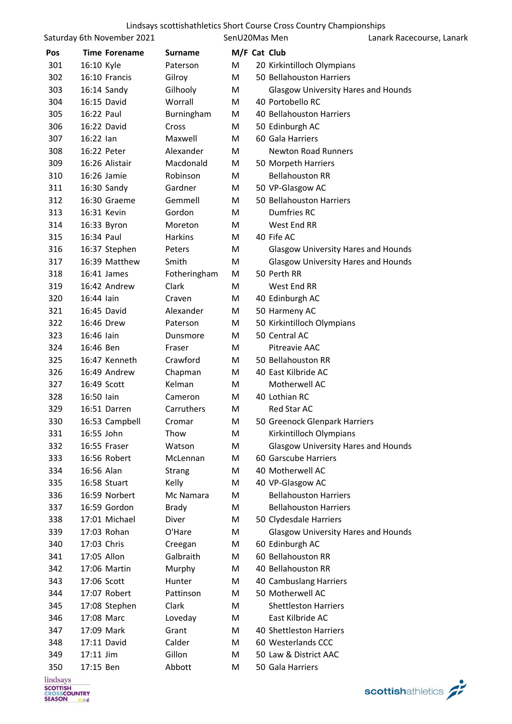|            | Saturday 6th November 2021 |                | SenU20Mas Men |                                            | Lanark Racecourse, Lanark |
|------------|----------------------------|----------------|---------------|--------------------------------------------|---------------------------|
| <b>Pos</b> | <b>Time Forename</b>       | <b>Surname</b> | M/F Cat Club  |                                            |                           |
| 301        | 16:10 Kyle                 | Paterson       | М             | 20 Kirkintilloch Olympians                 |                           |
| 302        | 16:10 Francis              | Gilroy         | M             | 50 Bellahouston Harriers                   |                           |
| 303        | 16:14 Sandy                | Gilhooly       | M             | <b>Glasgow University Hares and Hounds</b> |                           |
| 304        | 16:15 David                | Worrall        | M             | 40 Portobello RC                           |                           |
| 305        | 16:22 Paul                 | Burningham     | M             | 40 Bellahouston Harriers                   |                           |
| 306        | 16:22 David                | Cross          | M             | 50 Edinburgh AC                            |                           |
| 307        | 16:22 lan                  | Maxwell        | M             | 60 Gala Harriers                           |                           |
| 308        | 16:22 Peter                | Alexander      | М             | <b>Newton Road Runners</b>                 |                           |
| 309        | 16:26 Alistair             | Macdonald      | M             | 50 Morpeth Harriers                        |                           |
| 310        | 16:26 Jamie                | Robinson       | М             | <b>Bellahouston RR</b>                     |                           |
| 311        | 16:30 Sandy                | Gardner        | M             | 50 VP-Glasgow AC                           |                           |
| 312        | 16:30 Graeme               | Gemmell        | M             | 50 Bellahouston Harriers                   |                           |
| 313        | 16:31 Kevin                | Gordon         | М             | Dumfries RC                                |                           |
| 314        | 16:33 Byron                | Moreton        | М             | West End RR                                |                           |
| 315        | 16:34 Paul                 | Harkins        | M             | 40 Fife AC                                 |                           |
| 316        | 16:37 Stephen              | Peters         | M             | <b>Glasgow University Hares and Hounds</b> |                           |
| 317        | 16:39 Matthew              | Smith          | M             | <b>Glasgow University Hares and Hounds</b> |                           |
| 318        | 16:41 James                | Fotheringham   | M             | 50 Perth RR                                |                           |
| 319        | 16:42 Andrew               | Clark          | М             | West End RR                                |                           |
| 320        | 16:44 lain                 | Craven         | M             | 40 Edinburgh AC                            |                           |
| 321        | 16:45 David                | Alexander      | M             | 50 Harmeny AC                              |                           |
| 322        | 16:46 Drew                 | Paterson       | M             | 50 Kirkintilloch Olympians                 |                           |
| 323        | 16:46 lain                 | Dunsmore       | М             | 50 Central AC                              |                           |
| 324        | 16:46 Ben                  | Fraser         | М             | Pitreavie AAC                              |                           |
| 325        | 16:47 Kenneth              | Crawford       | M             | 50 Bellahouston RR                         |                           |
| 326        | 16:49 Andrew               | Chapman        | M             | 40 East Kilbride AC                        |                           |
| 327        | 16:49 Scott                | Kelman         | M             | Motherwell AC                              |                           |
| 328        | 16:50 lain                 | Cameron        | М             | 40 Lothian RC                              |                           |
| 329        | 16:51 Darren               | Carruthers     | M             | Red Star AC                                |                           |
| 330        | 16:53 Campbell             | Cromar         | M             | 50 Greenock Glenpark Harriers              |                           |
| 331        | 16:55 John                 | Thow           | M             | Kirkintilloch Olympians                    |                           |
| 332        | 16:55 Fraser               | Watson         | М             | <b>Glasgow University Hares and Hounds</b> |                           |
| 333        | 16:56 Robert               | McLennan       | M             | 60 Garscube Harriers                       |                           |
| 334        | 16:56 Alan                 | <b>Strang</b>  | M             | 40 Motherwell AC                           |                           |
| 335        | 16:58 Stuart               | Kelly          | М             | 40 VP-Glasgow AC                           |                           |
| 336        | 16:59 Norbert              | Mc Namara      | M             | <b>Bellahouston Harriers</b>               |                           |
| 337        | 16:59 Gordon               | Brady          | М             | <b>Bellahouston Harriers</b>               |                           |
| 338        | 17:01 Michael              | Diver          | M             | 50 Clydesdale Harriers                     |                           |
| 339        | 17:03 Rohan                | O'Hare         | M             | <b>Glasgow University Hares and Hounds</b> |                           |
| 340        | 17:03 Chris                | Creegan        | M             | 60 Edinburgh AC                            |                           |
| 341        | 17:05 Allon                | Galbraith      | M             | 60 Bellahouston RR                         |                           |
| 342        | 17:06 Martin               | Murphy         | M             | 40 Bellahouston RR                         |                           |
| 343        | 17:06 Scott                | Hunter         | M             | 40 Cambuslang Harriers                     |                           |
| 344        | 17:07 Robert               | Pattinson      | M             | 50 Motherwell AC                           |                           |
| 345        | 17:08 Stephen              | Clark          | M             | <b>Shettleston Harriers</b>                |                           |
| 346        | 17:08 Marc                 | Loveday        | M             | East Kilbride AC                           |                           |
| 347        | 17:09 Mark                 | Grant          | М             | 40 Shettleston Harriers                    |                           |
| 348        | 17:11 David                | Calder         | М             | 60 Westerlands CCC                         |                           |
| 349        | 17:11 Jim                  | Gillon         | M             | 50 Law & District AAC                      |                           |
| 350        | 17:15 Ben                  | Abbott         | M             | 50 Gala Harriers                           |                           |

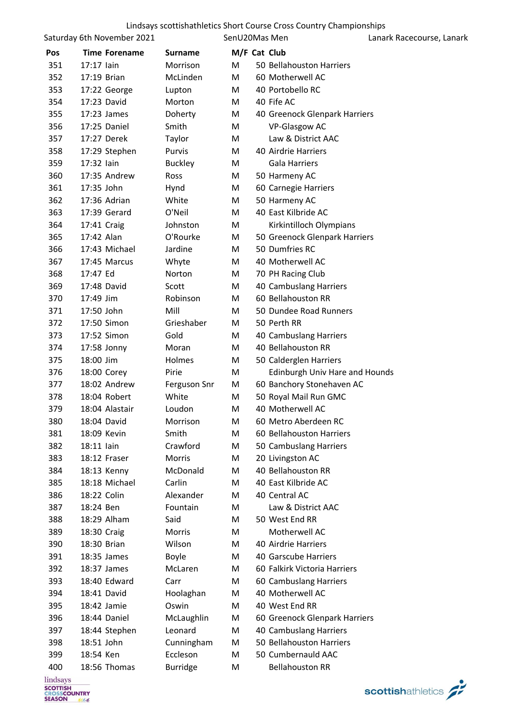# Lindsays scottishathletics Short Course Cross Country Championships<br>SenU20Mas Men<br>Lana

Saturday 6th November 2021

SenU20Mas Men Lanark Racecourse, Lanark

|                             |             | Sataraay othinovernoer 2021 |                 | ווטווט נטויוטבע |                                | Lanans Racccourse, Lanans |
|-----------------------------|-------------|-----------------------------|-----------------|-----------------|--------------------------------|---------------------------|
| Pos                         |             | <b>Time Forename</b>        | <b>Surname</b>  | M/F Cat Club    |                                |                           |
| 351                         | 17:17 lain  |                             | Morrison        | M               | 50 Bellahouston Harriers       |                           |
| 352                         | 17:19 Brian |                             | McLinden        | M               | 60 Motherwell AC               |                           |
| 353                         |             | 17:22 George                | Lupton          | M               | 40 Portobello RC               |                           |
| 354                         | 17:23 David |                             | Morton          | M               | 40 Fife AC                     |                           |
| 355                         |             | 17:23 James                 | Doherty         | M               | 40 Greenock Glenpark Harriers  |                           |
| 356                         |             | 17:25 Daniel                | Smith           | M               | VP-Glasgow AC                  |                           |
| 357                         |             | 17:27 Derek                 | Taylor          | M               | Law & District AAC             |                           |
| 358                         |             | 17:29 Stephen               | Purvis          | M               | 40 Airdrie Harriers            |                           |
| 359                         | 17:32 lain  |                             | <b>Buckley</b>  | M               | <b>Gala Harriers</b>           |                           |
| 360                         |             | 17:35 Andrew                | Ross            | M               | 50 Harmeny AC                  |                           |
| 361                         | 17:35 John  |                             | Hynd            | M               | 60 Carnegie Harriers           |                           |
| 362                         |             | 17:36 Adrian                | White           | M               | 50 Harmeny AC                  |                           |
| 363                         |             | 17:39 Gerard                | O'Neil          | М               | 40 East Kilbride AC            |                           |
| 364                         | 17:41 Craig |                             | Johnston        | М               | Kirkintilloch Olympians        |                           |
| 365                         | 17:42 Alan  |                             | O'Rourke        | M               | 50 Greenock Glenpark Harriers  |                           |
| 366                         |             | 17:43 Michael               | Jardine         | M               | 50 Dumfries RC                 |                           |
| 367                         |             | 17:45 Marcus                | Whyte           | M               | 40 Motherwell AC               |                           |
| 368                         | 17:47 Ed    |                             | Norton          | M               | 70 PH Racing Club              |                           |
| 369                         | 17:48 David |                             | Scott           | M               | 40 Cambuslang Harriers         |                           |
| 370                         | 17:49 Jim   |                             | Robinson        | М               | 60 Bellahouston RR             |                           |
| 371                         | 17:50 John  |                             | Mill            | M               | 50 Dundee Road Runners         |                           |
| 372                         |             | 17:50 Simon                 | Grieshaber      | M               | 50 Perth RR                    |                           |
| 373                         |             | 17:52 Simon                 | Gold            | М               | 40 Cambuslang Harriers         |                           |
| 374                         | 17:58 Jonny |                             | Moran           | M               | 40 Bellahouston RR             |                           |
| 375                         | 18:00 Jim   |                             | Holmes          | M               | 50 Calderglen Harriers         |                           |
| 376                         |             | 18:00 Corey                 | Pirie           | M               | Edinburgh Univ Hare and Hounds |                           |
| 377                         |             | 18:02 Andrew                | Ferguson Snr    | М               | 60 Banchory Stonehaven AC      |                           |
| 378                         |             | 18:04 Robert                | White           | М               | 50 Royal Mail Run GMC          |                           |
| 379                         |             | 18:04 Alastair              | Loudon          | М               | 40 Motherwell AC               |                           |
| 380                         | 18:04 David |                             | Morrison        | M               | 60 Metro Aberdeen RC           |                           |
| 381                         | 18:09 Kevin |                             | Smith           | M               | 60 Bellahouston Harriers       |                           |
| 382                         | 18:11 lain  |                             | Crawford        | M               | 50 Cambuslang Harriers         |                           |
| 383                         |             | 18:12 Fraser                | Morris          | M               | 20 Livingston AC               |                           |
| 384                         |             | 18:13 Kenny                 | McDonald        | M               | 40 Bellahouston RR             |                           |
| 385                         |             | 18:18 Michael               | Carlin          | М               | 40 East Kilbride AC            |                           |
| 386                         | 18:22 Colin |                             | Alexander       | М               | 40 Central AC                  |                           |
| 387                         | 18:24 Ben   |                             | Fountain        | М               | Law & District AAC             |                           |
| 388                         |             | 18:29 Alham                 | Said            | M               | 50 West End RR                 |                           |
| 389                         | 18:30 Craig |                             | Morris          | M               | Motherwell AC                  |                           |
| 390                         | 18:30 Brian |                             | Wilson          | М               | 40 Airdrie Harriers            |                           |
| 391                         |             | 18:35 James                 | <b>Boyle</b>    | М               | 40 Garscube Harriers           |                           |
| 392                         |             | 18:37 James                 | McLaren         | M               | 60 Falkirk Victoria Harriers   |                           |
| 393                         |             | 18:40 Edward                | Carr            | M               | 60 Cambuslang Harriers         |                           |
| 394                         | 18:41 David |                             | Hoolaghan       | M               | 40 Motherwell AC               |                           |
| 395                         | 18:42 Jamie |                             | Oswin           | M               | 40 West End RR                 |                           |
| 396                         |             | 18:44 Daniel                | McLaughlin      | M               | 60 Greenock Glenpark Harriers  |                           |
| 397                         |             | 18:44 Stephen               | Leonard         | M               | 40 Cambuslang Harriers         |                           |
| 398                         | 18:51 John  |                             | Cunningham      | M               | 50 Bellahouston Harriers       |                           |
| 399                         | 18:54 Ken   |                             | Eccleson        | M               | 50 Cumbernauld AAC             |                           |
| 400                         |             | 18:56 Thomas                | <b>Burridge</b> | M               | <b>Bellahouston RR</b>         |                           |
| $\lim_{\Delta} \frac{1}{2}$ |             |                             |                 |                 |                                |                           |

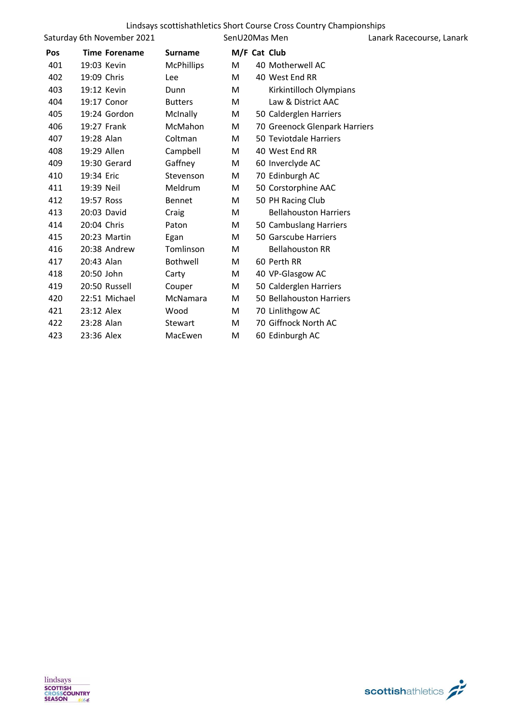|     | Saturday 6th November 2021 |                   | SenU20Mas Men |                               | Lanark Racecourse, Lanark |
|-----|----------------------------|-------------------|---------------|-------------------------------|---------------------------|
| Pos | <b>Time Forename</b>       | <b>Surname</b>    |               | M/F Cat Club                  |                           |
| 401 | 19:03 Kevin                | <b>McPhillips</b> | M             | 40 Motherwell AC              |                           |
| 402 | 19:09 Chris                | Lee               | M             | 40 West End RR                |                           |
| 403 | 19:12 Kevin                | Dunn              | М             | Kirkintilloch Olympians       |                           |
| 404 | 19:17 Conor                | <b>Butters</b>    | M             | Law & District AAC            |                           |
| 405 | 19:24 Gordon               | McInally          | М             | 50 Calderglen Harriers        |                           |
| 406 | 19:27 Frank                | McMahon           | M             | 70 Greenock Glenpark Harriers |                           |
| 407 | 19:28 Alan                 | Coltman           | M             | 50 Teviotdale Harriers        |                           |
| 408 | 19:29 Allen                | Campbell          | M             | 40 West End RR                |                           |
| 409 | 19:30 Gerard               | Gaffney           | M             | 60 Inverclyde AC              |                           |
| 410 | 19:34 Eric                 | Stevenson         | M             | 70 Edinburgh AC               |                           |
| 411 | 19:39 Neil                 | Meldrum           | M             | 50 Corstorphine AAC           |                           |
| 412 | 19:57 Ross                 | <b>Bennet</b>     | M             | 50 PH Racing Club             |                           |
| 413 | 20:03 David                | Craig             | M             | <b>Bellahouston Harriers</b>  |                           |
| 414 | 20:04 Chris                | Paton             | M             | 50 Cambuslang Harriers        |                           |
| 415 | 20:23 Martin               | Egan              | M             | 50 Garscube Harriers          |                           |
| 416 | 20:38 Andrew               | Tomlinson         | М             | <b>Bellahouston RR</b>        |                           |
| 417 | 20:43 Alan                 | Bothwell          | М             | 60 Perth RR                   |                           |
| 418 | 20:50 John                 | Carty             | М             | 40 VP-Glasgow AC              |                           |
| 419 | 20:50 Russell              | Couper            | M             | 50 Calderglen Harriers        |                           |
| 420 | 22:51 Michael              | McNamara          | М             | 50 Bellahouston Harriers      |                           |
| 421 | 23:12 Alex                 | Wood              | M             | 70 Linlithgow AC              |                           |
| 422 | 23:28 Alan                 | Stewart           | M             | 70 Giffnock North AC          |                           |
| 423 | 23:36 Alex                 | MacEwen           | M             | 60 Edinburgh AC               |                           |

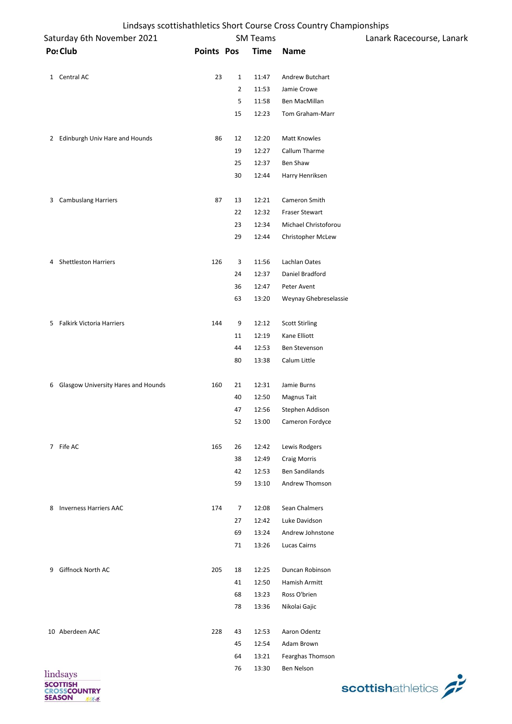| Saturday 6th November 2021 |                                       |                   |                | <b>SM Teams</b> |                       | Lanark Racecourse, Lanark |  |
|----------------------------|---------------------------------------|-------------------|----------------|-----------------|-----------------------|---------------------------|--|
|                            | Po: Club                              | <b>Points Pos</b> |                | <b>Time</b>     | <b>Name</b>           |                           |  |
|                            | 1 Central AC                          | 23                | $\mathbf{1}$   | 11:47           | Andrew Butchart       |                           |  |
|                            |                                       |                   | $\overline{2}$ | 11:53           | Jamie Crowe           |                           |  |
|                            |                                       |                   | 5              | 11:58           | Ben MacMillan         |                           |  |
|                            |                                       |                   | 15             | 12:23           | Tom Graham-Marr       |                           |  |
|                            |                                       |                   |                |                 |                       |                           |  |
|                            | 2 Edinburgh Univ Hare and Hounds      | 86                | 12             | 12:20           | Matt Knowles          |                           |  |
|                            |                                       |                   | 19             | 12:27           | Callum Tharme         |                           |  |
|                            |                                       |                   | 25             | 12:37           | Ben Shaw              |                           |  |
|                            |                                       |                   | 30             | 12:44           | Harry Henriksen       |                           |  |
|                            | 3 Cambuslang Harriers                 | 87                | 13             | 12:21           | Cameron Smith         |                           |  |
|                            |                                       |                   | 22             | 12:32           | <b>Fraser Stewart</b> |                           |  |
|                            |                                       |                   | 23             | 12:34           | Michael Christoforou  |                           |  |
|                            |                                       |                   | 29             | 12:44           | Christopher McLew     |                           |  |
|                            | 4 Shettleston Harriers                | 126               | 3              | 11:56           | Lachlan Oates         |                           |  |
|                            |                                       |                   | 24             | 12:37           | Daniel Bradford       |                           |  |
|                            |                                       |                   | 36             | 12:47           | Peter Avent           |                           |  |
|                            |                                       |                   | 63             | 13:20           | Weynay Ghebreselassie |                           |  |
|                            | 5 Falkirk Victoria Harriers           | 144               | 9              | 12:12           | <b>Scott Stirling</b> |                           |  |
|                            |                                       |                   | 11             | 12:19           | Kane Elliott          |                           |  |
|                            |                                       |                   | 44             | 12:53           | Ben Stevenson         |                           |  |
|                            |                                       |                   | 80             | 13:38           | Calum Little          |                           |  |
|                            |                                       |                   |                |                 |                       |                           |  |
|                            | 6 Glasgow University Hares and Hounds | 160               | 21             | 12:31           | Jamie Burns           |                           |  |
|                            |                                       |                   | 40             | 12:50           | Magnus Tait           |                           |  |
|                            |                                       |                   | 47             | 12:56           | Stephen Addison       |                           |  |
|                            |                                       |                   | 52             | 13:00           | Cameron Fordyce       |                           |  |
|                            | 7 Fife AC                             | 165               | 26             | 12:42           | Lewis Rodgers         |                           |  |
|                            |                                       |                   | 38             | 12:49           | Craig Morris          |                           |  |
|                            |                                       |                   | 42             | 12:53           | <b>Ben Sandilands</b> |                           |  |
|                            |                                       |                   | 59             | 13:10           | Andrew Thomson        |                           |  |
| 8                          | <b>Inverness Harriers AAC</b>         | 174               | $\overline{7}$ | 12:08           | Sean Chalmers         |                           |  |
|                            |                                       |                   | 27             | 12:42           | Luke Davidson         |                           |  |
|                            |                                       |                   | 69             | 13:24           | Andrew Johnstone      |                           |  |
|                            |                                       |                   | 71             | 13:26           | Lucas Cairns          |                           |  |
| 9                          | Giffnock North AC                     | 205               | 18             | 12:25           | Duncan Robinson       |                           |  |
|                            |                                       |                   | 41             | 12:50           | Hamish Armitt         |                           |  |
|                            |                                       |                   | 68             | 13:23           | Ross O'brien          |                           |  |
|                            |                                       |                   | 78             | 13:36           | Nikolai Gajic         |                           |  |
|                            | 10 Aberdeen AAC                       | 228               | 43             | 12:53           | Aaron Odentz          |                           |  |
|                            |                                       |                   | 45             | 12:54           | Adam Brown            |                           |  |
|                            |                                       |                   | 64             | 13:21           | Fearghas Thomson      |                           |  |
|                            |                                       |                   | 76             | 13:30           | Ben Nelson            |                           |  |
|                            | lindsays<br>COTTICLE                  |                   |                |                 |                       |                           |  |

**SCOTTISH<br>CROSSCOUNTRY<br>SEASON** 

scottishathletics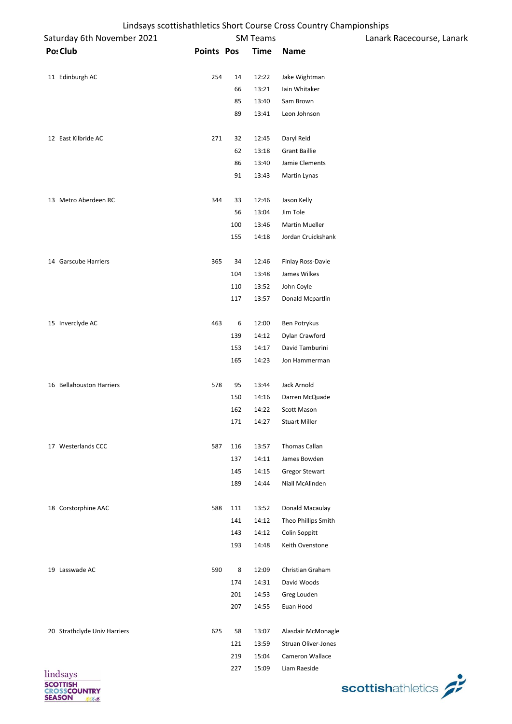| Lindsays scottishathletics Short Course Cross Country Championships |
|---------------------------------------------------------------------|
|---------------------------------------------------------------------|

| Saturday 6th November 2021   |                   |     | <b>SM Teams</b> |                            | Lanark Racecourse, Lanark |
|------------------------------|-------------------|-----|-----------------|----------------------------|---------------------------|
| Po: Club                     | <b>Points Pos</b> |     | <b>Time</b>     | Name                       |                           |
| 11 Edinburgh AC              | 254               | 14  | 12:22           | Jake Wightman              |                           |
|                              |                   | 66  | 13:21           | Iain Whitaker              |                           |
|                              |                   | 85  | 13:40           | Sam Brown                  |                           |
|                              |                   | 89  | 13:41           | Leon Johnson               |                           |
| 12 East Kilbride AC          | 271               | 32  | 12:45           | Daryl Reid                 |                           |
|                              |                   | 62  | 13:18           | <b>Grant Baillie</b>       |                           |
|                              |                   | 86  | 13:40           | Jamie Clements             |                           |
|                              |                   | 91  | 13:43           | Martin Lynas               |                           |
| 13 Metro Aberdeen RC         | 344               | 33  | 12:46           | Jason Kelly                |                           |
|                              |                   | 56  | 13:04           | Jim Tole                   |                           |
|                              |                   | 100 | 13:46           | Martin Mueller             |                           |
|                              |                   | 155 | 14:18           | Jordan Cruickshank         |                           |
| 14 Garscube Harriers         | 365               | 34  | 12:46           | <b>Finlay Ross-Davie</b>   |                           |
|                              |                   | 104 | 13:48           | James Wilkes               |                           |
|                              |                   | 110 | 13:52           | John Coyle                 |                           |
|                              |                   | 117 | 13:57           | Donald Mcpartlin           |                           |
| 15 Inverclyde AC             | 463               | 6   | 12:00           | Ben Potrykus               |                           |
|                              |                   | 139 | 14:12           | Dylan Crawford             |                           |
|                              |                   | 153 | 14:17           | David Tamburini            |                           |
|                              |                   | 165 | 14:23           | Jon Hammerman              |                           |
| 16 Bellahouston Harriers     | 578               | 95  | 13:44           | Jack Arnold                |                           |
|                              |                   | 150 | 14:16           | Darren McQuade             |                           |
|                              |                   | 162 | 14:22           | Scott Mason                |                           |
|                              |                   | 171 | 14:27           | <b>Stuart Miller</b>       |                           |
| 17 Westerlands CCC           | 587               | 116 | 13:57           | Thomas Callan              |                           |
|                              |                   | 137 | 14:11           | James Bowden               |                           |
|                              |                   | 145 | 14:15           | <b>Gregor Stewart</b>      |                           |
|                              |                   | 189 | 14:44           | Niall McAlinden            |                           |
| 18 Corstorphine AAC          | 588               | 111 | 13:52           | Donald Macaulay            |                           |
|                              |                   | 141 | 14:12           | Theo Phillips Smith        |                           |
|                              |                   | 143 | 14:12           | Colin Soppitt              |                           |
|                              |                   | 193 | 14:48           | Keith Ovenstone            |                           |
| 19 Lasswade AC               | 590               | 8   | 12:09           | Christian Graham           |                           |
|                              |                   | 174 | 14:31           | David Woods                |                           |
|                              |                   | 201 | 14:53           | Greg Louden                |                           |
|                              |                   | 207 | 14:55           | Euan Hood                  |                           |
| 20 Strathclyde Univ Harriers | 625               | 58  | 13:07           | Alasdair McMonagle         |                           |
|                              |                   | 121 | 13:59           | <b>Struan Oliver-Jones</b> |                           |
|                              |                   | 219 | 15:04           | Cameron Wallace            |                           |
| lindsays                     |                   | 227 | 15:09           | Liam Raeside               |                           |

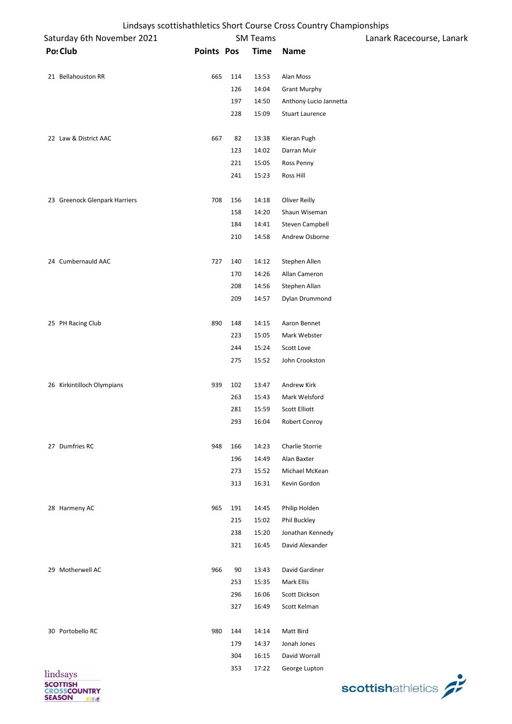| Lindsays scottishathletics Short Course Cross Country Championships |
|---------------------------------------------------------------------|
|---------------------------------------------------------------------|

| Ennasays scottismatinetics short course eross country enamplements<br>Saturday 6th November 2021 |                   |           | <b>SM Teams</b> |                              | Lanark Racecourse, Lanark |
|--------------------------------------------------------------------------------------------------|-------------------|-----------|-----------------|------------------------------|---------------------------|
| Po: Club                                                                                         | <b>Points Pos</b> |           | <b>Time</b>     | <b>Name</b>                  |                           |
|                                                                                                  |                   |           |                 |                              |                           |
| 21 Bellahouston RR                                                                               | 665               | 114       | 13:53           | Alan Moss                    |                           |
|                                                                                                  |                   | 126       | 14:04           | <b>Grant Murphy</b>          |                           |
|                                                                                                  |                   | 197       | 14:50           | Anthony Lucio Jannetta       |                           |
|                                                                                                  |                   | 228       | 15:09           | <b>Stuart Laurence</b>       |                           |
|                                                                                                  |                   |           |                 |                              |                           |
| 22 Law & District AAC                                                                            | 667               | 82        | 13:38           | Kieran Pugh                  |                           |
|                                                                                                  |                   | 123       | 14:02           | Darran Muir                  |                           |
|                                                                                                  |                   | 221       | 15:05           | Ross Penny                   |                           |
|                                                                                                  |                   | 241       | 15:23           | Ross Hill                    |                           |
| 23 Greenock Glenpark Harriers                                                                    | 708               | 156       | 14:18           | Oliver Reilly                |                           |
|                                                                                                  |                   | 158       | 14:20           | Shaun Wiseman                |                           |
|                                                                                                  |                   | 184       | 14:41           | Steven Campbell              |                           |
|                                                                                                  |                   | 210       | 14:58           | Andrew Osborne               |                           |
|                                                                                                  |                   |           |                 |                              |                           |
| 24 Cumbernauld AAC                                                                               | 727               | 140       | 14:12           | Stephen Allen                |                           |
|                                                                                                  |                   | 170       | 14:26           | Allan Cameron                |                           |
|                                                                                                  |                   | 208       | 14:56           | Stephen Allan                |                           |
|                                                                                                  |                   | 209       | 14:57           | Dylan Drummond               |                           |
|                                                                                                  |                   |           |                 |                              |                           |
| 25 PH Racing Club                                                                                | 890               | 148       | 14:15           | Aaron Bennet                 |                           |
|                                                                                                  |                   | 223       | 15:05           | Mark Webster                 |                           |
|                                                                                                  |                   | 244       | 15:24           | Scott Love                   |                           |
|                                                                                                  |                   | 275       | 15:52           | John Crookston               |                           |
|                                                                                                  |                   |           |                 |                              |                           |
| 26 Kirkintilloch Olympians                                                                       | 939               | 102       | 13:47           | Andrew Kirk                  |                           |
|                                                                                                  |                   | 263       | 15:43           | Mark Welsford                |                           |
|                                                                                                  |                   | 281       | 15:59           | Scott Elliott                |                           |
|                                                                                                  |                   | 293       | 16:04           | <b>Robert Conroy</b>         |                           |
| 27 Dumfries RC                                                                                   | 948               | 166       | 14:23           | Charlie Storrie              |                           |
|                                                                                                  |                   | 196       | 14:49           | Alan Baxter                  |                           |
|                                                                                                  |                   | 273       | 15:52           | Michael McKean               |                           |
|                                                                                                  |                   | 313       | 16:31           | Kevin Gordon                 |                           |
|                                                                                                  |                   |           |                 |                              |                           |
| 28 Harmeny AC                                                                                    | 965               | 191       | 14:45           | Philip Holden                |                           |
|                                                                                                  |                   | 215       | 15:02           | Phil Buckley                 |                           |
|                                                                                                  |                   | 238       | 15:20           | Jonathan Kennedy             |                           |
|                                                                                                  |                   | 321       | 16:45           | David Alexander              |                           |
|                                                                                                  |                   |           |                 |                              |                           |
| 29 Motherwell AC                                                                                 | 966               | 90<br>253 | 13:43<br>15:35  | David Gardiner<br>Mark Ellis |                           |
|                                                                                                  |                   | 296       | 16:06           | Scott Dickson                |                           |
|                                                                                                  |                   | 327       | 16:49           | Scott Kelman                 |                           |
|                                                                                                  |                   |           |                 |                              |                           |
| 30 Portobello RC                                                                                 | 980               | 144       | 14:14           | Matt Bird                    |                           |
|                                                                                                  |                   | 179       | 14:37           | Jonah Jones                  |                           |
|                                                                                                  |                   | 304       | 16:15           | David Worrall                |                           |
|                                                                                                  |                   | 353       | 17:22           | George Lupton                |                           |
| lindsays<br><b>SCOTTISH</b>                                                                      |                   |           |                 |                              |                           |
| <b>CROSSCOUNTRY</b><br><b>SEASON</b><br>不安                                                       |                   |           |                 |                              | scottishathletics         |